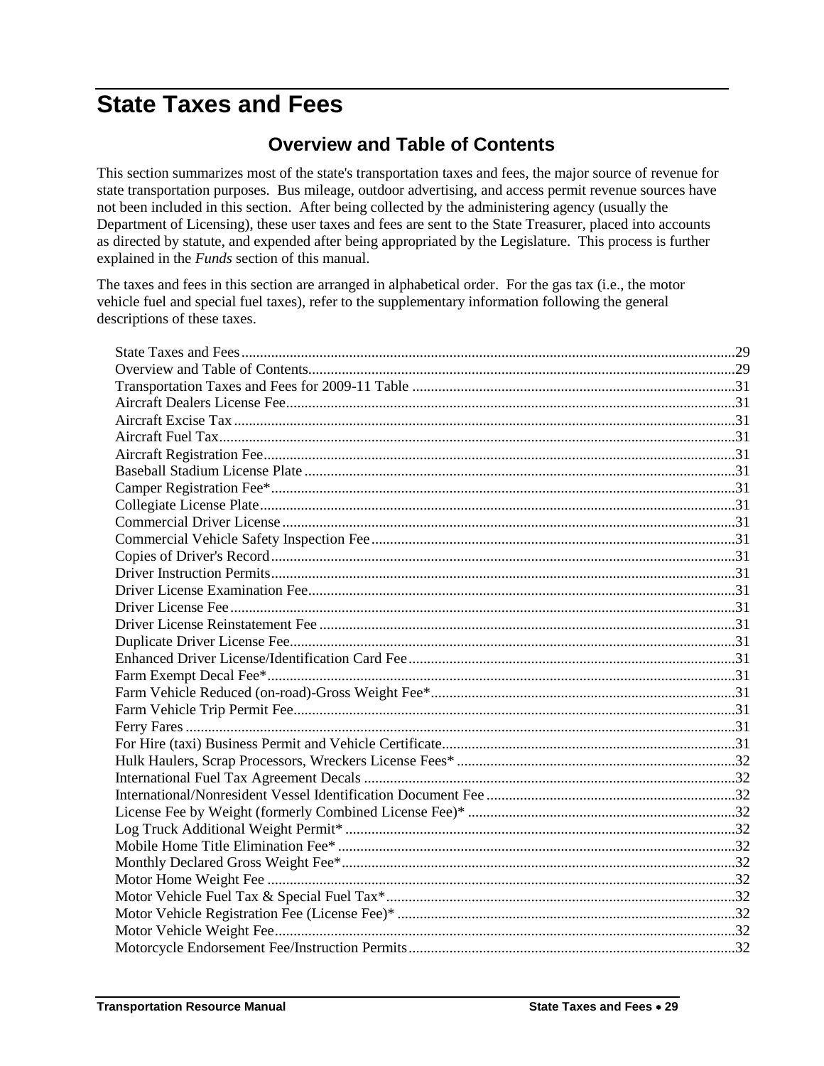## <span id="page-0-1"></span><span id="page-0-0"></span>**State Taxes and Fees**

## **Overview and Table of Contents**

This section summarizes most of the state's transportation taxes and fees, the major source of revenue for state transportation purposes. Bus mileage, outdoor advertising, and access permit revenue sources have not been included in this section. After being collected by the administering agency (usually the Department of Licensing), these user taxes and fees are sent to the State Treasurer, placed into accounts as directed by statute, and expended after being appropriated by the Legislature. This process is further explained in the *Funds* section of this manual.

The taxes and fees in this section are arranged in alphabetical order. For the gas tax (i.e., the motor vehicle fuel and special fuel taxes), refer to the supplementary information following the general descriptions of these taxes.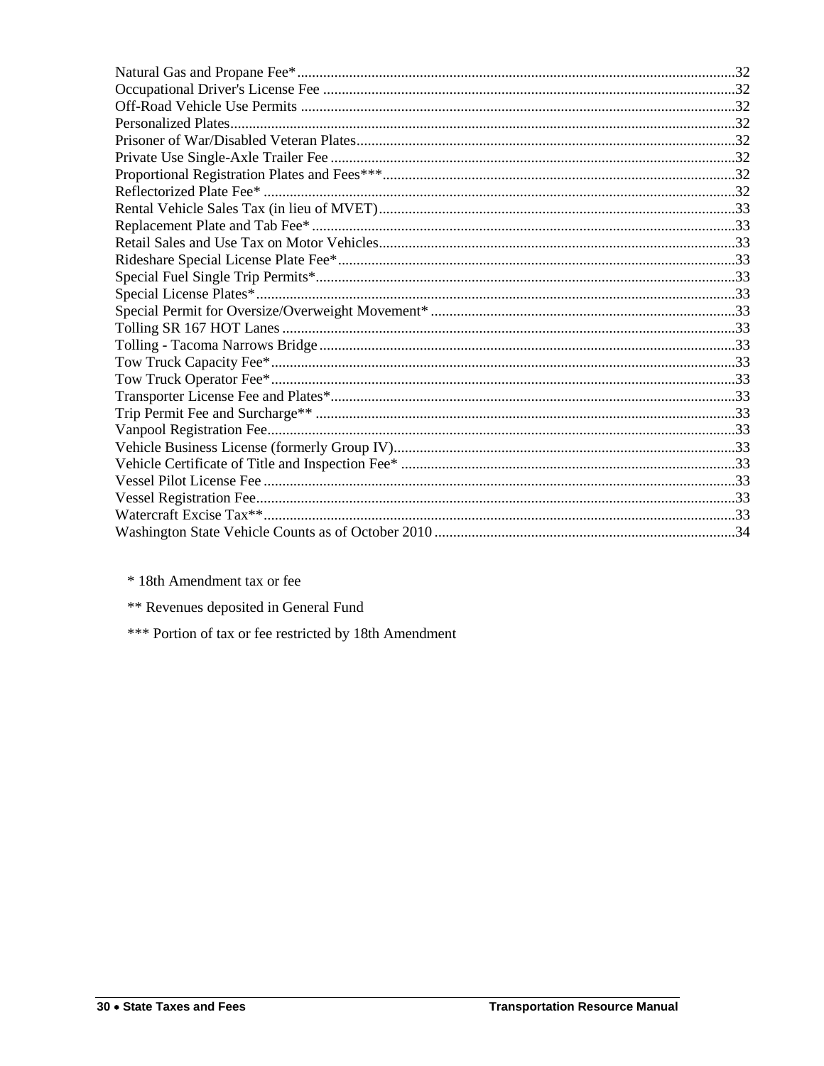\* 18th Amendment tax or fee

\*\* Revenues deposited in General Fund

\*\*\* Portion of tax or fee restricted by 18th Amendment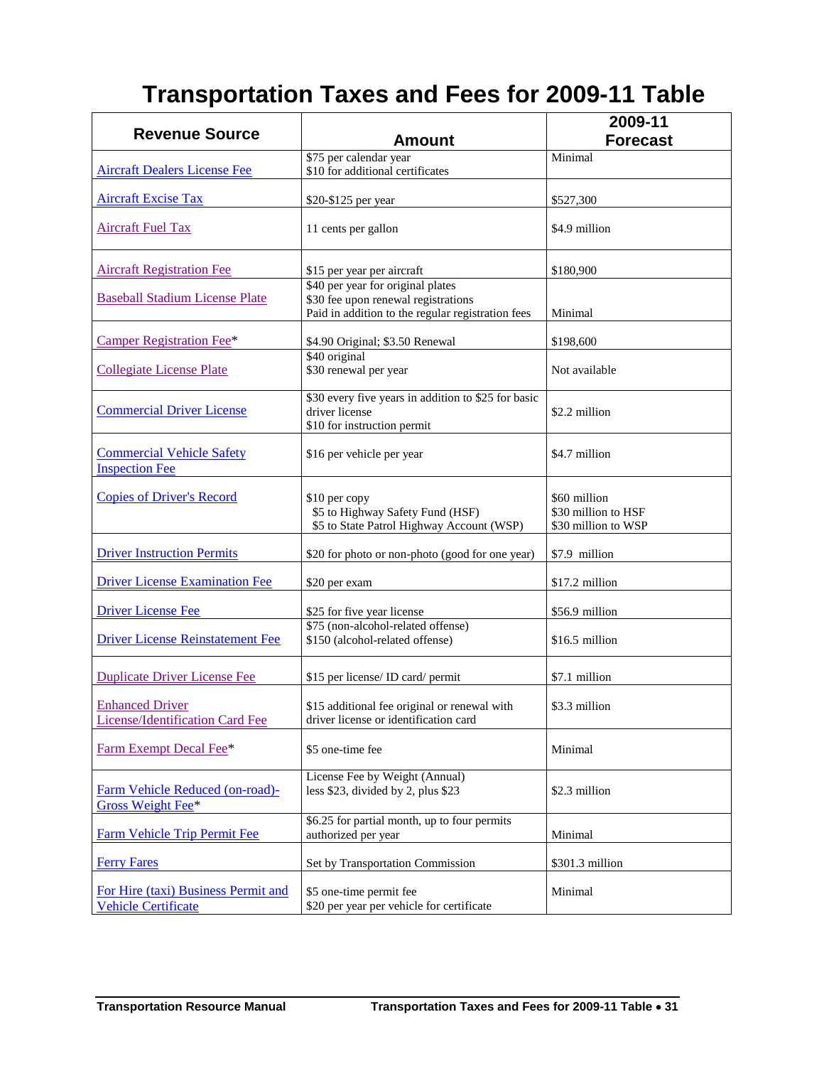## **Transportation Taxes and Fees for 2009-11 Table**

<span id="page-2-21"></span><span id="page-2-20"></span><span id="page-2-19"></span><span id="page-2-18"></span><span id="page-2-17"></span><span id="page-2-16"></span><span id="page-2-15"></span><span id="page-2-14"></span><span id="page-2-13"></span><span id="page-2-12"></span><span id="page-2-11"></span><span id="page-2-10"></span><span id="page-2-9"></span><span id="page-2-8"></span><span id="page-2-7"></span><span id="page-2-6"></span><span id="page-2-5"></span><span id="page-2-4"></span><span id="page-2-3"></span><span id="page-2-2"></span><span id="page-2-1"></span><span id="page-2-0"></span>

|                                                                   |                                                                                                                               | 2009-11                                                    |
|-------------------------------------------------------------------|-------------------------------------------------------------------------------------------------------------------------------|------------------------------------------------------------|
| <b>Revenue Source</b>                                             | <b>Amount</b>                                                                                                                 | <b>Forecast</b>                                            |
|                                                                   | \$75 per calendar year                                                                                                        | Minimal                                                    |
| <b>Aircraft Dealers License Fee</b>                               | \$10 for additional certificates                                                                                              |                                                            |
| <b>Aircraft Excise Tax</b>                                        | \$20-\$125 per year                                                                                                           | \$527,300                                                  |
| <b>Aircraft Fuel Tax</b>                                          | 11 cents per gallon                                                                                                           | \$4.9 million                                              |
| <b>Aircraft Registration Fee</b>                                  | \$15 per year per aircraft                                                                                                    | \$180,900                                                  |
| <b>Baseball Stadium License Plate</b>                             | \$40 per year for original plates<br>\$30 fee upon renewal registrations<br>Paid in addition to the regular registration fees | Minimal                                                    |
| <b>Camper Registration Fee*</b>                                   | \$4.90 Original; \$3.50 Renewal                                                                                               | \$198,600                                                  |
| <b>Collegiate License Plate</b>                                   | \$40 original<br>\$30 renewal per year                                                                                        | Not available                                              |
| <b>Commercial Driver License</b>                                  | \$30 every five years in addition to \$25 for basic<br>driver license<br>\$10 for instruction permit                          | \$2.2 million                                              |
| <b>Commercial Vehicle Safety</b><br><b>Inspection Fee</b>         | \$16 per vehicle per year                                                                                                     | \$4.7 million                                              |
| <b>Copies of Driver's Record</b>                                  | \$10 per copy<br>\$5 to Highway Safety Fund (HSF)<br>\$5 to State Patrol Highway Account (WSP)                                | \$60 million<br>\$30 million to HSF<br>\$30 million to WSP |
| <b>Driver Instruction Permits</b>                                 | \$20 for photo or non-photo (good for one year)                                                                               | \$7.9 million                                              |
| <b>Driver License Examination Fee</b>                             | \$20 per exam                                                                                                                 | \$17.2 million                                             |
| <b>Driver License Fee</b>                                         | \$25 for five year license                                                                                                    | \$56.9 million                                             |
| <b>Driver License Reinstatement Fee</b>                           | \$75 (non-alcohol-related offense)<br>\$150 (alcohol-related offense)                                                         | \$16.5 million                                             |
| <b>Duplicate Driver License Fee</b>                               | \$15 per license/ ID card/ permit                                                                                             | \$7.1 million                                              |
| <b>Enhanced Driver</b><br>License/Identification Card Fee         | \$15 additional fee original or renewal with<br>driver license or identification card                                         | \$3.3 million                                              |
| Farm Exempt Decal Fee*                                            | \$5 one-time fee                                                                                                              | Minimal                                                    |
| Farm Vehicle Reduced (on-road)-<br>Gross Weight Fee*              | License Fee by Weight (Annual)<br>less \$23, divided by 2, plus \$23                                                          | \$2.3 million                                              |
| <b>Farm Vehicle Trip Permit Fee</b>                               | \$6.25 for partial month, up to four permits<br>authorized per year                                                           | Minimal                                                    |
| <b>Ferry Fares</b>                                                | Set by Transportation Commission                                                                                              | \$301.3 million                                            |
| For Hire (taxi) Business Permit and<br><b>Vehicle Certificate</b> | \$5 one-time permit fee<br>\$20 per year per vehicle for certificate                                                          | Minimal                                                    |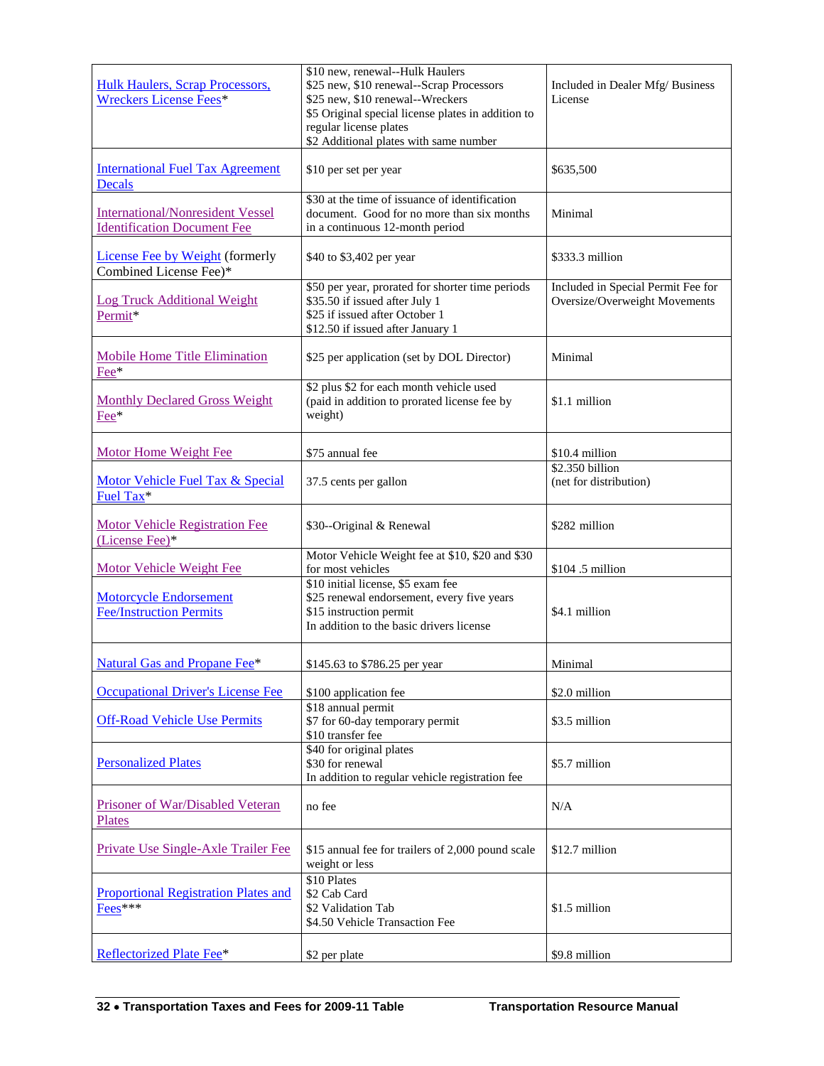<span id="page-3-17"></span><span id="page-3-16"></span><span id="page-3-15"></span><span id="page-3-14"></span><span id="page-3-13"></span><span id="page-3-12"></span><span id="page-3-11"></span><span id="page-3-10"></span><span id="page-3-9"></span><span id="page-3-8"></span><span id="page-3-7"></span><span id="page-3-6"></span><span id="page-3-5"></span><span id="page-3-4"></span><span id="page-3-3"></span><span id="page-3-2"></span><span id="page-3-1"></span><span id="page-3-0"></span>

| Hulk Haulers, Scrap Processors,<br><b>Wreckers License Fees*</b>              | \$10 new, renewal--Hulk Haulers<br>\$25 new, \$10 renewal--Scrap Processors<br>\$25 new, \$10 renewal--Wreckers<br>\$5 Original special license plates in addition to<br>regular license plates<br>\$2 Additional plates with same number | Included in Dealer Mfg/ Business<br>License                         |
|-------------------------------------------------------------------------------|-------------------------------------------------------------------------------------------------------------------------------------------------------------------------------------------------------------------------------------------|---------------------------------------------------------------------|
| <b>International Fuel Tax Agreement</b><br><b>Decals</b>                      | \$10 per set per year                                                                                                                                                                                                                     | \$635,500                                                           |
| <b>International/Nonresident Vessel</b><br><b>Identification Document Fee</b> | \$30 at the time of issuance of identification<br>document. Good for no more than six months<br>in a continuous 12-month period                                                                                                           | Minimal                                                             |
| <b>License Fee by Weight (formerly</b><br>Combined License Fee)*              | \$40 to \$3,402 per year                                                                                                                                                                                                                  | \$333.3 million                                                     |
| <b>Log Truck Additional Weight</b><br>Permit*                                 | \$50 per year, prorated for shorter time periods<br>\$35.50 if issued after July 1<br>\$25 if issued after October 1<br>\$12.50 if issued after January 1                                                                                 | Included in Special Permit Fee for<br>Oversize/Overweight Movements |
| Mobile Home Title Elimination<br>Fee*                                         | \$25 per application (set by DOL Director)                                                                                                                                                                                                | Minimal                                                             |
| <b>Monthly Declared Gross Weight</b><br>Fee*                                  | \$2 plus \$2 for each month vehicle used<br>(paid in addition to prorated license fee by<br>weight)                                                                                                                                       | \$1.1 million                                                       |
| <b>Motor Home Weight Fee</b>                                                  | \$75 annual fee                                                                                                                                                                                                                           | \$10.4 million                                                      |
| Motor Vehicle Fuel Tax & Special<br>Fuel Tax*                                 | 37.5 cents per gallon                                                                                                                                                                                                                     | \$2.350 billion<br>(net for distribution)                           |
| <b>Motor Vehicle Registration Fee</b><br>(License Fee)*                       | \$30--Original & Renewal                                                                                                                                                                                                                  | \$282 million                                                       |
| <b>Motor Vehicle Weight Fee</b>                                               | Motor Vehicle Weight fee at \$10, \$20 and \$30<br>for most vehicles                                                                                                                                                                      | \$104.5 million                                                     |
| <b>Motorcycle Endorsement</b><br><b>Fee/Instruction Permits</b>               | \$10 initial license, \$5 exam fee<br>\$25 renewal endorsement, every five years<br>\$15 instruction permit<br>In addition to the basic drivers license                                                                                   | \$4.1 million                                                       |
| <b>Natural Gas and Propane Fee*</b>                                           | \$145.63 to \$786.25 per year                                                                                                                                                                                                             | Minimal                                                             |
| <b>Occupational Driver's License Fee</b>                                      | \$100 application fee                                                                                                                                                                                                                     | \$2.0 million                                                       |
| <b>Off-Road Vehicle Use Permits</b>                                           | \$18 annual permit<br>\$7 for 60-day temporary permit<br>\$10 transfer fee                                                                                                                                                                | \$3.5 million                                                       |
| <b>Personalized Plates</b>                                                    | \$40 for original plates<br>\$30 for renewal<br>In addition to regular vehicle registration fee                                                                                                                                           | \$5.7 million                                                       |
| Prisoner of War/Disabled Veteran<br><b>Plates</b>                             | no fee                                                                                                                                                                                                                                    | N/A                                                                 |
| Private Use Single-Axle Trailer Fee                                           | \$15 annual fee for trailers of 2,000 pound scale<br>weight or less                                                                                                                                                                       | \$12.7 million                                                      |
| <b>Proportional Registration Plates and</b><br>Fees***                        | \$10 Plates<br>\$2 Cab Card<br>\$2 Validation Tab<br>\$4.50 Vehicle Transaction Fee                                                                                                                                                       | \$1.5 million                                                       |
| Reflectorized Plate Fee*                                                      | \$2 per plate                                                                                                                                                                                                                             | \$9.8 million                                                       |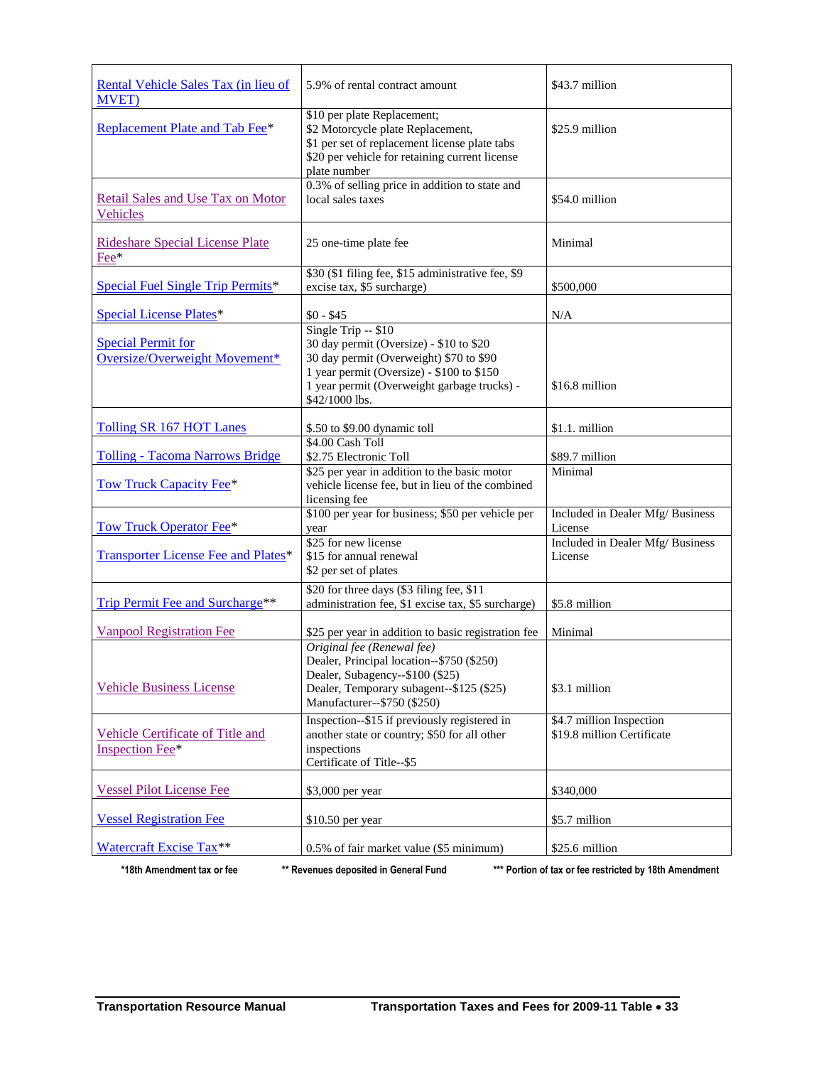<span id="page-4-8"></span><span id="page-4-7"></span><span id="page-4-6"></span><span id="page-4-5"></span><span id="page-4-4"></span><span id="page-4-3"></span><span id="page-4-2"></span><span id="page-4-1"></span><span id="page-4-0"></span>

| Rental Vehicle Sales Tax (in lieu of<br><b>MVET</b> )      | 5.9% of rental contract amount                                                                                                                                                                                          | \$43.7 million                                         |
|------------------------------------------------------------|-------------------------------------------------------------------------------------------------------------------------------------------------------------------------------------------------------------------------|--------------------------------------------------------|
| Replacement Plate and Tab Fee*                             | \$10 per plate Replacement;<br>\$2 Motorcycle plate Replacement,<br>\$1 per set of replacement license plate tabs<br>\$20 per vehicle for retaining current license<br>plate number                                     | \$25.9 million                                         |
| <b>Retail Sales and Use Tax on Motor</b><br>Vehicles       | 0.3% of selling price in addition to state and<br>local sales taxes                                                                                                                                                     | \$54.0 million                                         |
| <b>Rideshare Special License Plate</b><br>Fee*             | 25 one-time plate fee                                                                                                                                                                                                   | Minimal                                                |
| Special Fuel Single Trip Permits*                          | \$30 (\$1 filing fee, \$15 administrative fee, \$9<br>excise tax, \$5 surcharge)                                                                                                                                        | \$500,000                                              |
| <b>Special License Plates*</b>                             | $$0 - $45$                                                                                                                                                                                                              | N/A                                                    |
| <b>Special Permit for</b><br>Oversize/Overweight Movement* | Single Trip -- \$10<br>30 day permit (Oversize) - \$10 to \$20<br>30 day permit (Overweight) \$70 to \$90<br>1 year permit (Oversize) - \$100 to \$150<br>1 year permit (Overweight garbage trucks) -<br>\$42/1000 lbs. | \$16.8 million                                         |
| Tolling SR 167 HOT Lanes                                   | \$.50 to \$9.00 dynamic toll                                                                                                                                                                                            | \$1.1. million                                         |
| <b>Tolling - Tacoma Narrows Bridge</b>                     | \$4.00 Cash Toll<br>\$2.75 Electronic Toll                                                                                                                                                                              | \$89.7 million                                         |
| <b>Tow Truck Capacity Fee*</b>                             | \$25 per year in addition to the basic motor<br>vehicle license fee, but in lieu of the combined<br>licensing fee                                                                                                       | Minimal                                                |
| <b>Tow Truck Operator Fee*</b>                             | \$100 per year for business; \$50 per vehicle per<br>year                                                                                                                                                               | Included in Dealer Mfg/ Business<br>License            |
| Transporter License Fee and Plates*                        | \$25 for new license<br>\$15 for annual renewal<br>\$2 per set of plates                                                                                                                                                | Included in Dealer Mfg/ Business<br>License            |
| Trip Permit Fee and Surcharge**                            | \$20 for three days (\$3 filing fee, \$11<br>administration fee, \$1 excise tax, \$5 surcharge)                                                                                                                         | \$5.8 million                                          |
| <b>Vanpool Registration Fee</b>                            | \$25 per year in addition to basic registration fee                                                                                                                                                                     | Minimal                                                |
| <b>Vehicle Business License</b>                            | Original fee (Renewal fee)<br>Dealer, Principal location--\$750 (\$250)<br>Dealer, Subagency--\$100 (\$25)<br>Dealer, Temporary subagent--\$125 (\$25)<br>Manufacturer--\$750 (\$250)                                   | \$3.1 million                                          |
| Vehicle Certificate of Title and<br>Inspection Fee*        | Inspection--\$15 if previously registered in<br>another state or country; \$50 for all other<br>inspections<br>Certificate of Title--\$5                                                                                | \$4.7 million Inspection<br>\$19.8 million Certificate |
| <b>Vessel Pilot License Fee</b>                            | \$3,000 per year                                                                                                                                                                                                        | \$340,000                                              |
| <b>Vessel Registration Fee</b>                             | \$10.50 per year                                                                                                                                                                                                        | \$5.7 million                                          |
| Watercraft Excise Tax**                                    | 0.5% of fair market value (\$5 minimum)                                                                                                                                                                                 | \$25.6 million                                         |

<span id="page-4-18"></span><span id="page-4-17"></span><span id="page-4-16"></span><span id="page-4-15"></span><span id="page-4-14"></span><span id="page-4-13"></span><span id="page-4-12"></span><span id="page-4-11"></span><span id="page-4-10"></span><span id="page-4-9"></span>**\*18th Amendment tax or fee \*\* Revenues deposited in General Fund \*\*\* Portion of tax or fee restricted by 18th Amendment**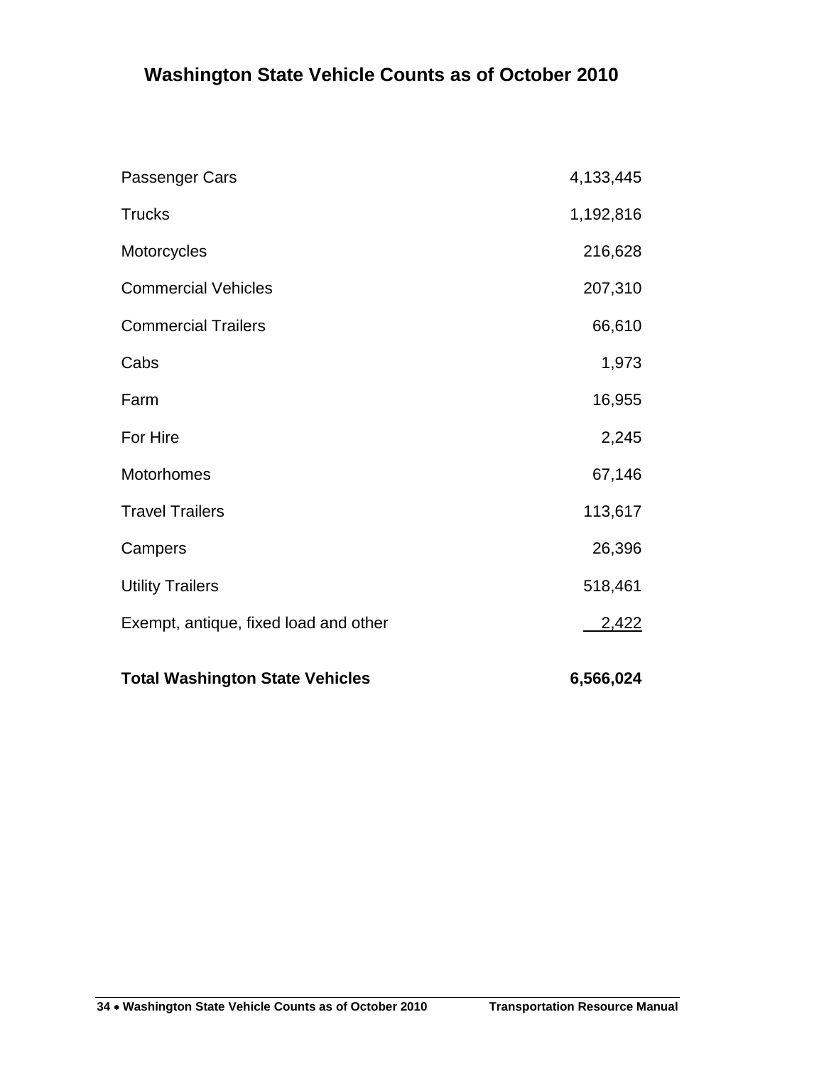## <span id="page-5-0"></span>**Washington State Vehicle Counts as of October 2010**

| <b>Total Washington State Vehicles</b> | 6,566,024 |
|----------------------------------------|-----------|
| Exempt, antique, fixed load and other  | 2,422     |
| <b>Utility Trailers</b>                | 518,461   |
| Campers                                | 26,396    |
| <b>Travel Trailers</b>                 | 113,617   |
| Motorhomes                             | 67,146    |
| For Hire                               | 2,245     |
| Farm                                   | 16,955    |
| Cabs                                   | 1,973     |
| <b>Commercial Trailers</b>             | 66,610    |
| <b>Commercial Vehicles</b>             | 207,310   |
| Motorcycles                            | 216,628   |
| <b>Trucks</b>                          | 1,192,816 |
| Passenger Cars                         | 4,133,445 |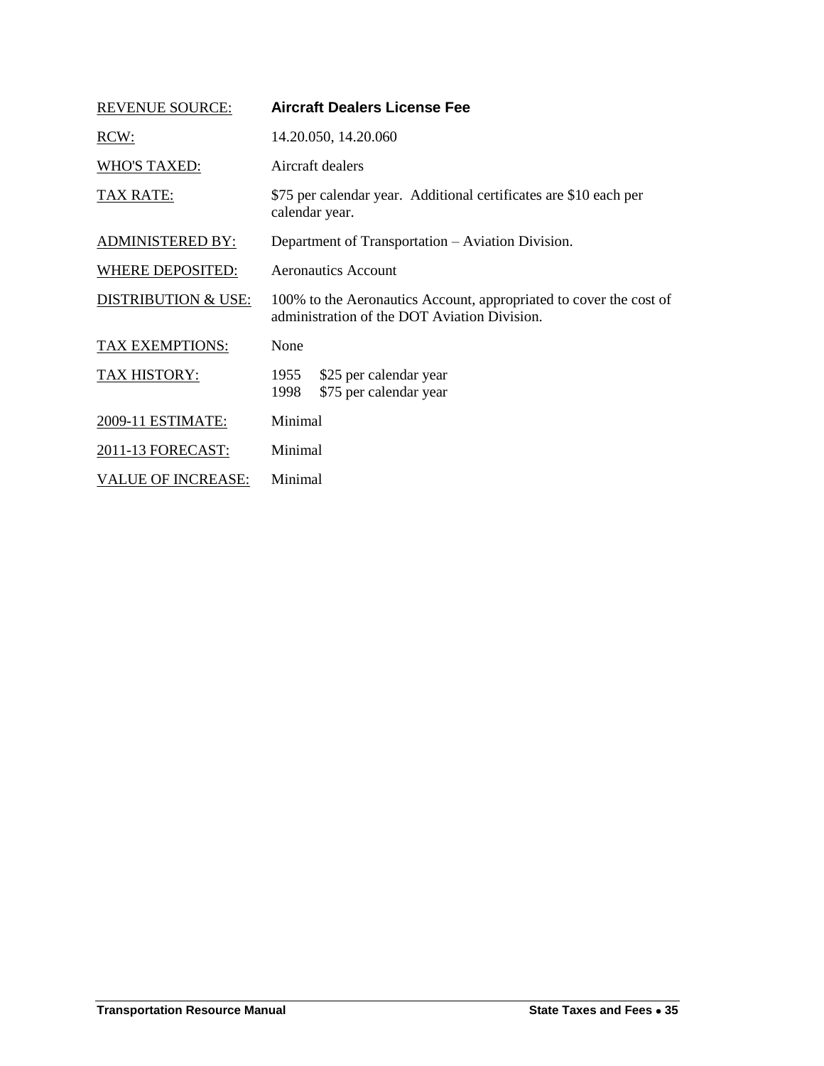<span id="page-6-0"></span>

| <b>REVENUE SOURCE:</b>         | Aircraft Dealers License Fee                                                                                       |
|--------------------------------|--------------------------------------------------------------------------------------------------------------------|
| RCW:                           | 14.20.050, 14.20.060                                                                                               |
| <b>WHO'S TAXED:</b>            | Aircraft dealers                                                                                                   |
| TAX RATE:                      | \$75 per calendar year. Additional certificates are \$10 each per<br>calendar year.                                |
| <b>ADMINISTERED BY:</b>        | Department of Transportation – Aviation Division.                                                                  |
| <b>WHERE DEPOSITED:</b>        | <b>Aeronautics Account</b>                                                                                         |
| <b>DISTRIBUTION &amp; USE:</b> | 100% to the Aeronautics Account, appropriated to cover the cost of<br>administration of the DOT Aviation Division. |
| <b>TAX EXEMPTIONS:</b>         | None                                                                                                               |
| <b>TAX HISTORY:</b>            | \$25 per calendar year<br>1955<br>\$75 per calendar year<br>1998                                                   |
| 2009-11 ESTIMATE:              | Minimal                                                                                                            |
| 2011-13 FORECAST:              | Minimal                                                                                                            |
| <b>VALUE OF INCREASE:</b>      | Minimal                                                                                                            |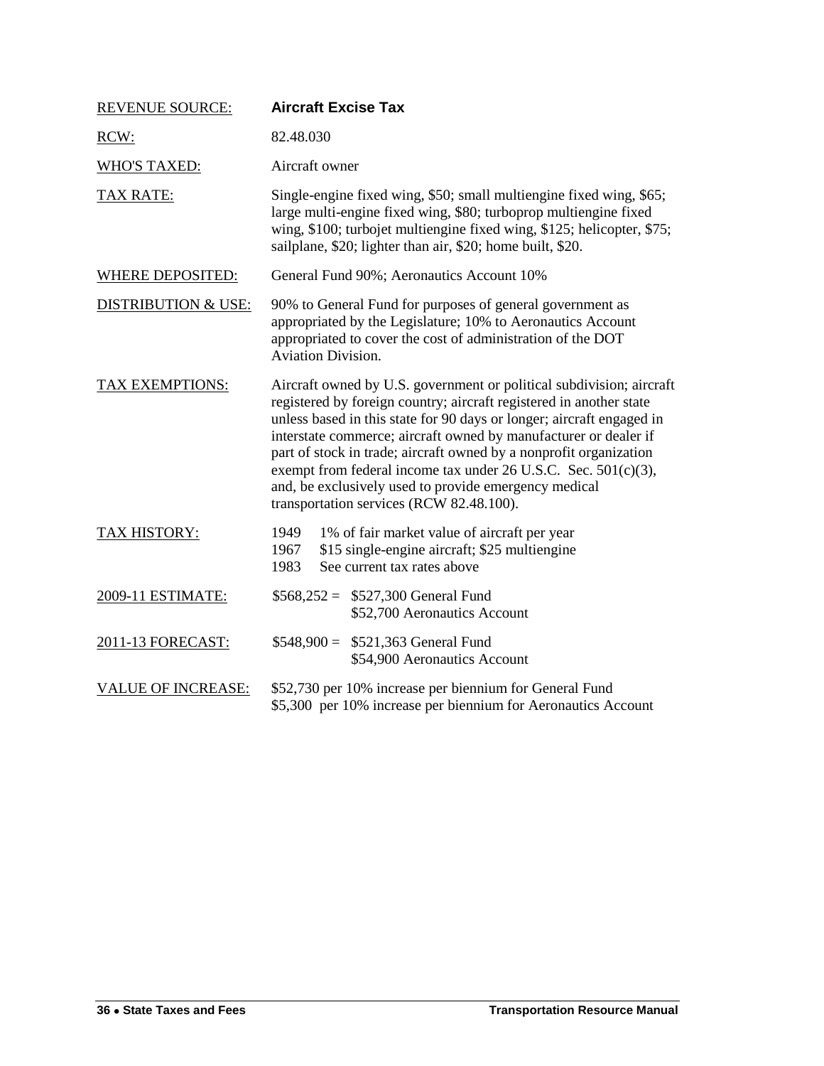<span id="page-7-0"></span>

| <b>REVENUE SOURCE:</b>         | <b>Aircraft Excise Tax</b>                                                                                                                                                                                                                                                                                                                                                                                                                                                                                                                 |
|--------------------------------|--------------------------------------------------------------------------------------------------------------------------------------------------------------------------------------------------------------------------------------------------------------------------------------------------------------------------------------------------------------------------------------------------------------------------------------------------------------------------------------------------------------------------------------------|
| RCW:                           | 82.48.030                                                                                                                                                                                                                                                                                                                                                                                                                                                                                                                                  |
| <b>WHO'S TAXED:</b>            | Aircraft owner                                                                                                                                                                                                                                                                                                                                                                                                                                                                                                                             |
| <b>TAX RATE:</b>               | Single-engine fixed wing, \$50; small multiengine fixed wing, \$65;<br>large multi-engine fixed wing, \$80; turboprop multiengine fixed<br>wing, \$100; turbojet multiengine fixed wing, \$125; helicopter, \$75;<br>sailplane, \$20; lighter than air, \$20; home built, \$20.                                                                                                                                                                                                                                                            |
| <b>WHERE DEPOSITED:</b>        | General Fund 90%; Aeronautics Account 10%                                                                                                                                                                                                                                                                                                                                                                                                                                                                                                  |
| <b>DISTRIBUTION &amp; USE:</b> | 90% to General Fund for purposes of general government as<br>appropriated by the Legislature; 10% to Aeronautics Account<br>appropriated to cover the cost of administration of the DOT<br><b>Aviation Division.</b>                                                                                                                                                                                                                                                                                                                       |
| TAX EXEMPTIONS:                | Aircraft owned by U.S. government or political subdivision; aircraft<br>registered by foreign country; aircraft registered in another state<br>unless based in this state for 90 days or longer; aircraft engaged in<br>interstate commerce; aircraft owned by manufacturer or dealer if<br>part of stock in trade; aircraft owned by a nonprofit organization<br>exempt from federal income tax under $26$ U.S.C. Sec. $501(c)(3)$ ,<br>and, be exclusively used to provide emergency medical<br>transportation services (RCW 82.48.100). |
| TAX HISTORY:                   | 1949<br>1% of fair market value of aircraft per year<br>\$15 single-engine aircraft; \$25 multiengine<br>1967<br>See current tax rates above<br>1983                                                                                                                                                                                                                                                                                                                                                                                       |
| 2009-11 ESTIMATE:              | $$568,252 = $527,300$ General Fund<br>\$52,700 Aeronautics Account                                                                                                                                                                                                                                                                                                                                                                                                                                                                         |
| 2011-13 FORECAST:              | $$548,900 = $521,363$ General Fund<br>\$54,900 Aeronautics Account                                                                                                                                                                                                                                                                                                                                                                                                                                                                         |
| <b>VALUE OF INCREASE:</b>      | \$52,730 per 10% increase per biennium for General Fund<br>\$5,300 per 10% increase per biennium for Aeronautics Account                                                                                                                                                                                                                                                                                                                                                                                                                   |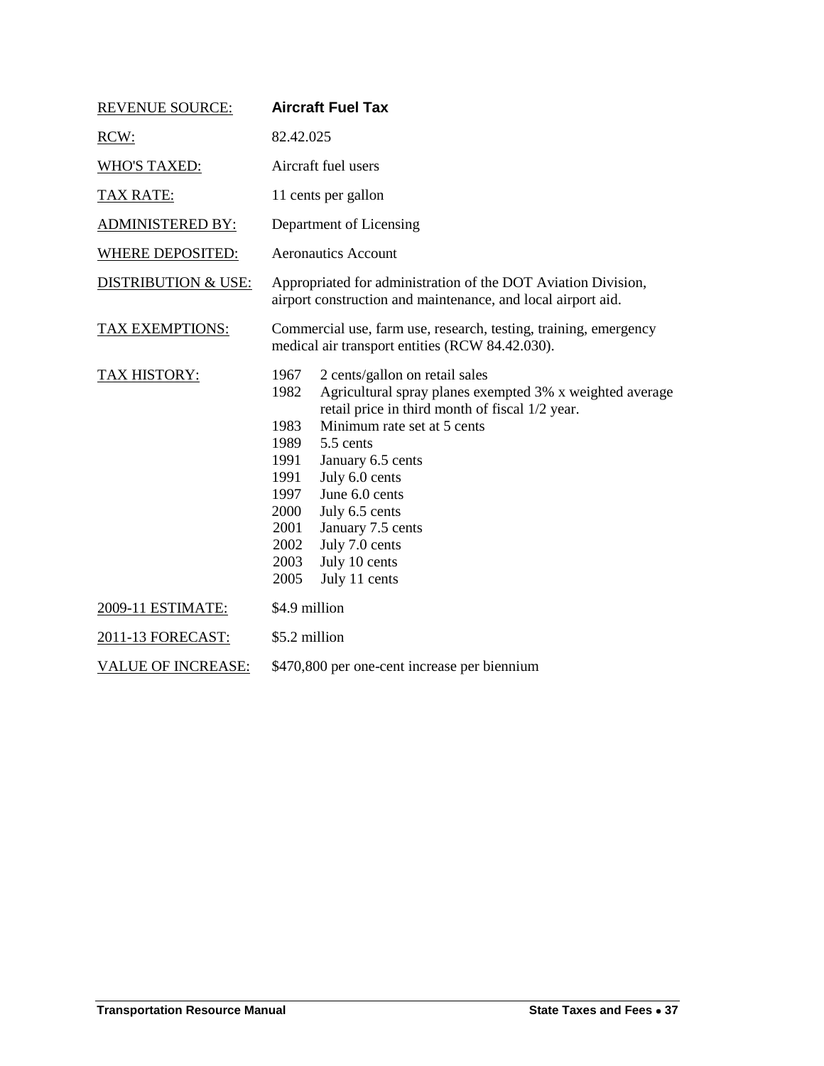<span id="page-8-0"></span>

| <b>REVENUE SOURCE:</b>         | <b>Aircraft Fuel Tax</b>                                                                                                                                                                                                                                                                                                                                                                                                                      |  |
|--------------------------------|-----------------------------------------------------------------------------------------------------------------------------------------------------------------------------------------------------------------------------------------------------------------------------------------------------------------------------------------------------------------------------------------------------------------------------------------------|--|
| RCW:                           | 82.42.025                                                                                                                                                                                                                                                                                                                                                                                                                                     |  |
| <b>WHO'S TAXED:</b>            | Aircraft fuel users                                                                                                                                                                                                                                                                                                                                                                                                                           |  |
| <b>TAX RATE:</b>               | 11 cents per gallon                                                                                                                                                                                                                                                                                                                                                                                                                           |  |
| <b>ADMINISTERED BY:</b>        | Department of Licensing                                                                                                                                                                                                                                                                                                                                                                                                                       |  |
| <b>WHERE DEPOSITED:</b>        | <b>Aeronautics Account</b>                                                                                                                                                                                                                                                                                                                                                                                                                    |  |
| <b>DISTRIBUTION &amp; USE:</b> | Appropriated for administration of the DOT Aviation Division,<br>airport construction and maintenance, and local airport aid.                                                                                                                                                                                                                                                                                                                 |  |
| TAX EXEMPTIONS:                | Commercial use, farm use, research, testing, training, emergency<br>medical air transport entities (RCW 84.42.030).                                                                                                                                                                                                                                                                                                                           |  |
| <b>TAX HISTORY:</b>            | 1967<br>2 cents/gallon on retail sales<br>Agricultural spray planes exempted 3% x weighted average<br>1982<br>retail price in third month of fiscal 1/2 year.<br>Minimum rate set at 5 cents<br>1983<br>1989<br>5.5 cents<br>1991<br>January 6.5 cents<br>July 6.0 cents<br>1991<br>June 6.0 cents<br>1997<br>July 6.5 cents<br>2000<br>2001<br>January 7.5 cents<br>July 7.0 cents<br>2002<br>July 10 cents<br>2003<br>2005<br>July 11 cents |  |
| 2009-11 ESTIMATE:              | \$4.9 million                                                                                                                                                                                                                                                                                                                                                                                                                                 |  |
| 2011-13 FORECAST:              | \$5.2 million                                                                                                                                                                                                                                                                                                                                                                                                                                 |  |
| <b>VALUE OF INCREASE:</b>      | \$470,800 per one-cent increase per biennium                                                                                                                                                                                                                                                                                                                                                                                                  |  |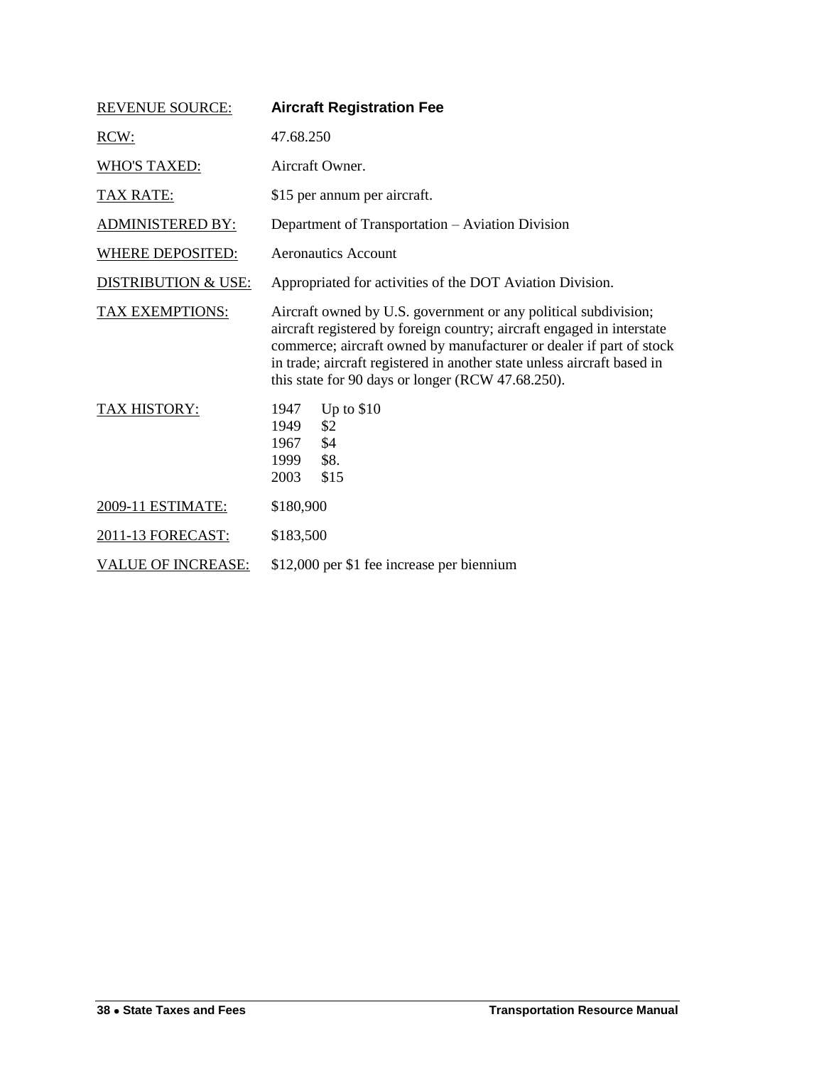<span id="page-9-0"></span>

| <b>REVENUE SOURCE:</b>         | <b>Aircraft Registration Fee</b>                                                                                                                                                                                                                                                                                                                 |
|--------------------------------|--------------------------------------------------------------------------------------------------------------------------------------------------------------------------------------------------------------------------------------------------------------------------------------------------------------------------------------------------|
| RCW:                           | 47.68.250                                                                                                                                                                                                                                                                                                                                        |
| <b>WHO'S TAXED:</b>            | Aircraft Owner.                                                                                                                                                                                                                                                                                                                                  |
| <b>TAX RATE:</b>               | \$15 per annum per aircraft.                                                                                                                                                                                                                                                                                                                     |
| <b>ADMINISTERED BY:</b>        | Department of Transportation - Aviation Division                                                                                                                                                                                                                                                                                                 |
| <b>WHERE DEPOSITED:</b>        | <b>Aeronautics Account</b>                                                                                                                                                                                                                                                                                                                       |
| <b>DISTRIBUTION &amp; USE:</b> | Appropriated for activities of the DOT Aviation Division.                                                                                                                                                                                                                                                                                        |
| <b>TAX EXEMPTIONS:</b>         | Aircraft owned by U.S. government or any political subdivision;<br>aircraft registered by foreign country; aircraft engaged in interstate<br>commerce; aircraft owned by manufacturer or dealer if part of stock<br>in trade; aircraft registered in another state unless aircraft based in<br>this state for 90 days or longer (RCW 47.68.250). |
| TAX HISTORY:                   | Up to \$10<br>1947<br>\$2<br>1949<br>1967<br>\$4<br>\$8.<br>1999<br>2003<br>\$15                                                                                                                                                                                                                                                                 |
| 2009-11 ESTIMATE:              | \$180,900                                                                                                                                                                                                                                                                                                                                        |
| 2011-13 FORECAST:              | \$183,500                                                                                                                                                                                                                                                                                                                                        |
| <b>VALUE OF INCREASE:</b>      | \$12,000 per \$1 fee increase per biennium                                                                                                                                                                                                                                                                                                       |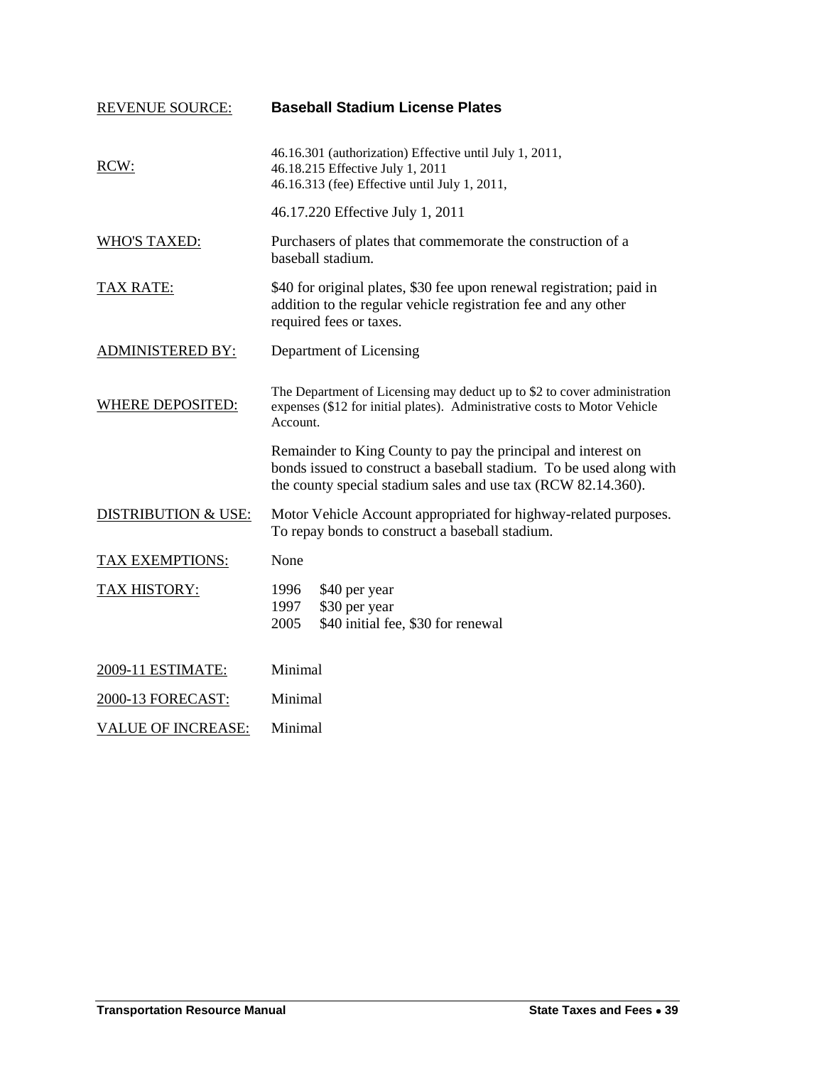<span id="page-10-0"></span>

| <b>REVENUE SOURCE:</b>         | <b>Baseball Stadium License Plates</b>                                                                                                                                                                |  |
|--------------------------------|-------------------------------------------------------------------------------------------------------------------------------------------------------------------------------------------------------|--|
| RCW:                           | 46.16.301 (authorization) Effective until July 1, 2011,<br>46.18.215 Effective July 1, 2011<br>46.16.313 (fee) Effective until July 1, 2011,                                                          |  |
|                                | 46.17.220 Effective July 1, 2011                                                                                                                                                                      |  |
| <b>WHO'S TAXED:</b>            | Purchasers of plates that commemorate the construction of a<br>baseball stadium.                                                                                                                      |  |
| <b>TAX RATE:</b>               | \$40 for original plates, \$30 fee upon renewal registration; paid in<br>addition to the regular vehicle registration fee and any other<br>required fees or taxes.                                    |  |
| <b>ADMINISTERED BY:</b>        | Department of Licensing                                                                                                                                                                               |  |
| <b>WHERE DEPOSITED:</b>        | The Department of Licensing may deduct up to \$2 to cover administration<br>expenses (\$12 for initial plates). Administrative costs to Motor Vehicle<br>Account.                                     |  |
|                                | Remainder to King County to pay the principal and interest on<br>bonds issued to construct a baseball stadium. To be used along with<br>the county special stadium sales and use tax (RCW 82.14.360). |  |
| <b>DISTRIBUTION &amp; USE:</b> | Motor Vehicle Account appropriated for highway-related purposes.<br>To repay bonds to construct a baseball stadium.                                                                                   |  |
| <b>TAX EXEMPTIONS:</b>         | None                                                                                                                                                                                                  |  |
| <b>TAX HISTORY:</b>            | 1996<br>\$40 per year<br>\$30 per year<br>1997<br>\$40 initial fee, \$30 for renewal<br>2005                                                                                                          |  |
| 2009-11 ESTIMATE:              | Minimal                                                                                                                                                                                               |  |
| 2000-13 FORECAST:              | Minimal                                                                                                                                                                                               |  |
| <b>VALUE OF INCREASE:</b>      | Minimal                                                                                                                                                                                               |  |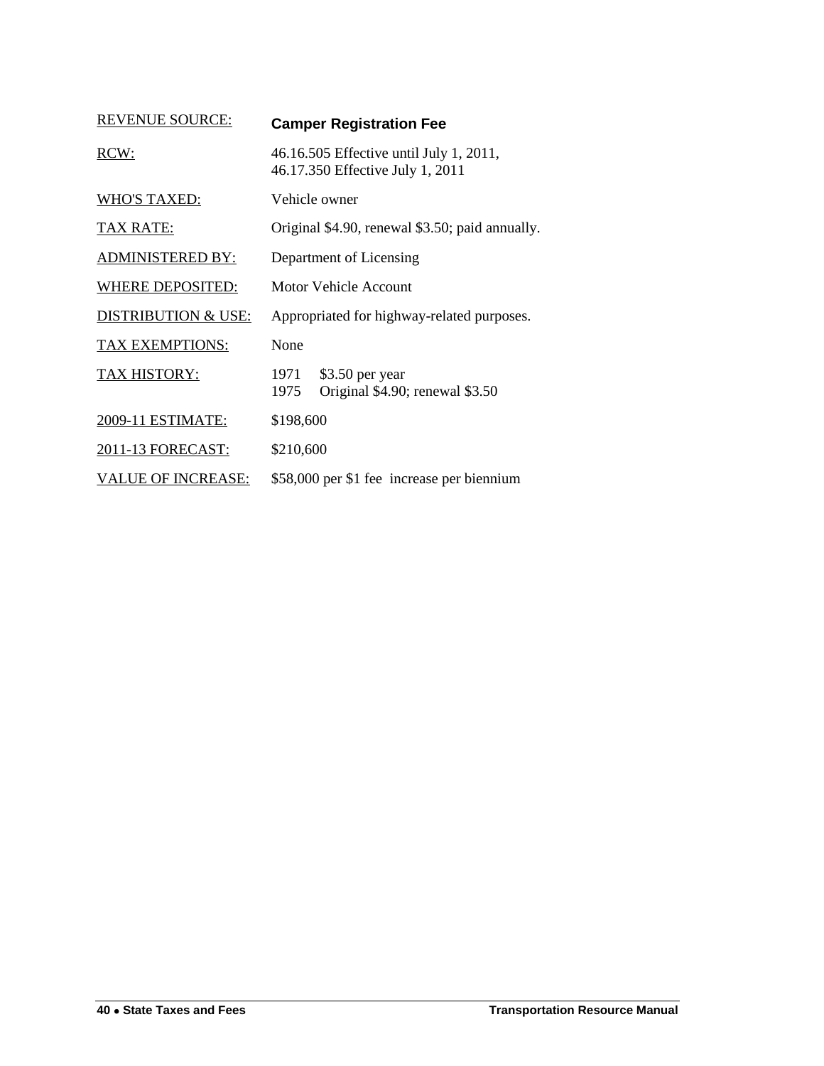<span id="page-11-0"></span>

| <b>REVENUE SOURCE:</b>    | <b>Camper Registration Fee</b>                                              |  |
|---------------------------|-----------------------------------------------------------------------------|--|
| RCW:                      | 46.16.505 Effective until July 1, 2011,<br>46.17.350 Effective July 1, 2011 |  |
| <b>WHO'S TAXED:</b>       | Vehicle owner                                                               |  |
| <b>TAX RATE:</b>          | Original \$4.90, renewal \$3.50; paid annually.                             |  |
| <b>ADMINISTERED BY:</b>   | Department of Licensing                                                     |  |
| <b>WHERE DEPOSITED:</b>   | Motor Vehicle Account                                                       |  |
| DISTRIBUTION & USE:       | Appropriated for highway-related purposes.                                  |  |
| TAX EXEMPTIONS:           | None                                                                        |  |
| <b>TAX HISTORY:</b>       | $$3.50$ per year<br>1971<br>Original \$4.90; renewal \$3.50<br>1975         |  |
| 2009-11 ESTIMATE:         | \$198,600                                                                   |  |
| 2011-13 FORECAST:         | \$210,600                                                                   |  |
| <b>VALUE OF INCREASE:</b> | \$58,000 per \$1 fee increase per biennium                                  |  |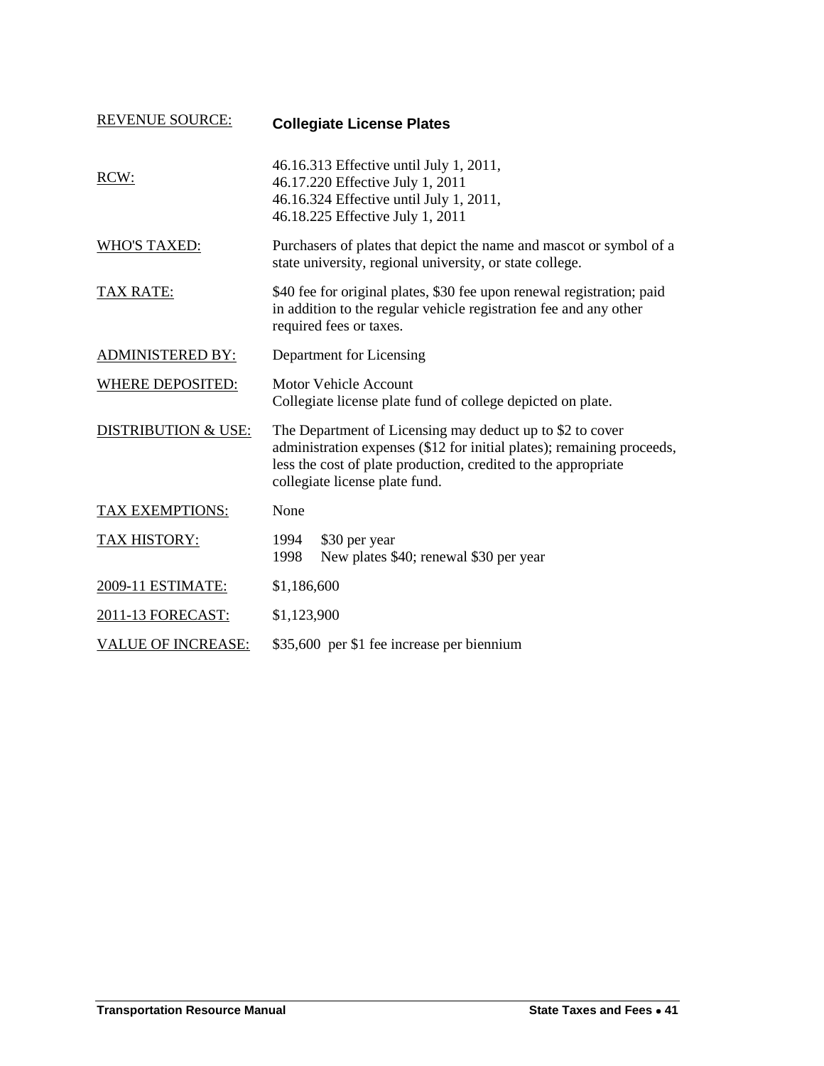<span id="page-12-0"></span>

| <b>REVENUE SOURCE:</b>         | <b>Collegiate License Plates</b>                                                                                                                                                                                                        |
|--------------------------------|-----------------------------------------------------------------------------------------------------------------------------------------------------------------------------------------------------------------------------------------|
| RCW:                           | 46.16.313 Effective until July 1, 2011,<br>46.17.220 Effective July 1, 2011<br>46.16.324 Effective until July 1, 2011,<br>46.18.225 Effective July 1, 2011                                                                              |
| <b>WHO'S TAXED:</b>            | Purchasers of plates that depict the name and mascot or symbol of a<br>state university, regional university, or state college.                                                                                                         |
| <u>TAX RATE:</u>               | \$40 fee for original plates, \$30 fee upon renewal registration; paid<br>in addition to the regular vehicle registration fee and any other<br>required fees or taxes.                                                                  |
| <b>ADMINISTERED BY:</b>        | Department for Licensing                                                                                                                                                                                                                |
| <b>WHERE DEPOSITED:</b>        | <b>Motor Vehicle Account</b><br>Collegiate license plate fund of college depicted on plate.                                                                                                                                             |
| <b>DISTRIBUTION &amp; USE:</b> | The Department of Licensing may deduct up to \$2 to cover<br>administration expenses (\$12 for initial plates); remaining proceeds,<br>less the cost of plate production, credited to the appropriate<br>collegiate license plate fund. |
| TAX EXEMPTIONS:                | None                                                                                                                                                                                                                                    |
| <b>TAX HISTORY:</b>            | \$30 per year<br>1994<br>New plates \$40; renewal \$30 per year<br>1998                                                                                                                                                                 |
| 2009-11 ESTIMATE:              | \$1,186,600                                                                                                                                                                                                                             |
| 2011-13 FORECAST:              | \$1,123,900                                                                                                                                                                                                                             |
| <b>VALUE OF INCREASE:</b>      | \$35,600 per \$1 fee increase per biennium                                                                                                                                                                                              |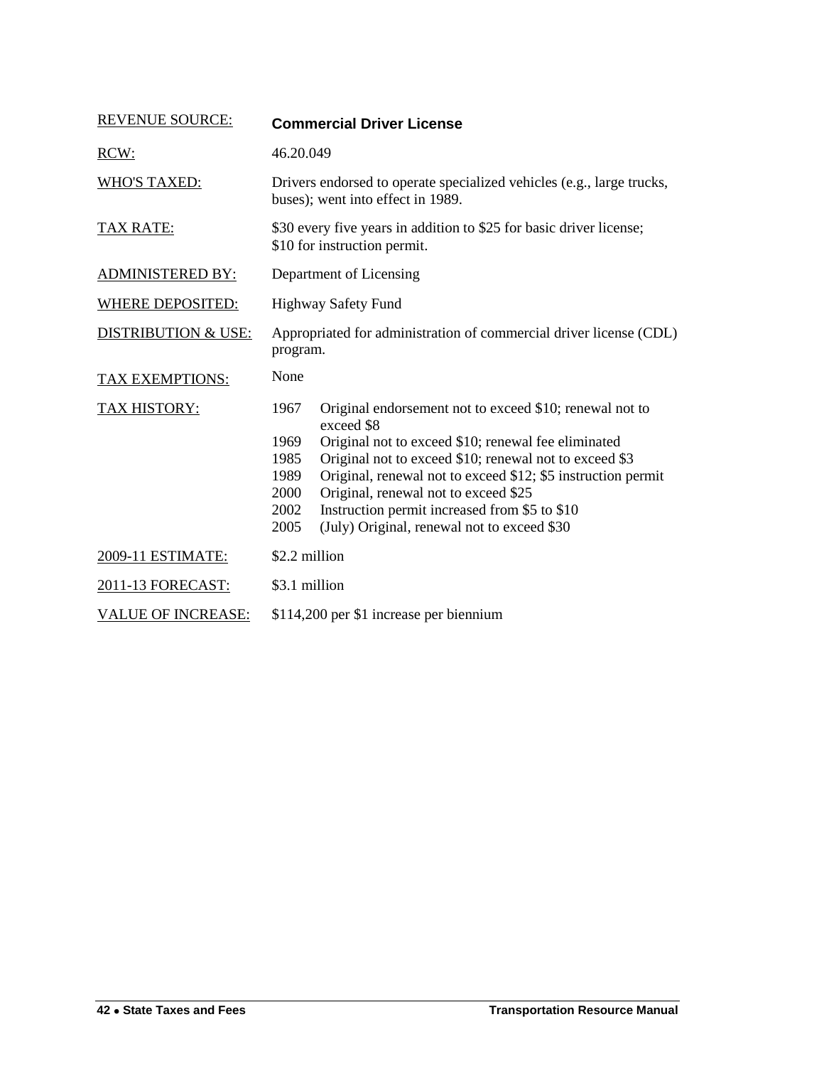<span id="page-13-0"></span>

| <b>REVENUE SOURCE:</b>         | <b>Commercial Driver License</b>                                                                                                                                                                                                                                                                                                                                                                                                                       |
|--------------------------------|--------------------------------------------------------------------------------------------------------------------------------------------------------------------------------------------------------------------------------------------------------------------------------------------------------------------------------------------------------------------------------------------------------------------------------------------------------|
| RCW:                           | 46.20.049                                                                                                                                                                                                                                                                                                                                                                                                                                              |
| <b>WHO'S TAXED:</b>            | Drivers endorsed to operate specialized vehicles (e.g., large trucks,<br>buses); went into effect in 1989.                                                                                                                                                                                                                                                                                                                                             |
| TAX RATE:                      | \$30 every five years in addition to \$25 for basic driver license;<br>\$10 for instruction permit.                                                                                                                                                                                                                                                                                                                                                    |
| <b>ADMINISTERED BY:</b>        | Department of Licensing                                                                                                                                                                                                                                                                                                                                                                                                                                |
| <b>WHERE DEPOSITED:</b>        | <b>Highway Safety Fund</b>                                                                                                                                                                                                                                                                                                                                                                                                                             |
| <b>DISTRIBUTION &amp; USE:</b> | Appropriated for administration of commercial driver license (CDL)<br>program.                                                                                                                                                                                                                                                                                                                                                                         |
| TAX EXEMPTIONS:                | None                                                                                                                                                                                                                                                                                                                                                                                                                                                   |
| TAX HISTORY:                   | 1967<br>Original endorsement not to exceed \$10; renewal not to<br>exceed \$8<br>Original not to exceed \$10; renewal fee eliminated<br>1969<br>1985<br>Original not to exceed \$10; renewal not to exceed \$3<br>Original, renewal not to exceed \$12; \$5 instruction permit<br>1989<br>2000<br>Original, renewal not to exceed \$25<br>Instruction permit increased from \$5 to \$10<br>2002<br>(July) Original, renewal not to exceed \$30<br>2005 |
| 2009-11 ESTIMATE:              | \$2.2 million                                                                                                                                                                                                                                                                                                                                                                                                                                          |
| 2011-13 FORECAST:              | \$3.1 million                                                                                                                                                                                                                                                                                                                                                                                                                                          |
| <b>VALUE OF INCREASE:</b>      | \$114,200 per \$1 increase per biennium                                                                                                                                                                                                                                                                                                                                                                                                                |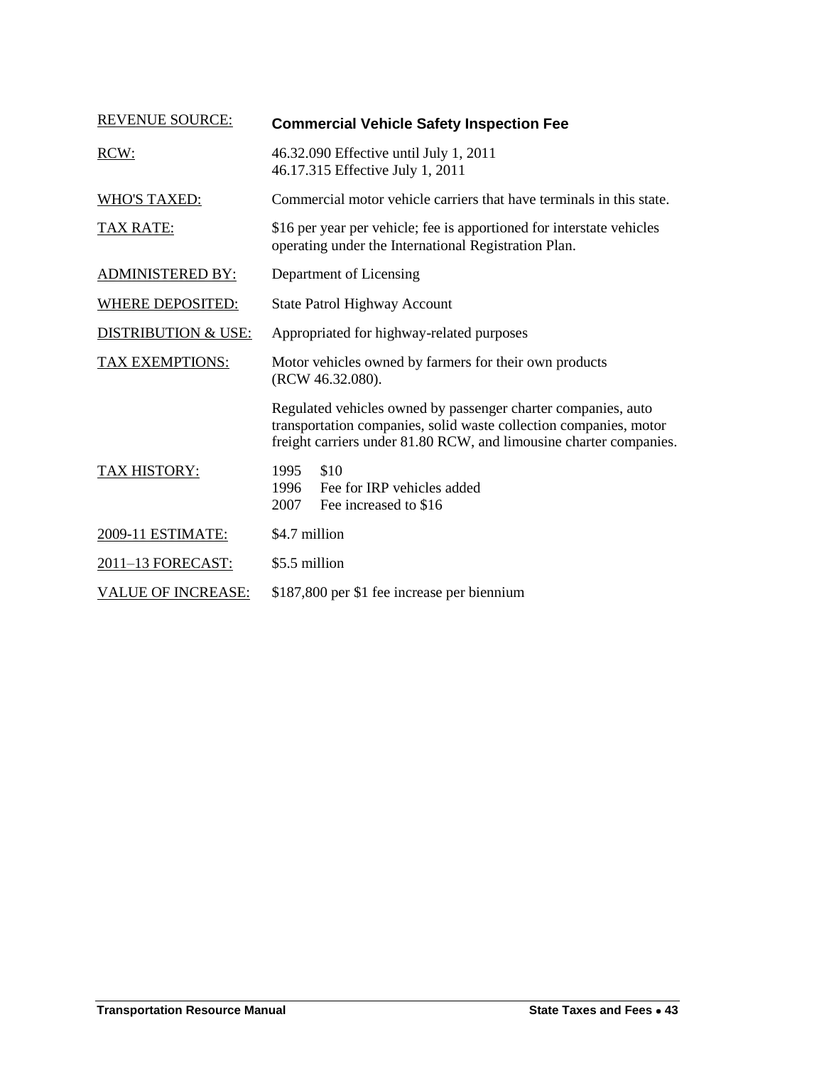<span id="page-14-0"></span>

| <b>REVENUE SOURCE:</b>         | <b>Commercial Vehicle Safety Inspection Fee</b>                                                                                                                                                          |
|--------------------------------|----------------------------------------------------------------------------------------------------------------------------------------------------------------------------------------------------------|
| RCW:                           | 46.32.090 Effective until July 1, 2011<br>46.17.315 Effective July 1, 2011                                                                                                                               |
| <b>WHO'S TAXED:</b>            | Commercial motor vehicle carriers that have terminals in this state.                                                                                                                                     |
| <b>TAX RATE:</b>               | \$16 per year per vehicle; fee is apportioned for interstate vehicles<br>operating under the International Registration Plan.                                                                            |
| <b>ADMINISTERED BY:</b>        | Department of Licensing                                                                                                                                                                                  |
| <b>WHERE DEPOSITED:</b>        | <b>State Patrol Highway Account</b>                                                                                                                                                                      |
| <b>DISTRIBUTION &amp; USE:</b> | Appropriated for highway-related purposes                                                                                                                                                                |
| TAX EXEMPTIONS:                | Motor vehicles owned by farmers for their own products<br>(RCW 46.32.080).                                                                                                                               |
|                                | Regulated vehicles owned by passenger charter companies, auto<br>transportation companies, solid waste collection companies, motor<br>freight carriers under 81.80 RCW, and limousine charter companies. |
| <b>TAX HISTORY:</b>            | \$10<br>1995<br>Fee for IRP vehicles added<br>1996<br>2007<br>Fee increased to \$16                                                                                                                      |
| 2009-11 ESTIMATE:              | \$4.7 million                                                                                                                                                                                            |
| 2011-13 FORECAST:              | \$5.5 million                                                                                                                                                                                            |
| <b>VALUE OF INCREASE:</b>      | \$187,800 per \$1 fee increase per biennium                                                                                                                                                              |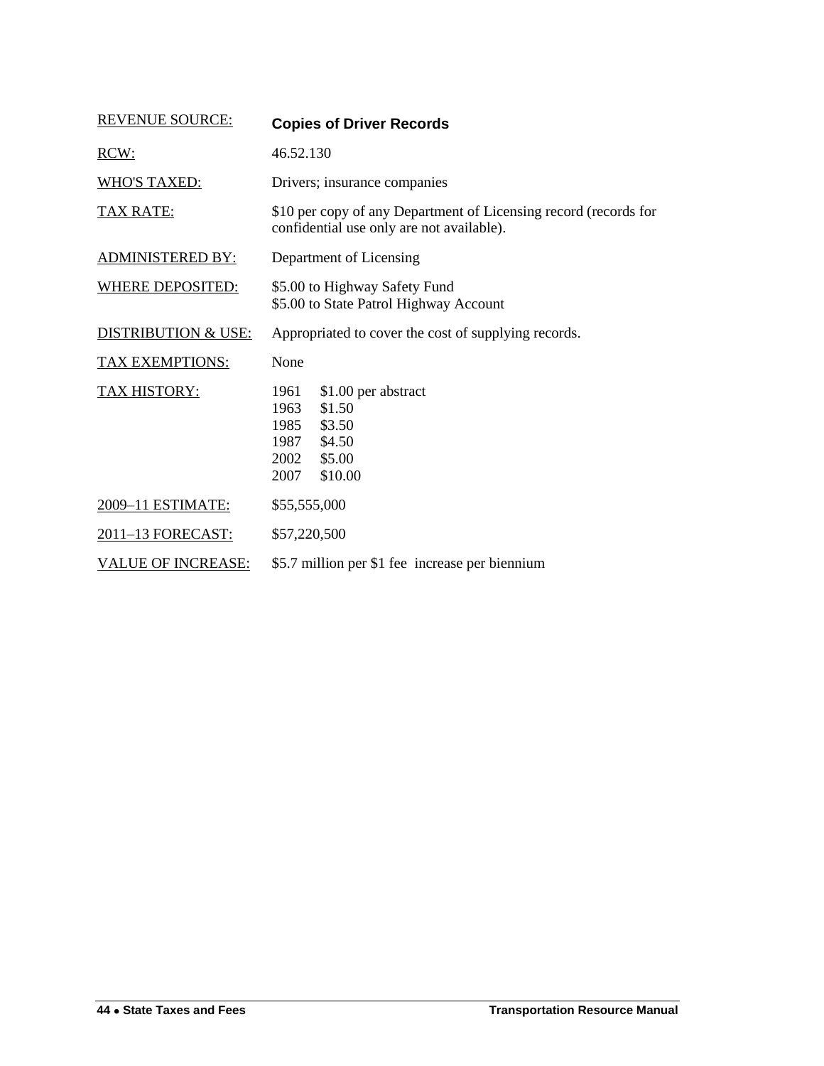<span id="page-15-0"></span>

| <b>REVENUE SOURCE:</b>         | <b>Copies of Driver Records</b>                                                                                        |
|--------------------------------|------------------------------------------------------------------------------------------------------------------------|
| RCW:                           | 46.52.130                                                                                                              |
| <b>WHO'S TAXED:</b>            | Drivers; insurance companies                                                                                           |
| <b>TAX RATE:</b>               | \$10 per copy of any Department of Licensing record (records for<br>confidential use only are not available).          |
| <u>ADMINISTERED BY:</u>        | Department of Licensing                                                                                                |
| <b>WHERE DEPOSITED:</b>        | \$5.00 to Highway Safety Fund<br>\$5.00 to State Patrol Highway Account                                                |
| <b>DISTRIBUTION &amp; USE:</b> | Appropriated to cover the cost of supplying records.                                                                   |
| <b>TAX EXEMPTIONS:</b>         | None                                                                                                                   |
| <b>TAX HISTORY:</b>            | \$1.00 per abstract<br>1961<br>\$1.50<br>1963<br>1985<br>\$3.50<br>\$4.50<br>1987<br>2002<br>\$5.00<br>\$10.00<br>2007 |
| 2009-11 ESTIMATE:              | \$55,555,000                                                                                                           |
| 2011-13 FORECAST:              | \$57,220,500                                                                                                           |
| <b>VALUE OF INCREASE:</b>      | \$5.7 million per \$1 fee increase per biennium                                                                        |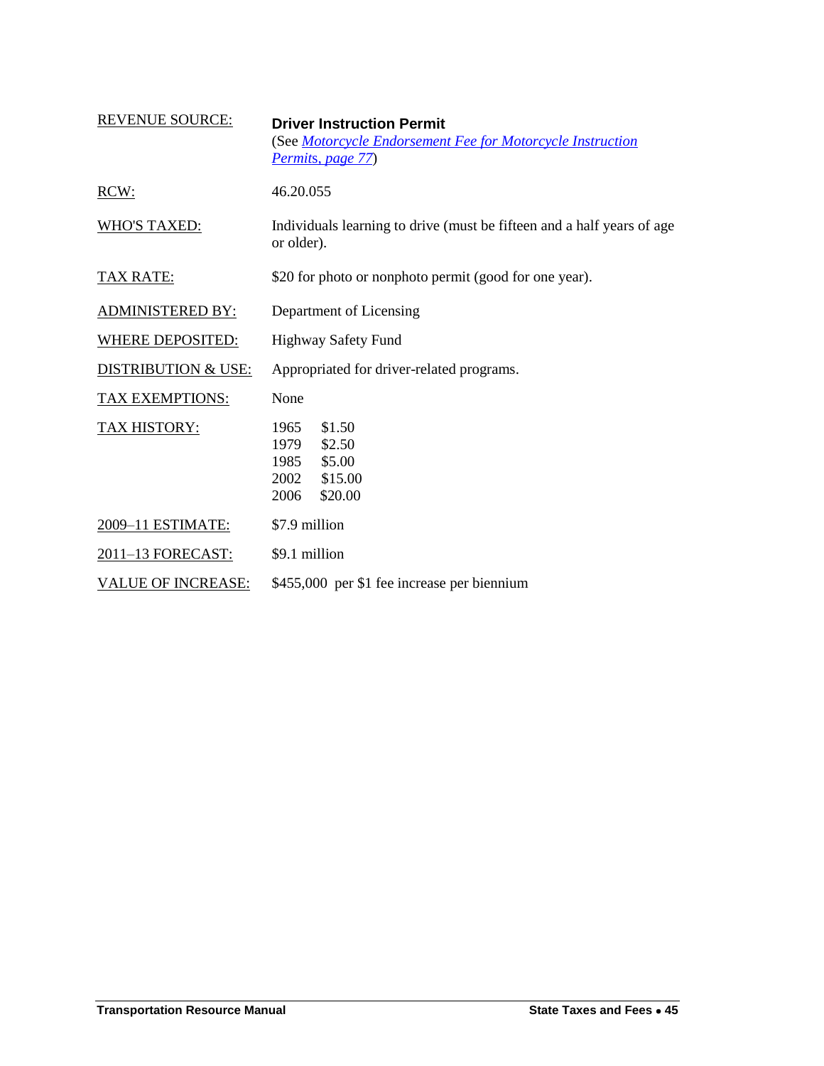<span id="page-16-0"></span>

| <b>REVENUE SOURCE:</b>         | <b>Driver Instruction Permit</b><br>(See Motorcycle Endorsement Fee for Motorcycle Instruction<br>Permits, page 77) |
|--------------------------------|---------------------------------------------------------------------------------------------------------------------|
| RCW:                           | 46.20.055                                                                                                           |
| <b>WHO'S TAXED:</b>            | Individuals learning to drive (must be fifteen and a half years of age<br>or older).                                |
| <b>TAX RATE:</b>               | \$20 for photo or nonphoto permit (good for one year).                                                              |
| <b>ADMINISTERED BY:</b>        | Department of Licensing                                                                                             |
| <b>WHERE DEPOSITED:</b>        | <b>Highway Safety Fund</b>                                                                                          |
| <u>DISTRIBUTION &amp; USE:</u> | Appropriated for driver-related programs.                                                                           |
| <b>TAX EXEMPTIONS:</b>         | None                                                                                                                |
| <b>TAX HISTORY:</b>            | \$1.50<br>1965<br>\$2.50<br>1979<br>\$5.00<br>1985<br>2002<br>\$15.00<br>2006<br>\$20.00                            |
| 2009-11 ESTIMATE:              | \$7.9 million                                                                                                       |
| 2011-13 FORECAST:              | \$9.1 million                                                                                                       |
| <b>VALUE OF INCREASE:</b>      | \$455,000 per \$1 fee increase per biennium                                                                         |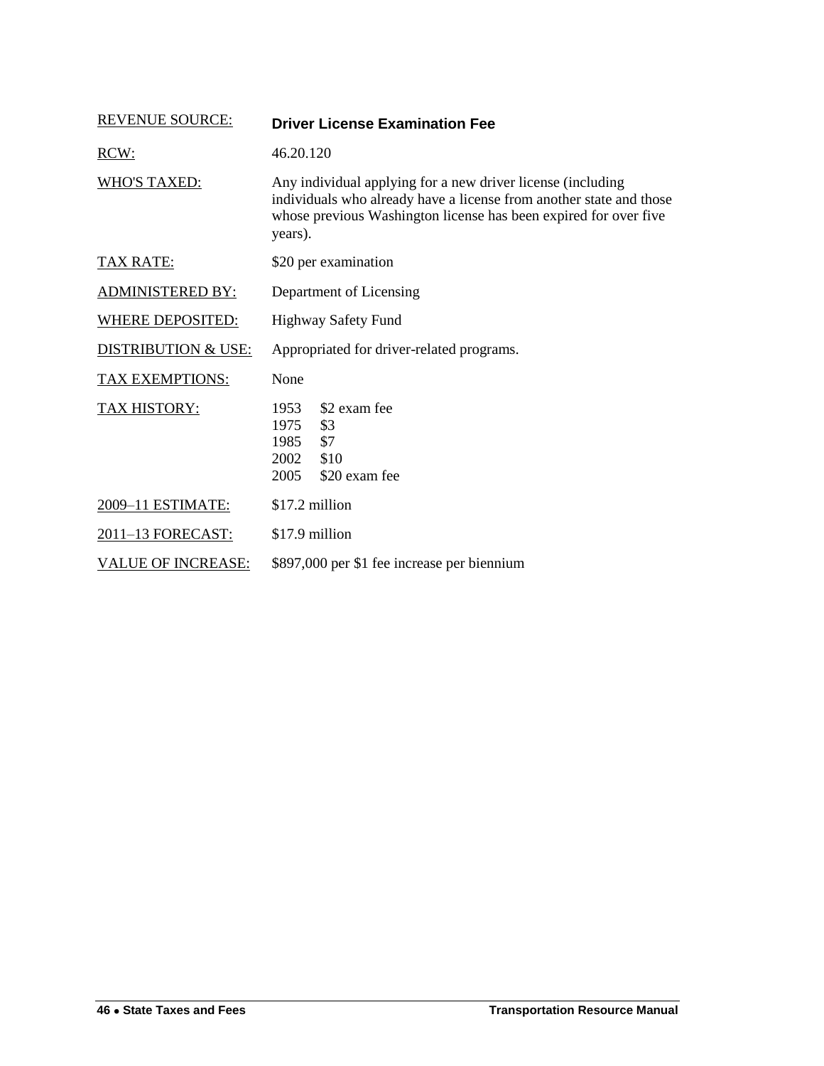<span id="page-17-0"></span>

| <b>REVENUE SOURCE:</b>         | <b>Driver License Examination Fee</b>                                                                                                                                                                             |
|--------------------------------|-------------------------------------------------------------------------------------------------------------------------------------------------------------------------------------------------------------------|
| RCW:                           | 46.20.120                                                                                                                                                                                                         |
| <b>WHO'S TAXED:</b>            | Any individual applying for a new driver license (including<br>individuals who already have a license from another state and those<br>whose previous Washington license has been expired for over five<br>years). |
| <b>TAX RATE:</b>               | \$20 per examination                                                                                                                                                                                              |
| ADMINISTERED BY:               | Department of Licensing                                                                                                                                                                                           |
| <b>WHERE DEPOSITED:</b>        | <b>Highway Safety Fund</b>                                                                                                                                                                                        |
| <b>DISTRIBUTION &amp; USE:</b> | Appropriated for driver-related programs.                                                                                                                                                                         |
| TAX EXEMPTIONS:                | None                                                                                                                                                                                                              |
| TAX HISTORY:                   | \$2 exam fee<br>1953<br>\$3<br>1975<br>\$7<br>1985<br>2002<br>\$10<br>2005<br>\$20 exam fee                                                                                                                       |
| 2009-11 ESTIMATE:              | \$17.2 million                                                                                                                                                                                                    |
| 2011-13 FORECAST:              | \$17.9 million                                                                                                                                                                                                    |
| <b>VALUE OF INCREASE:</b>      | \$897,000 per \$1 fee increase per biennium                                                                                                                                                                       |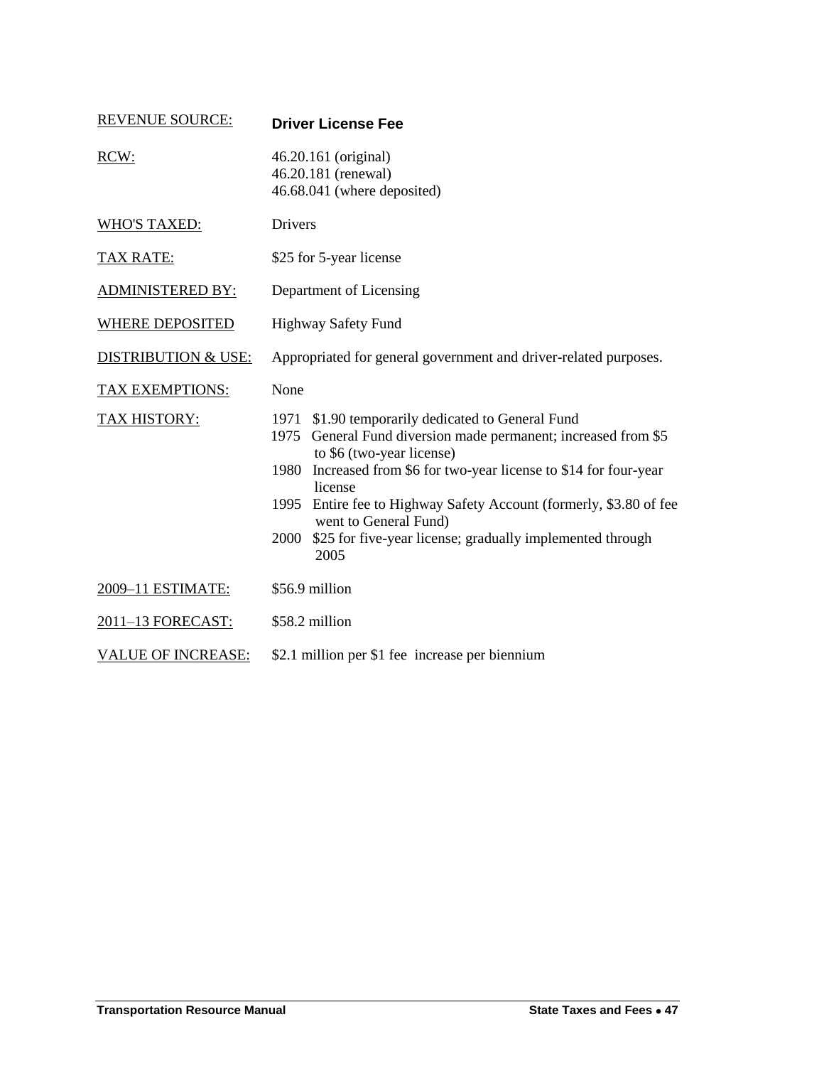<span id="page-18-0"></span>

| <b>REVENUE SOURCE:</b>         | <b>Driver License Fee</b>                                                                                                                                                                                                                                                                                                                                                                                                 |
|--------------------------------|---------------------------------------------------------------------------------------------------------------------------------------------------------------------------------------------------------------------------------------------------------------------------------------------------------------------------------------------------------------------------------------------------------------------------|
| RCW:                           | 46.20.161 (original)<br>46.20.181 (renewal)<br>46.68.041 (where deposited)                                                                                                                                                                                                                                                                                                                                                |
| <b>WHO'S TAXED:</b>            | Drivers                                                                                                                                                                                                                                                                                                                                                                                                                   |
| <b>TAX RATE:</b>               | \$25 for 5-year license                                                                                                                                                                                                                                                                                                                                                                                                   |
| <b>ADMINISTERED BY:</b>        | Department of Licensing                                                                                                                                                                                                                                                                                                                                                                                                   |
| <b>WHERE DEPOSITED</b>         | Highway Safety Fund                                                                                                                                                                                                                                                                                                                                                                                                       |
| <b>DISTRIBUTION &amp; USE:</b> | Appropriated for general government and driver-related purposes.                                                                                                                                                                                                                                                                                                                                                          |
| <b>TAX EXEMPTIONS:</b>         | None                                                                                                                                                                                                                                                                                                                                                                                                                      |
| TAX HISTORY:                   | \$1.90 temporarily dedicated to General Fund<br>1971<br>General Fund diversion made permanent; increased from \$5<br>1975<br>to \$6 (two-year license)<br>Increased from \$6 for two-year license to \$14 for four-year<br>1980<br>license<br>Entire fee to Highway Safety Account (formerly, \$3.80 of fee<br>1995<br>went to General Fund)<br>\$25 for five-year license; gradually implemented through<br>2000<br>2005 |
| 2009-11 ESTIMATE:              | \$56.9 million                                                                                                                                                                                                                                                                                                                                                                                                            |
| 2011-13 FORECAST:              | \$58.2 million                                                                                                                                                                                                                                                                                                                                                                                                            |
| <b>VALUE OF INCREASE:</b>      | \$2.1 million per \$1 fee increase per biennium                                                                                                                                                                                                                                                                                                                                                                           |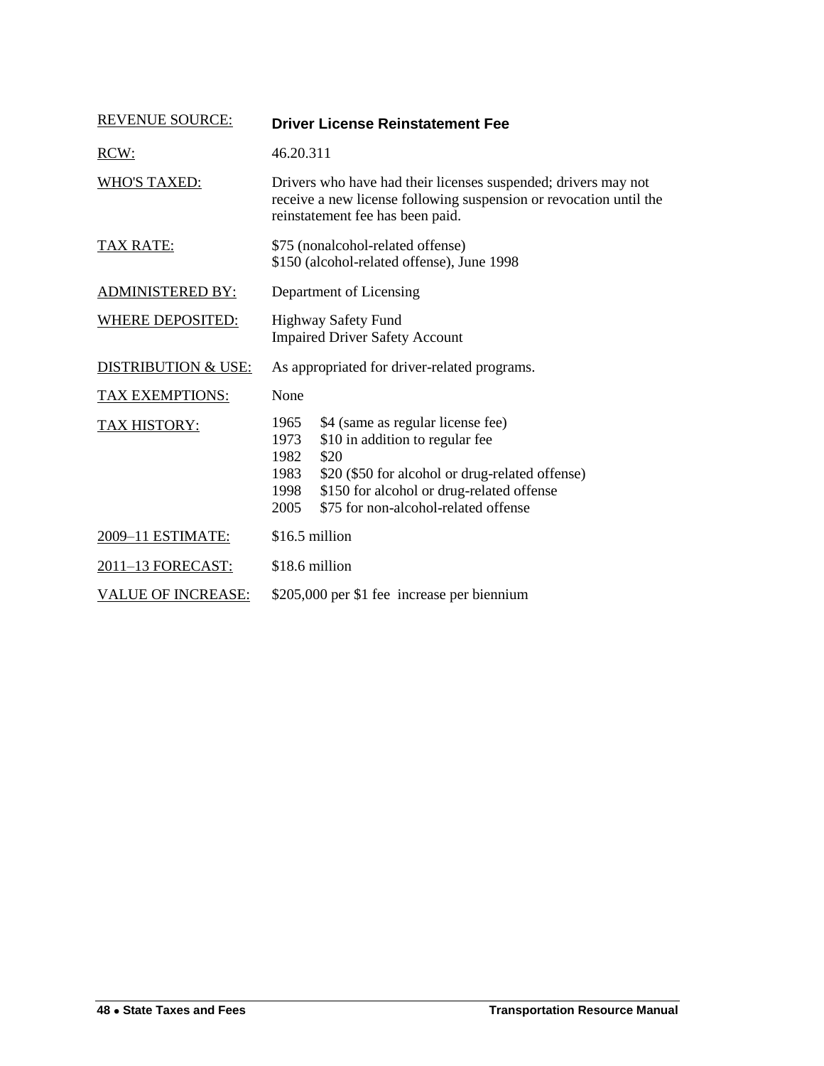<span id="page-19-0"></span>

| <b>REVENUE SOURCE:</b>    | <b>Driver License Reinstatement Fee</b>                                                                                                                                                                                                                              |
|---------------------------|----------------------------------------------------------------------------------------------------------------------------------------------------------------------------------------------------------------------------------------------------------------------|
| RCW:                      | 46.20.311                                                                                                                                                                                                                                                            |
| <b>WHO'S TAXED:</b>       | Drivers who have had their licenses suspended; drivers may not<br>receive a new license following suspension or revocation until the<br>reinstatement fee has been paid.                                                                                             |
| TAX RATE:                 | \$75 (nonalcohol-related offense)<br>\$150 (alcohol-related offense), June 1998                                                                                                                                                                                      |
| <b>ADMINISTERED BY:</b>   | Department of Licensing                                                                                                                                                                                                                                              |
| <b>WHERE DEPOSITED:</b>   | <b>Highway Safety Fund</b><br><b>Impaired Driver Safety Account</b>                                                                                                                                                                                                  |
| DISTRIBUTION & USE:       | As appropriated for driver-related programs.                                                                                                                                                                                                                         |
| <b>TAX EXEMPTIONS:</b>    | None                                                                                                                                                                                                                                                                 |
| <b>TAX HISTORY:</b>       | \$4 (same as regular license fee)<br>1965<br>\$10 in addition to regular fee<br>1973<br>1982<br>\$20<br>\$20 (\$50 for alcohol or drug-related offense)<br>1983<br>\$150 for alcohol or drug-related offense<br>1998<br>\$75 for non-alcohol-related offense<br>2005 |
| 2009-11 ESTIMATE:         | \$16.5 million                                                                                                                                                                                                                                                       |
| 2011-13 FORECAST:         | \$18.6 million                                                                                                                                                                                                                                                       |
| <b>VALUE OF INCREASE:</b> | \$205,000 per \$1 fee increase per biennium                                                                                                                                                                                                                          |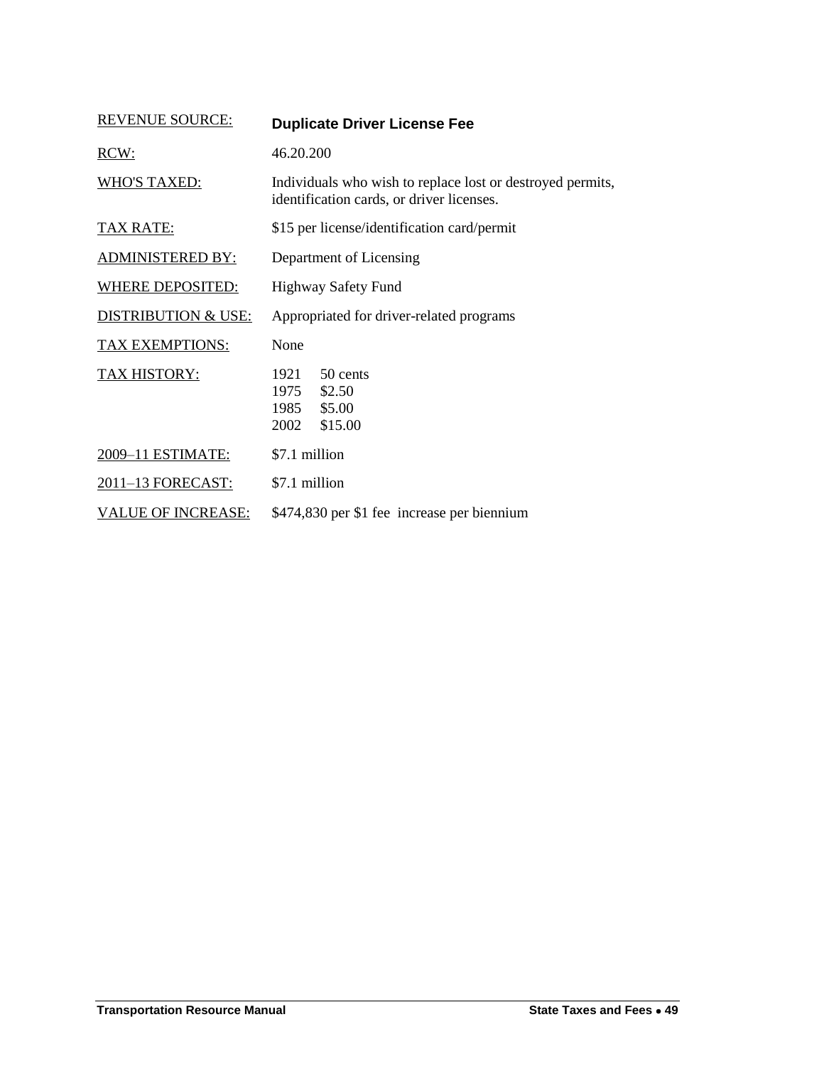<span id="page-20-0"></span>

| <b>REVENUE SOURCE:</b>         | <b>Duplicate Driver License Fee</b>                                                                     |
|--------------------------------|---------------------------------------------------------------------------------------------------------|
| RCW:                           | 46.20.200                                                                                               |
| <b>WHO'S TAXED:</b>            | Individuals who wish to replace lost or destroyed permits,<br>identification cards, or driver licenses. |
| <u>TAX RATE:</u>               | \$15 per license/identification card/permit                                                             |
| <b>ADMINISTERED BY:</b>        | Department of Licensing                                                                                 |
| WHERE DEPOSITED:               | <b>Highway Safety Fund</b>                                                                              |
| <b>DISTRIBUTION &amp; USE:</b> | Appropriated for driver-related programs                                                                |
| TAX EXEMPTIONS:                | None                                                                                                    |
| <b>TAX HISTORY:</b>            | 50 cents<br>1921<br>\$2.50<br>1975<br>\$5.00<br>1985<br>2002<br>\$15.00                                 |
| 2009-11 ESTIMATE:              | \$7.1 million                                                                                           |
| 2011-13 FORECAST:              | \$7.1 million                                                                                           |
| <b>VALUE OF INCREASE:</b>      | \$474,830 per \$1 fee increase per biennium                                                             |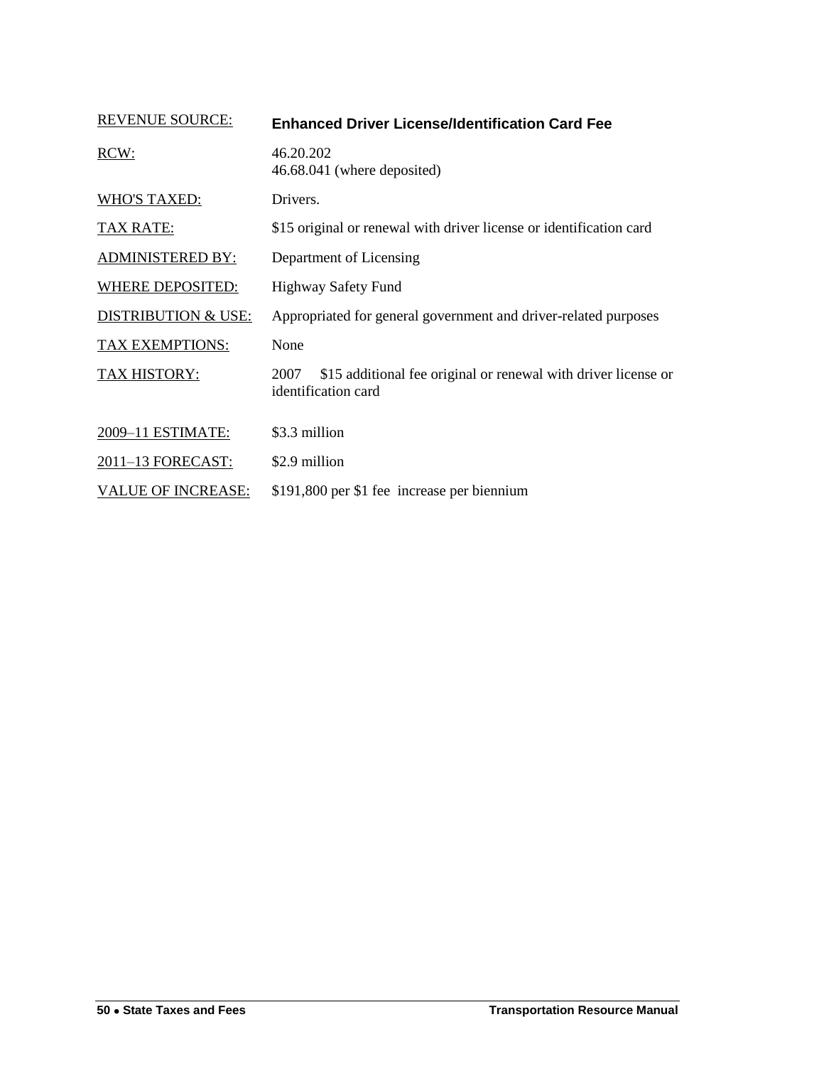<span id="page-21-0"></span>

| <b>REVENUE SOURCE:</b>         | <b>Enhanced Driver License/Identification Card Fee</b>                                        |
|--------------------------------|-----------------------------------------------------------------------------------------------|
| RCW:                           | 46.20.202<br>46.68.041 (where deposited)                                                      |
| <b>WHO'S TAXED:</b>            | Drivers.                                                                                      |
| <b>TAX RATE:</b>               | \$15 original or renewal with driver license or identification card                           |
| <b>ADMINISTERED BY:</b>        | Department of Licensing                                                                       |
| WHERE DEPOSITED:               | <b>Highway Safety Fund</b>                                                                    |
| <b>DISTRIBUTION &amp; USE:</b> | Appropriated for general government and driver-related purposes                               |
| TAX EXEMPTIONS:                | None                                                                                          |
| <b>TAX HISTORY:</b>            | \$15 additional fee original or renewal with driver license or<br>2007<br>identification card |
| 2009-11 ESTIMATE:              | \$3.3 million                                                                                 |
| 2011-13 FORECAST:              | \$2.9 million                                                                                 |
| <b>VALUE OF INCREASE:</b>      | \$191,800 per \$1 fee increase per biennium                                                   |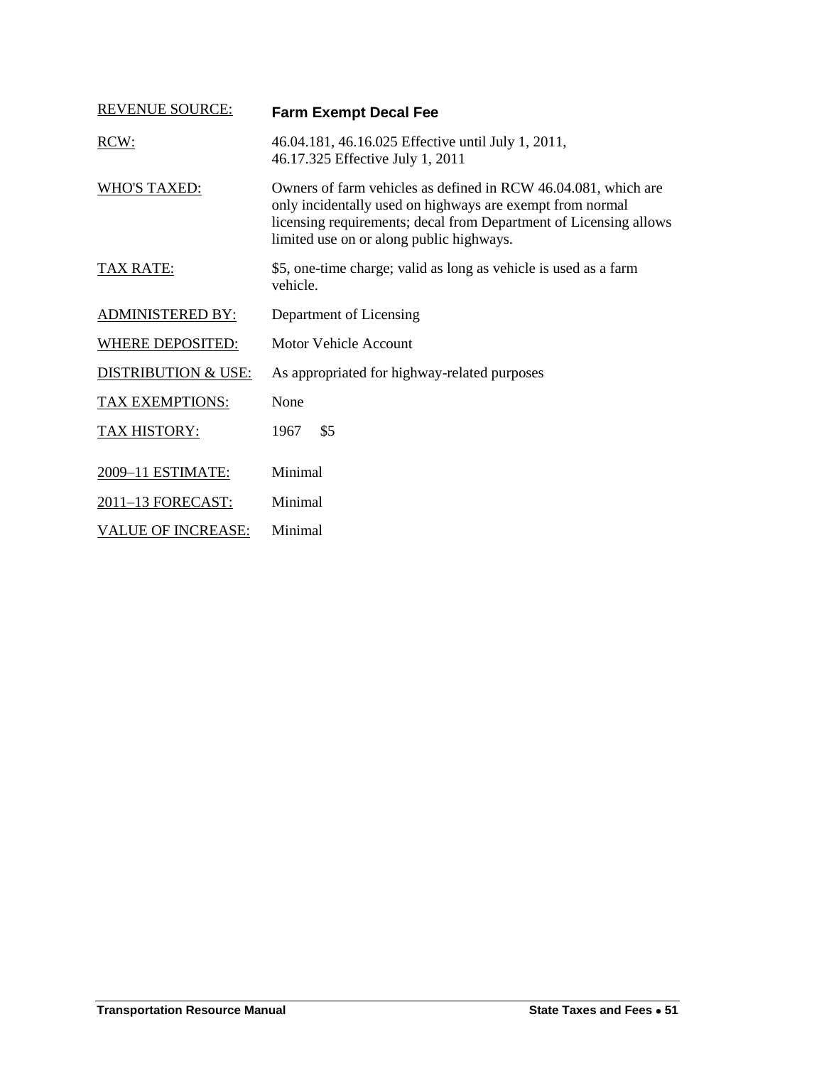<span id="page-22-0"></span>

| <b>REVENUE SOURCE:</b>         | <b>Farm Exempt Decal Fee</b>                                                                                                                                                                                                                 |
|--------------------------------|----------------------------------------------------------------------------------------------------------------------------------------------------------------------------------------------------------------------------------------------|
| RCW:                           | 46.04.181, 46.16.025 Effective until July 1, 2011,<br>46.17.325 Effective July 1, 2011                                                                                                                                                       |
| <b>WHO'S TAXED:</b>            | Owners of farm vehicles as defined in RCW 46.04.081, which are<br>only incidentally used on highways are exempt from normal<br>licensing requirements; decal from Department of Licensing allows<br>limited use on or along public highways. |
| <b>TAX RATE:</b>               | \$5, one-time charge; valid as long as vehicle is used as a farm<br>vehicle.                                                                                                                                                                 |
| <b>ADMINISTERED BY:</b>        | Department of Licensing                                                                                                                                                                                                                      |
| <b>WHERE DEPOSITED:</b>        | <b>Motor Vehicle Account</b>                                                                                                                                                                                                                 |
| <b>DISTRIBUTION &amp; USE:</b> | As appropriated for highway-related purposes                                                                                                                                                                                                 |
| TAX EXEMPTIONS:                | None                                                                                                                                                                                                                                         |
| <b>TAX HISTORY:</b>            | \$5<br>1967                                                                                                                                                                                                                                  |
| 2009-11 ESTIMATE:              | Minimal                                                                                                                                                                                                                                      |
| 2011-13 FORECAST:              | Minimal                                                                                                                                                                                                                                      |
| <b>VALUE OF INCREASE:</b>      | Minimal                                                                                                                                                                                                                                      |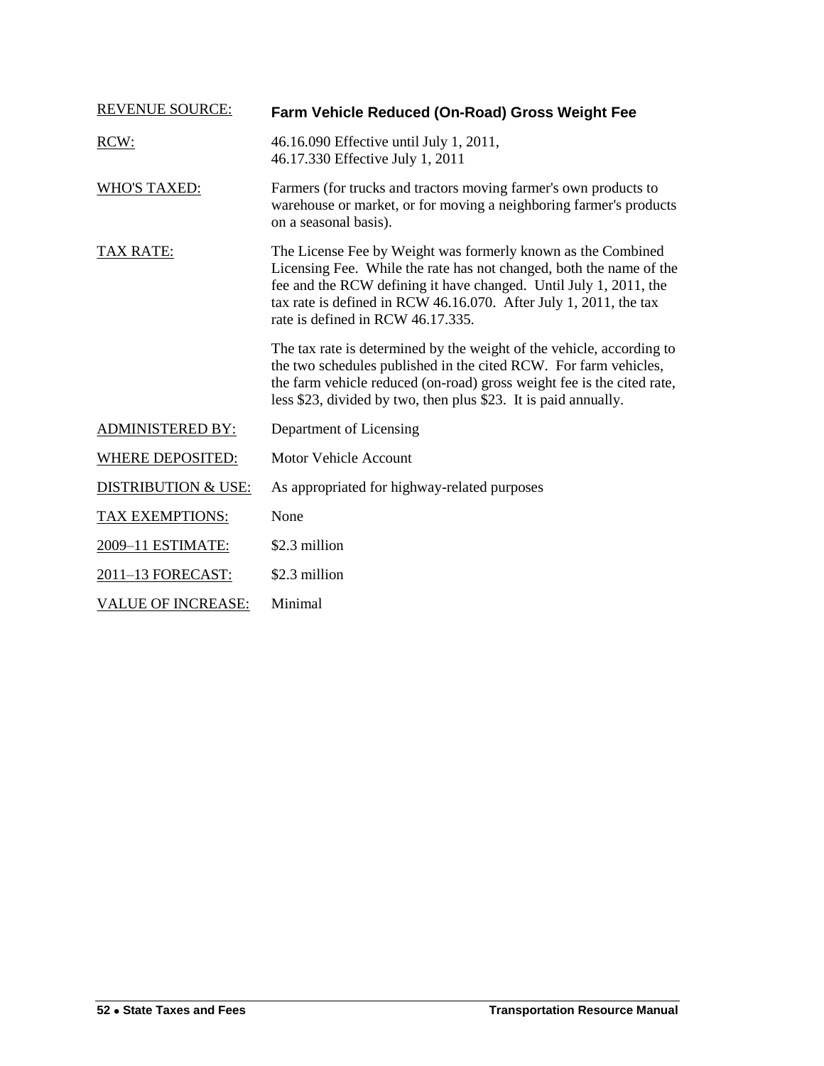<span id="page-23-0"></span>

| <b>REVENUE SOURCE:</b>         | Farm Vehicle Reduced (On-Road) Gross Weight Fee                                                                                                                                                                                                                                                                    |
|--------------------------------|--------------------------------------------------------------------------------------------------------------------------------------------------------------------------------------------------------------------------------------------------------------------------------------------------------------------|
| RCW:                           | 46.16.090 Effective until July 1, 2011,<br>46.17.330 Effective July 1, 2011                                                                                                                                                                                                                                        |
| <b>WHO'S TAXED:</b>            | Farmers (for trucks and tractors moving farmer's own products to<br>warehouse or market, or for moving a neighboring farmer's products<br>on a seasonal basis).                                                                                                                                                    |
| <b>TAX RATE:</b>               | The License Fee by Weight was formerly known as the Combined<br>Licensing Fee. While the rate has not changed, both the name of the<br>fee and the RCW defining it have changed. Until July 1, 2011, the<br>tax rate is defined in RCW 46.16.070. After July 1, 2011, the tax<br>rate is defined in RCW 46.17.335. |
|                                | The tax rate is determined by the weight of the vehicle, according to<br>the two schedules published in the cited RCW. For farm vehicles,<br>the farm vehicle reduced (on-road) gross weight fee is the cited rate,<br>less \$23, divided by two, then plus \$23. It is paid annually.                             |
| <b>ADMINISTERED BY:</b>        | Department of Licensing                                                                                                                                                                                                                                                                                            |
| <b>WHERE DEPOSITED:</b>        | <b>Motor Vehicle Account</b>                                                                                                                                                                                                                                                                                       |
| <b>DISTRIBUTION &amp; USE:</b> | As appropriated for highway-related purposes                                                                                                                                                                                                                                                                       |
| <b>TAX EXEMPTIONS:</b>         | None                                                                                                                                                                                                                                                                                                               |
| 2009-11 ESTIMATE:              | \$2.3 million                                                                                                                                                                                                                                                                                                      |
| 2011-13 FORECAST:              | \$2.3 million                                                                                                                                                                                                                                                                                                      |
| <b>VALUE OF INCREASE:</b>      | Minimal                                                                                                                                                                                                                                                                                                            |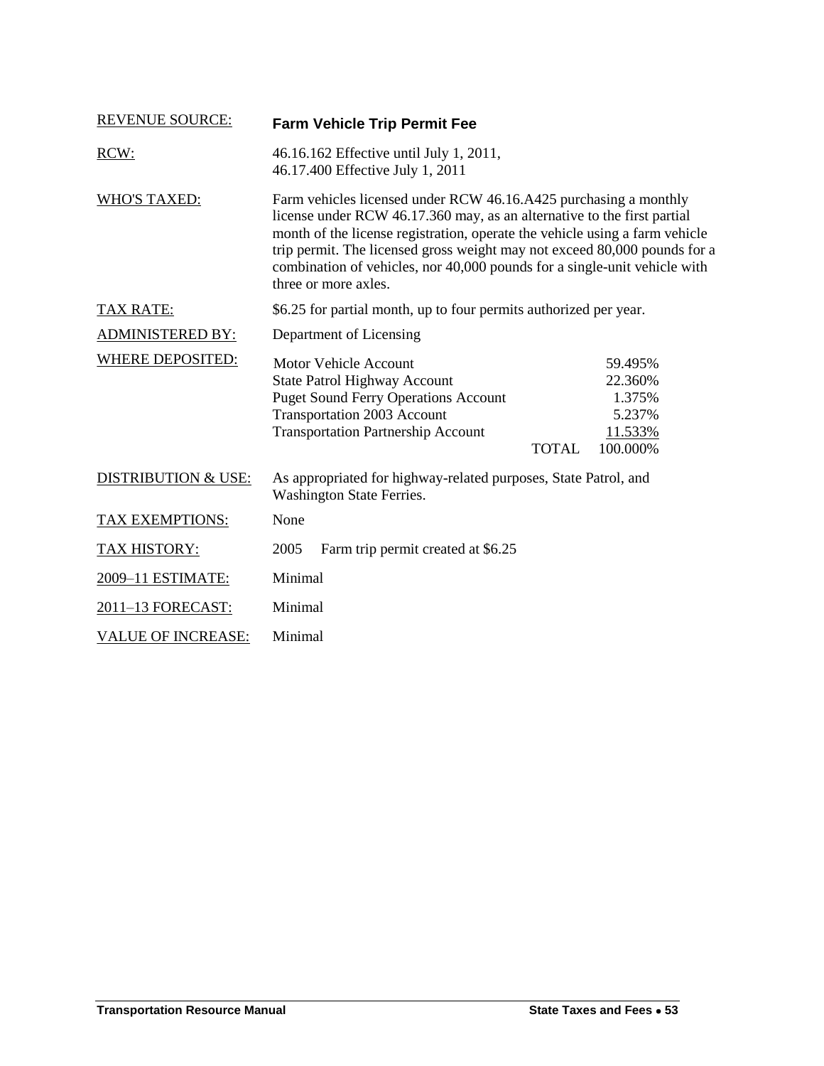<span id="page-24-0"></span>

| <b>REVENUE SOURCE:</b>         | <b>Farm Vehicle Trip Permit Fee</b>                                                                                                                                                                                                                                                                                                                                                                          |              |                                                               |
|--------------------------------|--------------------------------------------------------------------------------------------------------------------------------------------------------------------------------------------------------------------------------------------------------------------------------------------------------------------------------------------------------------------------------------------------------------|--------------|---------------------------------------------------------------|
| RCW:                           | 46.16.162 Effective until July 1, 2011,<br>46.17.400 Effective July 1, 2011                                                                                                                                                                                                                                                                                                                                  |              |                                                               |
| <b>WHO'S TAXED:</b>            | Farm vehicles licensed under RCW 46.16.A425 purchasing a monthly<br>license under RCW 46.17.360 may, as an alternative to the first partial<br>month of the license registration, operate the vehicle using a farm vehicle<br>trip permit. The licensed gross weight may not exceed 80,000 pounds for a<br>combination of vehicles, nor 40,000 pounds for a single-unit vehicle with<br>three or more axles. |              |                                                               |
| <b>TAX RATE:</b>               | \$6.25 for partial month, up to four permits authorized per year.                                                                                                                                                                                                                                                                                                                                            |              |                                                               |
| <b>ADMINISTERED BY:</b>        | Department of Licensing                                                                                                                                                                                                                                                                                                                                                                                      |              |                                                               |
| <b>WHERE DEPOSITED:</b>        | <b>Motor Vehicle Account</b><br><b>State Patrol Highway Account</b><br><b>Puget Sound Ferry Operations Account</b><br><b>Transportation 2003 Account</b><br><b>Transportation Partnership Account</b>                                                                                                                                                                                                        | <b>TOTAL</b> | 59.495%<br>22.360%<br>1.375%<br>5.237%<br>11.533%<br>100.000% |
| <b>DISTRIBUTION &amp; USE:</b> | As appropriated for highway-related purposes, State Patrol, and<br>Washington State Ferries.                                                                                                                                                                                                                                                                                                                 |              |                                                               |
| TAX EXEMPTIONS:                | None                                                                                                                                                                                                                                                                                                                                                                                                         |              |                                                               |
| <b>TAX HISTORY:</b>            | 2005<br>Farm trip permit created at \$6.25                                                                                                                                                                                                                                                                                                                                                                   |              |                                                               |
| 2009-11 ESTIMATE:              | Minimal                                                                                                                                                                                                                                                                                                                                                                                                      |              |                                                               |
| 2011-13 FORECAST:              | Minimal                                                                                                                                                                                                                                                                                                                                                                                                      |              |                                                               |
| <b>VALUE OF INCREASE:</b>      | Minimal                                                                                                                                                                                                                                                                                                                                                                                                      |              |                                                               |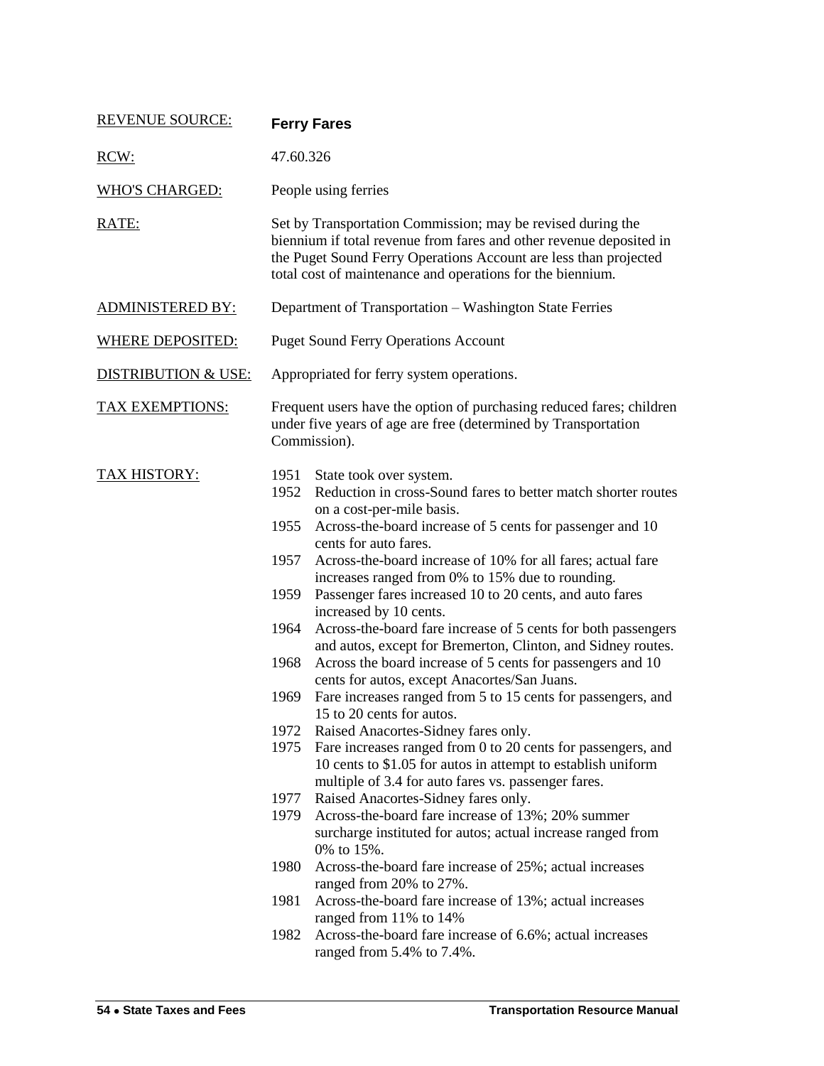<span id="page-25-0"></span>

| <b>REVENUE SOURCE:</b>         | <b>Ferry Fares</b>                                                                                                                                                                                                                                                   |                                                                                                                                                                                                                                                                                                                                                                                                                                                                                                                                                                                                                                                                                                                                                                                                                                                                                                                                                                                                                                                                                                                                                                                                                                                                                                                                                                                                                                                            |  |
|--------------------------------|----------------------------------------------------------------------------------------------------------------------------------------------------------------------------------------------------------------------------------------------------------------------|------------------------------------------------------------------------------------------------------------------------------------------------------------------------------------------------------------------------------------------------------------------------------------------------------------------------------------------------------------------------------------------------------------------------------------------------------------------------------------------------------------------------------------------------------------------------------------------------------------------------------------------------------------------------------------------------------------------------------------------------------------------------------------------------------------------------------------------------------------------------------------------------------------------------------------------------------------------------------------------------------------------------------------------------------------------------------------------------------------------------------------------------------------------------------------------------------------------------------------------------------------------------------------------------------------------------------------------------------------------------------------------------------------------------------------------------------------|--|
| RCW:                           | 47.60.326                                                                                                                                                                                                                                                            |                                                                                                                                                                                                                                                                                                                                                                                                                                                                                                                                                                                                                                                                                                                                                                                                                                                                                                                                                                                                                                                                                                                                                                                                                                                                                                                                                                                                                                                            |  |
| <b>WHO'S CHARGED:</b>          | People using ferries                                                                                                                                                                                                                                                 |                                                                                                                                                                                                                                                                                                                                                                                                                                                                                                                                                                                                                                                                                                                                                                                                                                                                                                                                                                                                                                                                                                                                                                                                                                                                                                                                                                                                                                                            |  |
| RATE:                          | Set by Transportation Commission; may be revised during the<br>biennium if total revenue from fares and other revenue deposited in<br>the Puget Sound Ferry Operations Account are less than projected<br>total cost of maintenance and operations for the biennium. |                                                                                                                                                                                                                                                                                                                                                                                                                                                                                                                                                                                                                                                                                                                                                                                                                                                                                                                                                                                                                                                                                                                                                                                                                                                                                                                                                                                                                                                            |  |
| <b>ADMINISTERED BY:</b>        | Department of Transportation - Washington State Ferries                                                                                                                                                                                                              |                                                                                                                                                                                                                                                                                                                                                                                                                                                                                                                                                                                                                                                                                                                                                                                                                                                                                                                                                                                                                                                                                                                                                                                                                                                                                                                                                                                                                                                            |  |
| <b>WHERE DEPOSITED:</b>        |                                                                                                                                                                                                                                                                      | <b>Puget Sound Ferry Operations Account</b>                                                                                                                                                                                                                                                                                                                                                                                                                                                                                                                                                                                                                                                                                                                                                                                                                                                                                                                                                                                                                                                                                                                                                                                                                                                                                                                                                                                                                |  |
| <b>DISTRIBUTION &amp; USE:</b> |                                                                                                                                                                                                                                                                      | Appropriated for ferry system operations.                                                                                                                                                                                                                                                                                                                                                                                                                                                                                                                                                                                                                                                                                                                                                                                                                                                                                                                                                                                                                                                                                                                                                                                                                                                                                                                                                                                                                  |  |
| <b>TAX EXEMPTIONS:</b>         | Frequent users have the option of purchasing reduced fares; children<br>under five years of age are free (determined by Transportation<br>Commission).                                                                                                               |                                                                                                                                                                                                                                                                                                                                                                                                                                                                                                                                                                                                                                                                                                                                                                                                                                                                                                                                                                                                                                                                                                                                                                                                                                                                                                                                                                                                                                                            |  |
| <b>TAX HISTORY:</b>            | 1951<br>1952<br>1955<br>1957<br>1964<br>1968<br>1969<br>1977<br>1979<br>1980<br>1981<br>1982                                                                                                                                                                         | State took over system.<br>Reduction in cross-Sound fares to better match shorter routes<br>on a cost-per-mile basis.<br>Across-the-board increase of 5 cents for passenger and 10<br>cents for auto fares.<br>Across-the-board increase of 10% for all fares; actual fare<br>increases ranged from 0% to 15% due to rounding.<br>1959 Passenger fares increased 10 to 20 cents, and auto fares<br>increased by 10 cents.<br>Across-the-board fare increase of 5 cents for both passengers<br>and autos, except for Bremerton, Clinton, and Sidney routes.<br>Across the board increase of 5 cents for passengers and 10<br>cents for autos, except Anacortes/San Juans.<br>Fare increases ranged from 5 to 15 cents for passengers, and<br>15 to 20 cents for autos.<br>1972 Raised Anacortes-Sidney fares only.<br>1975 Fare increases ranged from 0 to 20 cents for passengers, and<br>10 cents to \$1.05 for autos in attempt to establish uniform<br>multiple of 3.4 for auto fares vs. passenger fares.<br>Raised Anacortes-Sidney fares only.<br>Across-the-board fare increase of 13%; 20% summer<br>surcharge instituted for autos; actual increase ranged from<br>0% to 15%.<br>Across-the-board fare increase of 25%; actual increases<br>ranged from 20% to 27%.<br>Across-the-board fare increase of 13%; actual increases<br>ranged from 11% to 14%<br>Across-the-board fare increase of 6.6%; actual increases<br>ranged from 5.4% to 7.4%. |  |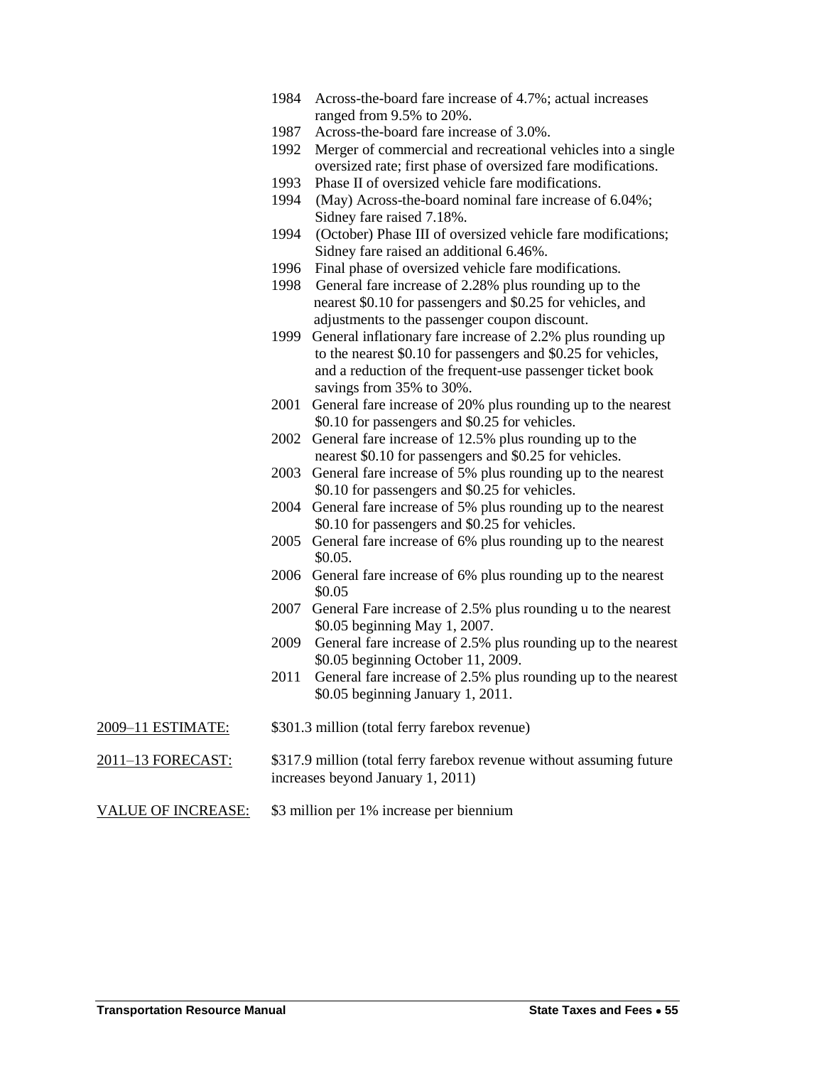- 1984 Across-the-board fare increase of 4.7%; actual increases ranged from 9.5% to 20%.
- 1987 Across-the-board fare increase of 3.0%.
- 1992 Merger of commercial and recreational vehicles into a single oversized rate; first phase of oversized fare modifications.
- 1993 Phase II of oversized vehicle fare modifications.
- 1994 (May) Across-the-board nominal fare increase of 6.04%; Sidney fare raised 7.18%.
- 1994 (October) Phase III of oversized vehicle fare modifications; Sidney fare raised an additional 6.46%.
- 1996 Final phase of oversized vehicle fare modifications.
- 1998 General fare increase of 2.28% plus rounding up to the nearest \$0.10 for passengers and \$0.25 for vehicles, and adjustments to the passenger coupon discount.
- 1999 General inflationary fare increase of 2.2% plus rounding up to the nearest \$0.10 for passengers and \$0.25 for vehicles, and a reduction of the frequent-use passenger ticket book savings from 35% to 30%.
- 2001 General fare increase of 20% plus rounding up to the nearest \$0.10 for passengers and \$0.25 for vehicles.
- 2002 General fare increase of 12.5% plus rounding up to the nearest \$0.10 for passengers and \$0.25 for vehicles.
- 2003 General fare increase of 5% plus rounding up to the nearest \$0.10 for passengers and \$0.25 for vehicles.
- 2004 General fare increase of 5% plus rounding up to the nearest \$0.10 for passengers and \$0.25 for vehicles.
- 2005 General fare increase of 6% plus rounding up to the nearest \$0.05.
- 2006 General fare increase of 6% plus rounding up to the nearest \$0.05
- 2007 General Fare increase of 2.5% plus rounding u to the nearest \$0.05 beginning May 1, 2007.
- 2009 General fare increase of 2.5% plus rounding up to the nearest \$0.05 beginning October 11, 2009.
- 2011 General fare increase of 2.5% plus rounding up to the nearest \$0.05 beginning January 1, 2011.
- 2009–11 ESTIMATE: \$301.3 million (total ferry farebox revenue)
- 2011–13 FORECAST: \$317.9 million (total ferry farebox revenue without assuming future increases beyond January 1, 2011)
- VALUE OF INCREASE: \$3 million per 1% increase per biennium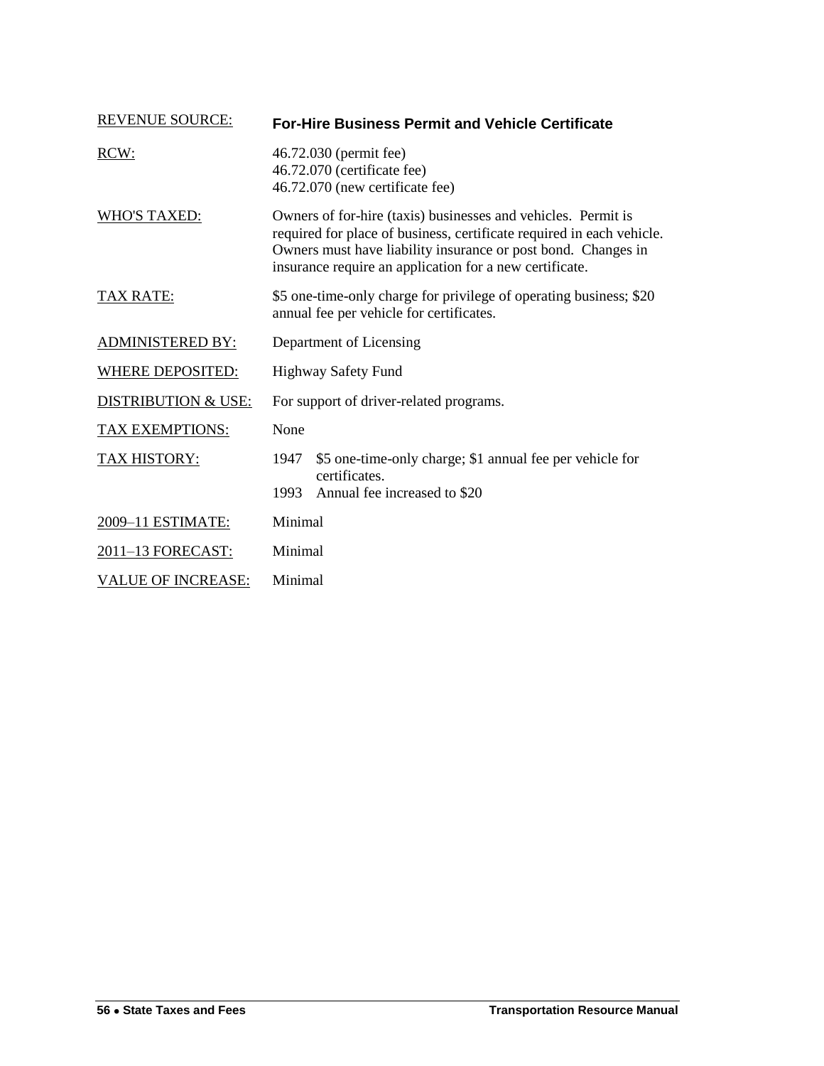<span id="page-27-0"></span>

| <b>REVENUE SOURCE:</b>         | <b>For-Hire Business Permit and Vehicle Certificate</b>                                                                                                                                                                                                            |  |  |
|--------------------------------|--------------------------------------------------------------------------------------------------------------------------------------------------------------------------------------------------------------------------------------------------------------------|--|--|
| RCW:                           | 46.72.030 (permit fee)<br>46.72.070 (certificate fee)<br>46.72.070 (new certificate fee)                                                                                                                                                                           |  |  |
| <b>WHO'S TAXED:</b>            | Owners of for-hire (taxis) businesses and vehicles. Permit is<br>required for place of business, certificate required in each vehicle.<br>Owners must have liability insurance or post bond. Changes in<br>insurance require an application for a new certificate. |  |  |
| <b>TAX RATE:</b>               | \$5 one-time-only charge for privilege of operating business; \$20<br>annual fee per vehicle for certificates.                                                                                                                                                     |  |  |
| <b>ADMINISTERED BY:</b>        | Department of Licensing                                                                                                                                                                                                                                            |  |  |
| <b>WHERE DEPOSITED:</b>        | <b>Highway Safety Fund</b>                                                                                                                                                                                                                                         |  |  |
| <b>DISTRIBUTION &amp; USE:</b> | For support of driver-related programs.                                                                                                                                                                                                                            |  |  |
| <b>TAX EXEMPTIONS:</b>         | None                                                                                                                                                                                                                                                               |  |  |
| <b>TAX HISTORY:</b>            | \$5 one-time-only charge; \$1 annual fee per vehicle for<br>1947<br>certificates.                                                                                                                                                                                  |  |  |
|                                | Annual fee increased to \$20<br>1993                                                                                                                                                                                                                               |  |  |
| 2009-11 ESTIMATE:              | Minimal                                                                                                                                                                                                                                                            |  |  |
| 2011-13 FORECAST:              | Minimal                                                                                                                                                                                                                                                            |  |  |
| <b>VALUE OF INCREASE:</b>      | Minimal                                                                                                                                                                                                                                                            |  |  |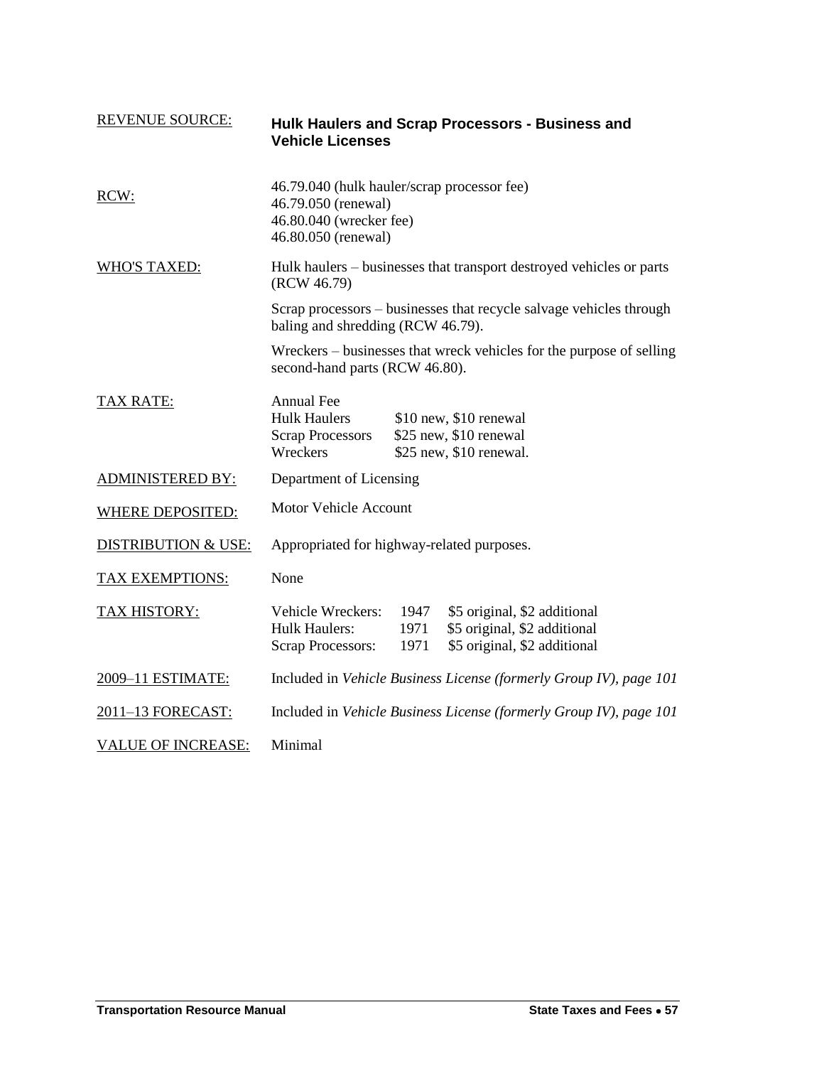<span id="page-28-0"></span>

| <b>REVENUE SOURCE:</b>         | <b>Vehicle Licenses</b>                                                                                              |                      | Hulk Haulers and Scrap Processors - Business and                                             |
|--------------------------------|----------------------------------------------------------------------------------------------------------------------|----------------------|----------------------------------------------------------------------------------------------|
| RCW:                           | 46.79.040 (hulk hauler/scrap processor fee)<br>46.79.050 (renewal)<br>46.80.040 (wrecker fee)<br>46.80.050 (renewal) |                      |                                                                                              |
| <b>WHO'S TAXED:</b>            | Hulk haulers – businesses that transport destroyed vehicles or parts<br>(RCW 46.79)                                  |                      |                                                                                              |
|                                | Scrap processors – businesses that recycle salvage vehicles through<br>baling and shredding (RCW 46.79).             |                      |                                                                                              |
|                                | second-hand parts (RCW 46.80).                                                                                       |                      | Wreckers – businesses that wreck vehicles for the purpose of selling                         |
| <b>TAX RATE:</b>               | Annual Fee<br><b>Hulk Haulers</b><br><b>Scrap Processors</b><br>Wreckers                                             |                      | \$10 new, \$10 renewal<br>\$25 new, \$10 renewal<br>\$25 new, \$10 renewal.                  |
| <b>ADMINISTERED BY:</b>        | Department of Licensing                                                                                              |                      |                                                                                              |
| <b>WHERE DEPOSITED:</b>        | <b>Motor Vehicle Account</b>                                                                                         |                      |                                                                                              |
| <b>DISTRIBUTION &amp; USE:</b> | Appropriated for highway-related purposes.                                                                           |                      |                                                                                              |
| <b>TAX EXEMPTIONS:</b>         | None                                                                                                                 |                      |                                                                                              |
| <b>TAX HISTORY:</b>            | Vehicle Wreckers:<br><b>Hulk Haulers:</b><br><b>Scrap Processors:</b>                                                | 1947<br>1971<br>1971 | \$5 original, \$2 additional<br>\$5 original, \$2 additional<br>\$5 original, \$2 additional |
| 2009-11 ESTIMATE:              | Included in Vehicle Business License (formerly Group IV), page 101                                                   |                      |                                                                                              |
| 2011-13 FORECAST:              | Included in Vehicle Business License (formerly Group IV), page 101                                                   |                      |                                                                                              |
| <b>VALUE OF INCREASE:</b>      | Minimal                                                                                                              |                      |                                                                                              |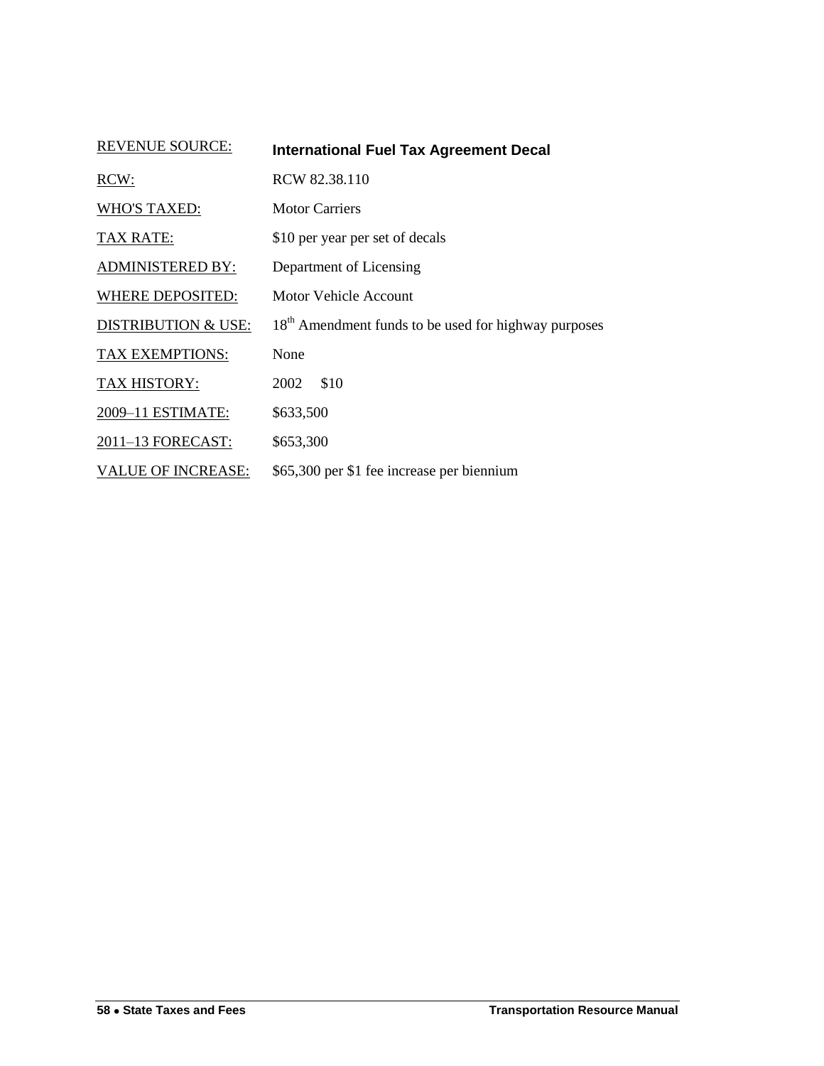| <b>REVENUE SOURCE:</b>         | <b>International Fuel Tax Agreement Decal</b>                    |
|--------------------------------|------------------------------------------------------------------|
| RCW:                           | RCW 82.38.110                                                    |
| <b>WHO'S TAXED:</b>            | <b>Motor Carriers</b>                                            |
| <b>TAX RATE:</b>               | \$10 per year per set of decals                                  |
| <b>ADMINISTERED BY:</b>        | Department of Licensing                                          |
| <b>WHERE DEPOSITED:</b>        | Motor Vehicle Account                                            |
| <b>DISTRIBUTION &amp; USE:</b> | 18 <sup>th</sup> Amendment funds to be used for highway purposes |
| TAX EXEMPTIONS:                | None                                                             |
| TAX HISTORY:                   | \$10<br>2002                                                     |
| 2009-11 ESTIMATE:              | \$633,500                                                        |
| 2011-13 FORECAST:              | \$653,300                                                        |
| <b>VALUE OF INCREASE:</b>      | \$65,300 per \$1 fee increase per biennium                       |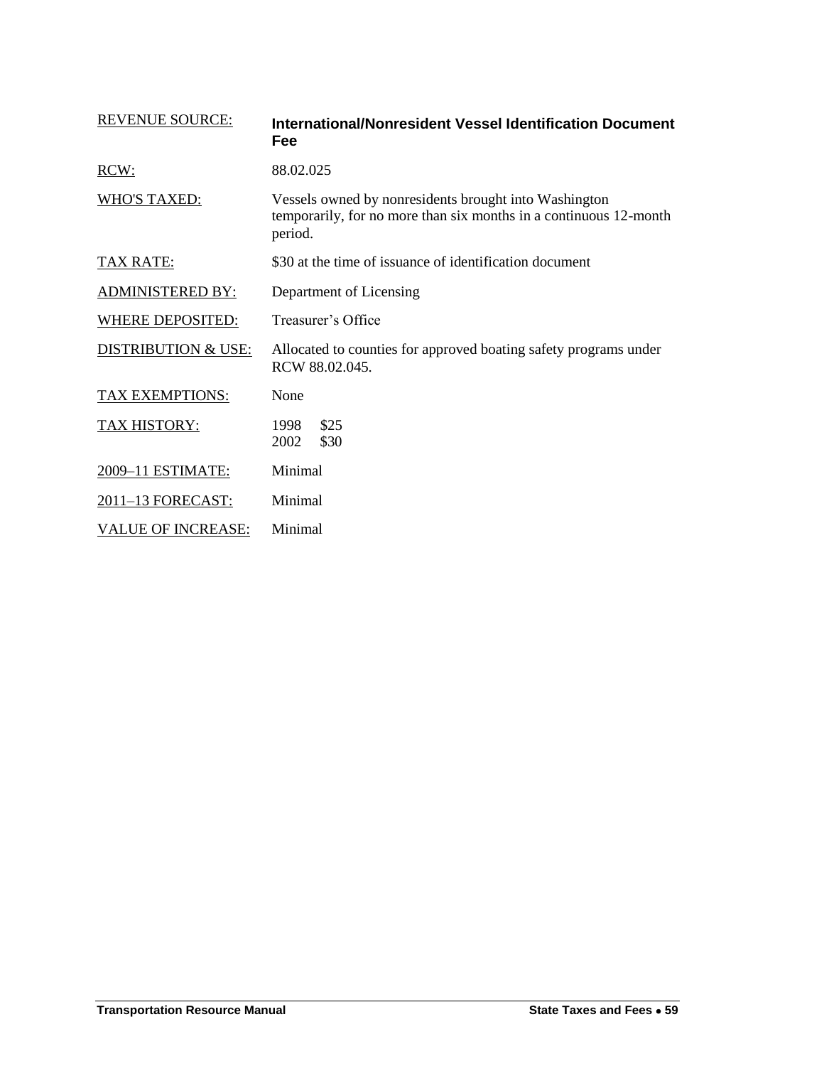<span id="page-30-0"></span>

| <b>REVENUE SOURCE:</b>         | International/Nonresident Vessel Identification Document<br>Fee                                                                       |  |
|--------------------------------|---------------------------------------------------------------------------------------------------------------------------------------|--|
| RCW:                           | 88.02.025                                                                                                                             |  |
| <b>WHO'S TAXED:</b>            | Vessels owned by nonresidents brought into Washington<br>temporarily, for no more than six months in a continuous 12-month<br>period. |  |
| TAX RATE:                      | \$30 at the time of issuance of identification document                                                                               |  |
| <b>ADMINISTERED BY:</b>        | Department of Licensing                                                                                                               |  |
| <b>WHERE DEPOSITED:</b>        | Treasurer's Office                                                                                                                    |  |
| <b>DISTRIBUTION &amp; USE:</b> | Allocated to counties for approved boating safety programs under<br>RCW 88.02.045.                                                    |  |
| TAX EXEMPTIONS:                | None                                                                                                                                  |  |
| TAX HISTORY:                   | \$25<br>1998<br>\$30<br>2002                                                                                                          |  |
| 2009-11 ESTIMATE:              | Minimal                                                                                                                               |  |
| 2011-13 FORECAST:              | Minimal                                                                                                                               |  |
| <b>VALUE OF INCREASE:</b>      | Minimal                                                                                                                               |  |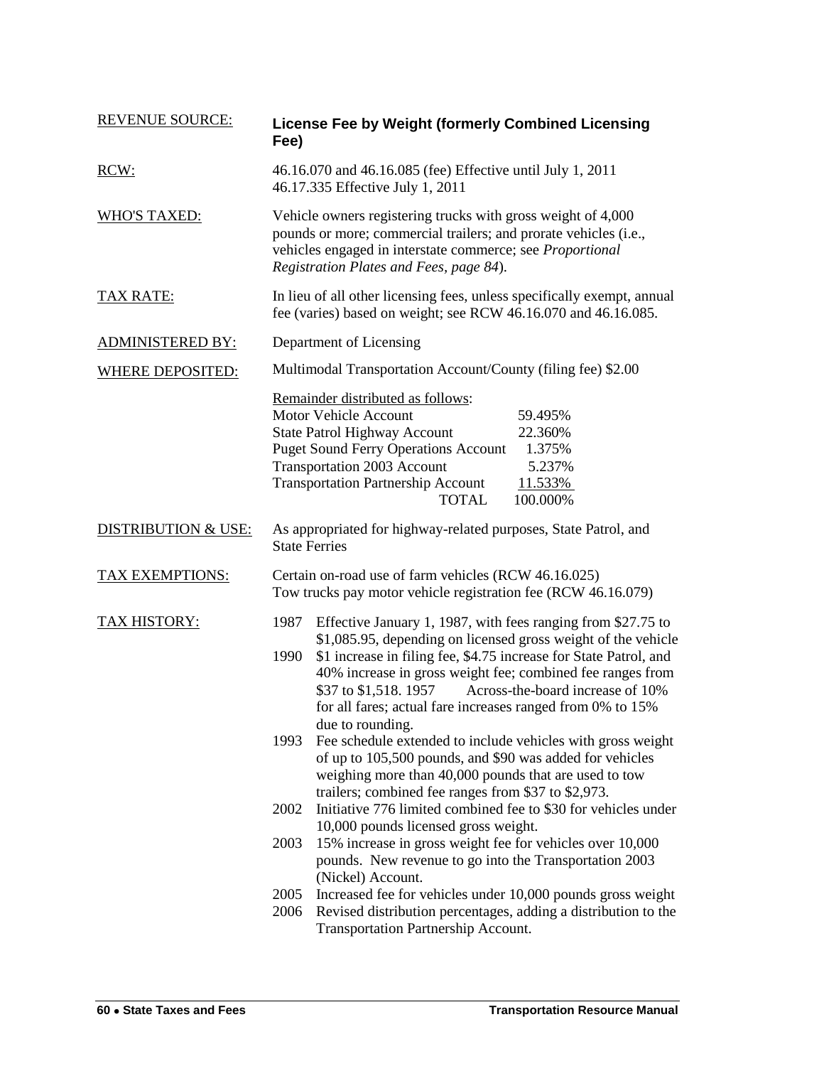| <b>REVENUE SOURCE:</b>         | Fee)                                                                                           | <b>License Fee by Weight (formerly Combined Licensing</b>                                                                                                                                                                                                                                                                                                                                   |  |
|--------------------------------|------------------------------------------------------------------------------------------------|---------------------------------------------------------------------------------------------------------------------------------------------------------------------------------------------------------------------------------------------------------------------------------------------------------------------------------------------------------------------------------------------|--|
| RCW:                           | 46.16.070 and 46.16.085 (fee) Effective until July 1, 2011<br>46.17.335 Effective July 1, 2011 |                                                                                                                                                                                                                                                                                                                                                                                             |  |
| <b>WHO'S TAXED:</b>            |                                                                                                | Vehicle owners registering trucks with gross weight of 4,000<br>pounds or more; commercial trailers; and prorate vehicles (i.e.,<br>vehicles engaged in interstate commerce; see Proportional<br>Registration Plates and Fees, page 84).                                                                                                                                                    |  |
| <u>TAX RATE:</u>               |                                                                                                | In lieu of all other licensing fees, unless specifically exempt, annual<br>fee (varies) based on weight; see RCW 46.16.070 and 46.16.085.                                                                                                                                                                                                                                                   |  |
| <b>ADMINISTERED BY:</b>        |                                                                                                | Department of Licensing                                                                                                                                                                                                                                                                                                                                                                     |  |
| <b>WHERE DEPOSITED:</b>        |                                                                                                | Multimodal Transportation Account/County (filing fee) \$2.00                                                                                                                                                                                                                                                                                                                                |  |
|                                |                                                                                                | Remainder distributed as follows:<br><b>Motor Vehicle Account</b><br>59.495%<br><b>State Patrol Highway Account</b><br>22.360%<br><b>Puget Sound Ferry Operations Account</b><br>1.375%<br><b>Transportation 2003 Account</b><br>5.237%<br><b>Transportation Partnership Account</b><br>11.533%<br><b>TOTAL</b><br>100.000%                                                                 |  |
| <b>DISTRIBUTION &amp; USE:</b> | <b>State Ferries</b>                                                                           | As appropriated for highway-related purposes, State Patrol, and                                                                                                                                                                                                                                                                                                                             |  |
| <b>TAX EXEMPTIONS:</b>         |                                                                                                | Certain on-road use of farm vehicles (RCW 46.16.025)<br>Tow trucks pay motor vehicle registration fee (RCW 46.16.079)                                                                                                                                                                                                                                                                       |  |
| <b>TAX HISTORY:</b>            | 1987<br>1990                                                                                   | Effective January 1, 1987, with fees ranging from \$27.75 to<br>\$1,085.95, depending on licensed gross weight of the vehicle<br>\$1 increase in filing fee, \$4.75 increase for State Patrol, and<br>40% increase in gross weight fee; combined fee ranges from<br>\$37 to \$1,518. 1957<br>Across-the-board increase of 10%<br>for all fares; actual fare increases ranged from 0% to 15% |  |
|                                | 1993                                                                                           | due to rounding.<br>Fee schedule extended to include vehicles with gross weight<br>of up to 105,500 pounds, and \$90 was added for vehicles<br>weighing more than 40,000 pounds that are used to tow<br>trailers; combined fee ranges from \$37 to \$2,973.                                                                                                                                 |  |
|                                | 2002                                                                                           | Initiative 776 limited combined fee to \$30 for vehicles under<br>10,000 pounds licensed gross weight.                                                                                                                                                                                                                                                                                      |  |
|                                | 2003                                                                                           | 15% increase in gross weight fee for vehicles over 10,000<br>pounds. New revenue to go into the Transportation 2003<br>(Nickel) Account.                                                                                                                                                                                                                                                    |  |
|                                | 2005                                                                                           | Increased fee for vehicles under 10,000 pounds gross weight                                                                                                                                                                                                                                                                                                                                 |  |
|                                | 2006                                                                                           | Revised distribution percentages, adding a distribution to the<br>Transportation Partnership Account.                                                                                                                                                                                                                                                                                       |  |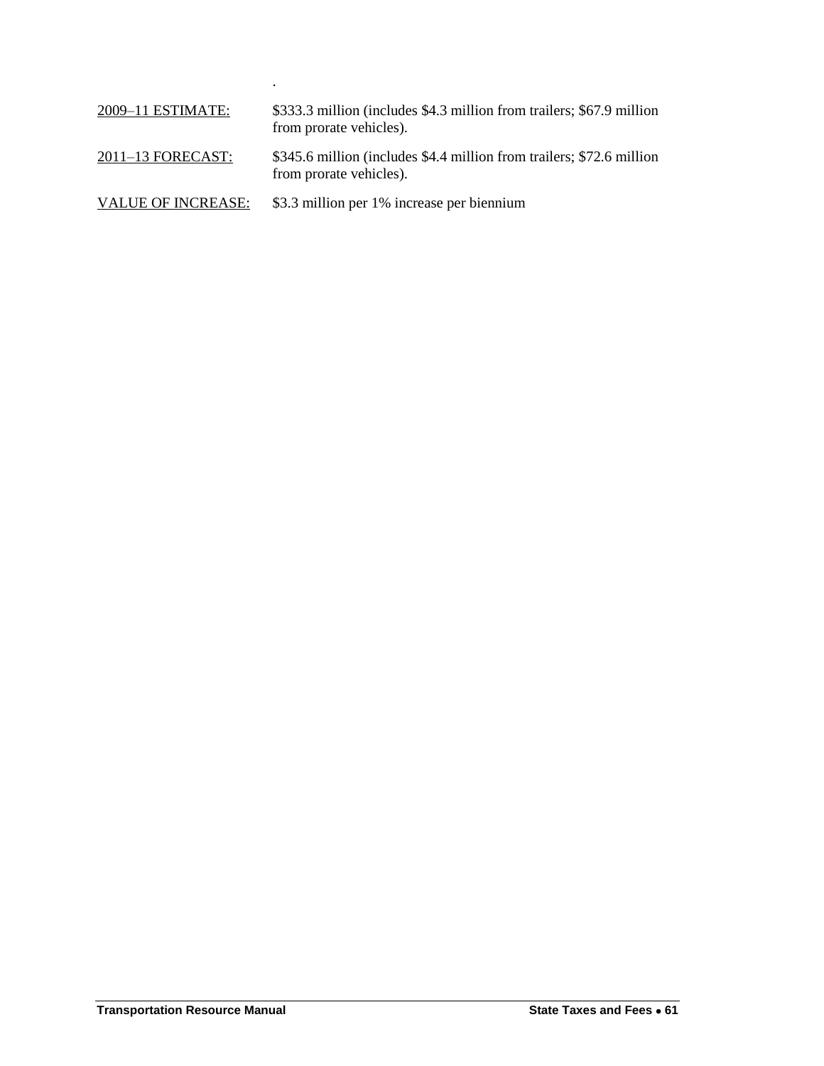| 2009-11 ESTIMATE:  | \$333.3 million (includes \$4.3 million from trailers; \$67.9 million<br>from prorate vehicles). |
|--------------------|--------------------------------------------------------------------------------------------------|
| 2011–13 FORECAST:  | \$345.6 million (includes \$4.4 million from trailers; \$72.6 million<br>from prorate vehicles). |
| VALUE OF INCREASE: | \$3.3 million per 1% increase per biennium                                                       |

.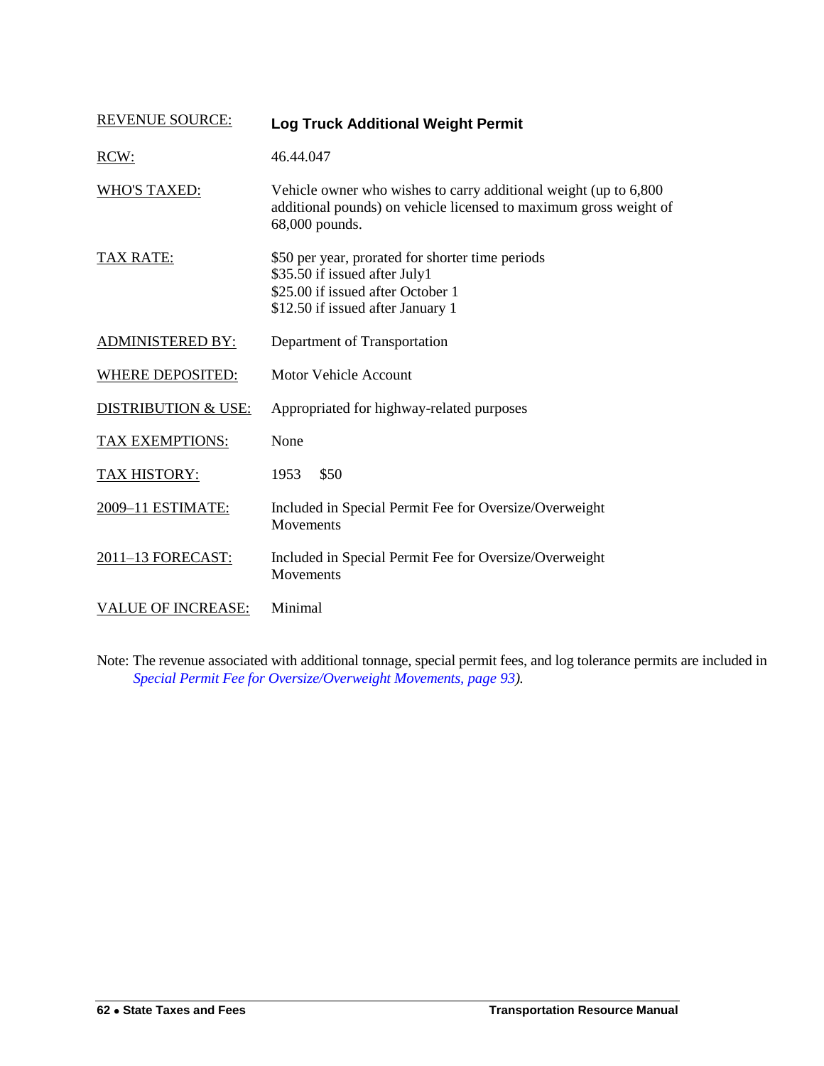<span id="page-33-0"></span>

| <b>REVENUE SOURCE:</b>         | <b>Log Truck Additional Weight Permit</b>                                                                                                                   |
|--------------------------------|-------------------------------------------------------------------------------------------------------------------------------------------------------------|
| RCW:                           | 46.44.047                                                                                                                                                   |
| <b>WHO'S TAXED:</b>            | Vehicle owner who wishes to carry additional weight (up to 6,800)<br>additional pounds) on vehicle licensed to maximum gross weight of<br>68,000 pounds.    |
| <b>TAX RATE:</b>               | \$50 per year, prorated for shorter time periods<br>\$35.50 if issued after July1<br>\$25.00 if issued after October 1<br>\$12.50 if issued after January 1 |
| <b>ADMINISTERED BY:</b>        | Department of Transportation                                                                                                                                |
| <b>WHERE DEPOSITED:</b>        | <b>Motor Vehicle Account</b>                                                                                                                                |
| <b>DISTRIBUTION &amp; USE:</b> | Appropriated for highway-related purposes                                                                                                                   |
| TAX EXEMPTIONS:                | None                                                                                                                                                        |
| <b>TAX HISTORY:</b>            | \$50<br>1953                                                                                                                                                |
| 2009-11 ESTIMATE:              | Included in Special Permit Fee for Oversize/Overweight<br>Movements                                                                                         |
| 2011-13 FORECAST:              | Included in Special Permit Fee for Oversize/Overweight<br>Movements                                                                                         |
| <b>VALUE OF INCREASE:</b>      | Minimal                                                                                                                                                     |

Note: The revenue associated with additional tonnage, special permit fees, and log tolerance permits are included in *[Special Permit Fee for Oversize/Overweight Movements,](#page-64-0) page 93).*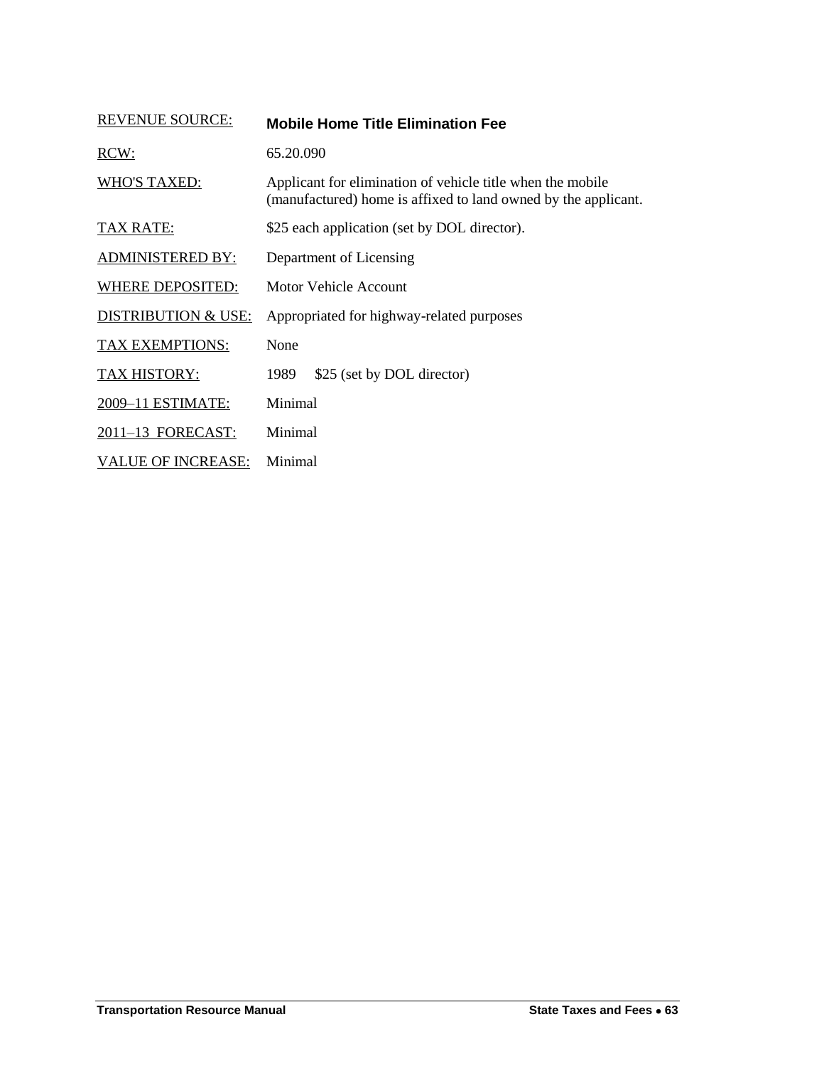<span id="page-34-0"></span>

| <b>REVENUE SOURCE:</b>         | <b>Mobile Home Title Elimination Fee</b>                                                                                     |
|--------------------------------|------------------------------------------------------------------------------------------------------------------------------|
| RCW:                           | 65.20.090                                                                                                                    |
| <b>WHO'S TAXED:</b>            | Applicant for elimination of vehicle title when the mobile<br>(manufactured) home is affixed to land owned by the applicant. |
| <b>TAX RATE:</b>               | \$25 each application (set by DOL director).                                                                                 |
| <b>ADMINISTERED BY:</b>        | Department of Licensing                                                                                                      |
| <b>WHERE DEPOSITED:</b>        | <b>Motor Vehicle Account</b>                                                                                                 |
| <b>DISTRIBUTION &amp; USE:</b> | Appropriated for highway-related purposes                                                                                    |
| <b>TAX EXEMPTIONS:</b>         | None                                                                                                                         |
| <b>TAX HISTORY:</b>            | \$25 (set by DOL director)<br>1989                                                                                           |
| 2009-11 ESTIMATE:              | Minimal                                                                                                                      |
| 2011-13 FORECAST:              | Minimal                                                                                                                      |
| <b>VALUE OF INCREASE:</b>      | Minimal                                                                                                                      |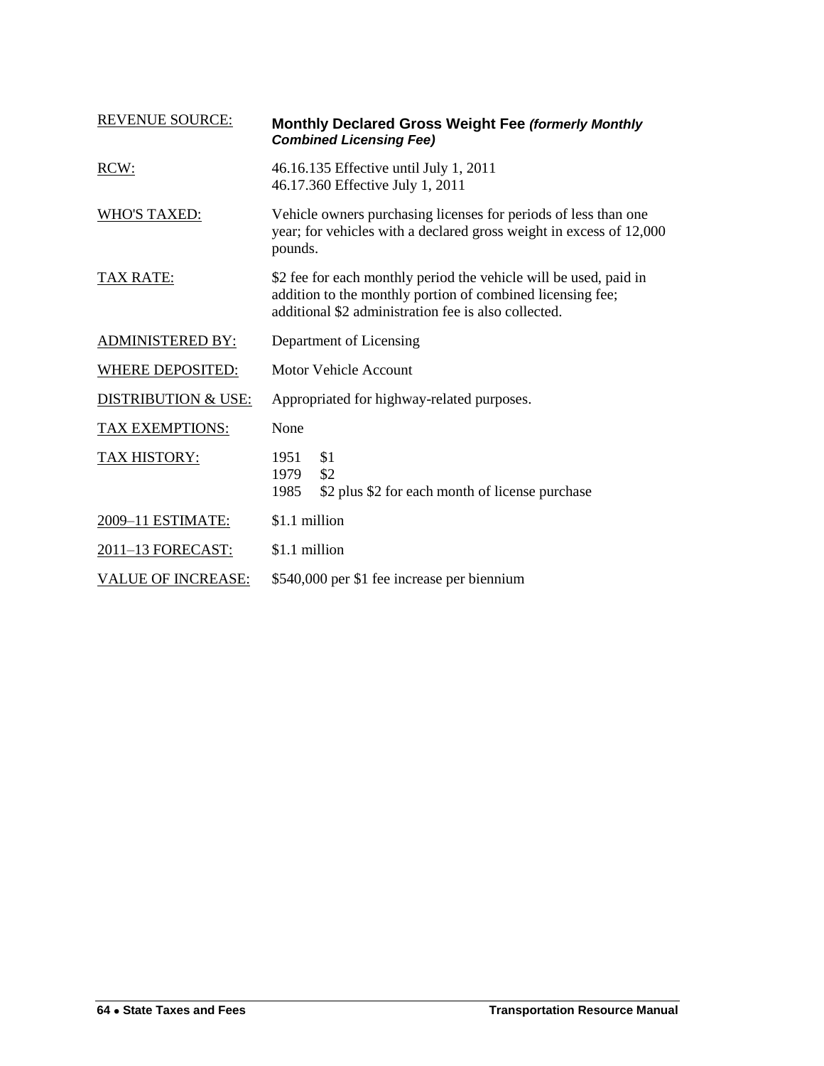<span id="page-35-0"></span>

| <b>REVENUE SOURCE:</b>         | Monthly Declared Gross Weight Fee (formerly Monthly<br><b>Combined Licensing Fee)</b>                                                                                                   |  |
|--------------------------------|-----------------------------------------------------------------------------------------------------------------------------------------------------------------------------------------|--|
| RCW:                           | 46.16.135 Effective until July 1, 2011<br>46.17.360 Effective July 1, 2011                                                                                                              |  |
| <b>WHO'S TAXED:</b>            | Vehicle owners purchasing licenses for periods of less than one<br>year; for vehicles with a declared gross weight in excess of 12,000<br>pounds.                                       |  |
| <b>TAX RATE:</b>               | \$2 fee for each monthly period the vehicle will be used, paid in<br>addition to the monthly portion of combined licensing fee;<br>additional \$2 administration fee is also collected. |  |
| <b>ADMINISTERED BY:</b>        | Department of Licensing                                                                                                                                                                 |  |
| <b>WHERE DEPOSITED:</b>        | <b>Motor Vehicle Account</b>                                                                                                                                                            |  |
| <b>DISTRIBUTION &amp; USE:</b> | Appropriated for highway-related purposes.                                                                                                                                              |  |
| <b>TAX EXEMPTIONS:</b>         | None                                                                                                                                                                                    |  |
| <b>TAX HISTORY:</b>            | \$1<br>1951<br>\$2<br>1979<br>1985<br>\$2 plus \$2 for each month of license purchase                                                                                                   |  |
| 2009-11 ESTIMATE:              | \$1.1 million                                                                                                                                                                           |  |
| 2011-13 FORECAST:              | \$1.1 million                                                                                                                                                                           |  |
| <b>VALUE OF INCREASE:</b>      | \$540,000 per \$1 fee increase per biennium                                                                                                                                             |  |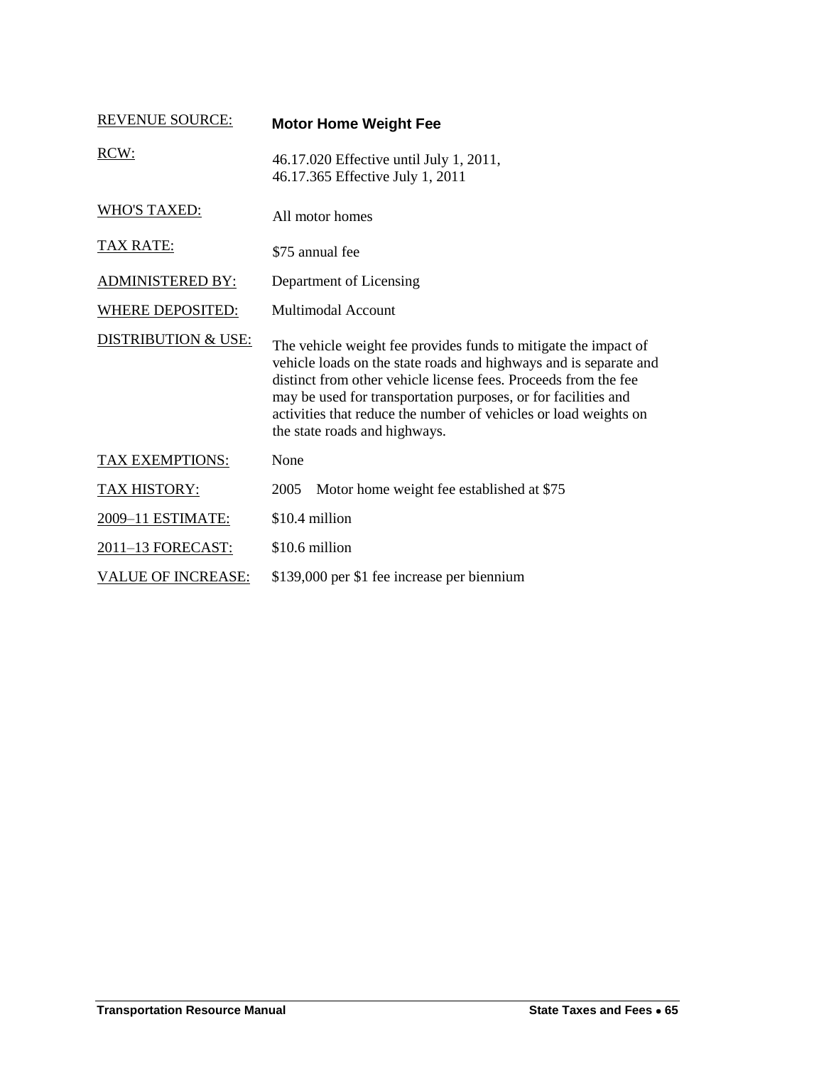| <b>REVENUE SOURCE:</b>         | <b>Motor Home Weight Fee</b>                                                                                                                                                                                                                                                                                                                                                   |
|--------------------------------|--------------------------------------------------------------------------------------------------------------------------------------------------------------------------------------------------------------------------------------------------------------------------------------------------------------------------------------------------------------------------------|
| RCW:                           | 46.17.020 Effective until July 1, 2011,<br>46.17.365 Effective July 1, 2011                                                                                                                                                                                                                                                                                                    |
| <b>WHO'S TAXED:</b>            | All motor homes                                                                                                                                                                                                                                                                                                                                                                |
| TAX RATE:                      | \$75 annual fee                                                                                                                                                                                                                                                                                                                                                                |
| <b>ADMINISTERED BY:</b>        | Department of Licensing                                                                                                                                                                                                                                                                                                                                                        |
| <b>WHERE DEPOSITED:</b>        | <b>Multimodal Account</b>                                                                                                                                                                                                                                                                                                                                                      |
| <b>DISTRIBUTION &amp; USE:</b> | The vehicle weight fee provides funds to mitigate the impact of<br>vehicle loads on the state roads and highways and is separate and<br>distinct from other vehicle license fees. Proceeds from the fee<br>may be used for transportation purposes, or for facilities and<br>activities that reduce the number of vehicles or load weights on<br>the state roads and highways. |
| TAX EXEMPTIONS:                | None                                                                                                                                                                                                                                                                                                                                                                           |
| <b>TAX HISTORY:</b>            | Motor home weight fee established at \$75<br>2005                                                                                                                                                                                                                                                                                                                              |
| 2009-11 ESTIMATE:              | \$10.4 million                                                                                                                                                                                                                                                                                                                                                                 |
| 2011-13 FORECAST:              | \$10.6 million                                                                                                                                                                                                                                                                                                                                                                 |
| <b>VALUE OF INCREASE:</b>      | \$139,000 per \$1 fee increase per biennium                                                                                                                                                                                                                                                                                                                                    |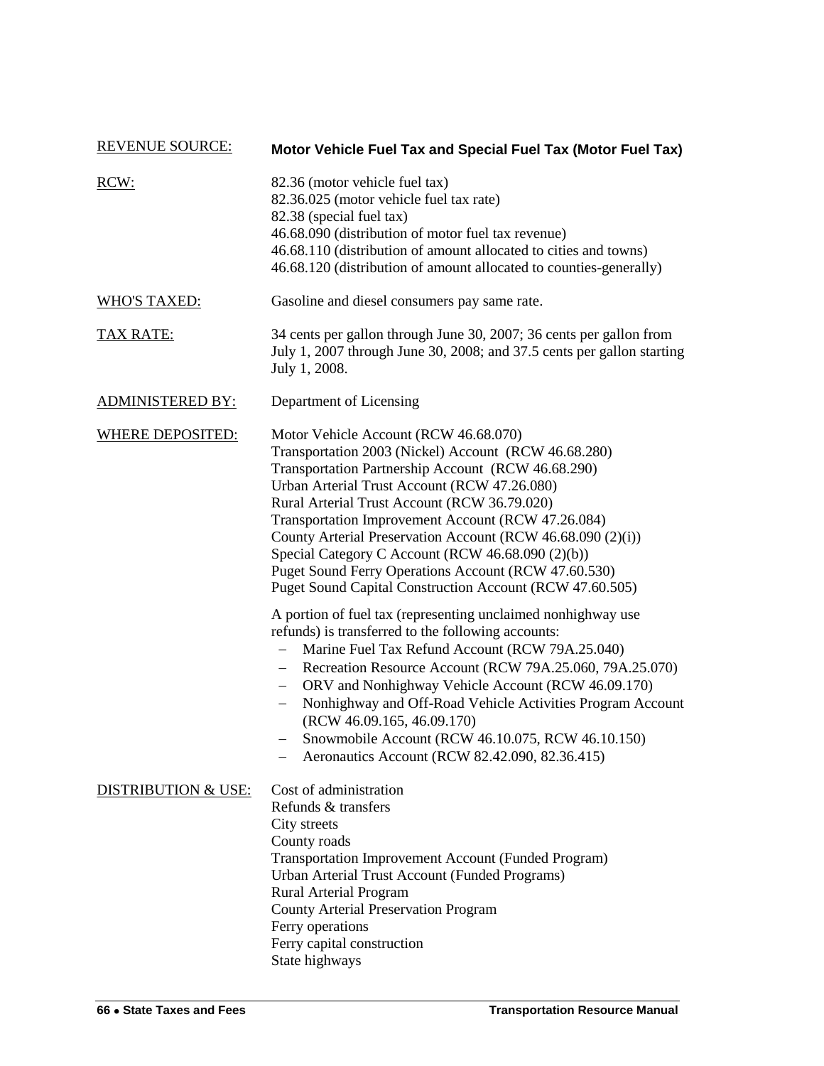| <b>REVENUE SOURCE:</b>         | Motor Vehicle Fuel Tax and Special Fuel Tax (Motor Fuel Tax)                                                                                                                                                                                                                                                                                                                                                                                                                                                                                                                                                                                                                                                                                                                                                                                                                                                                                                                                                                                                                |
|--------------------------------|-----------------------------------------------------------------------------------------------------------------------------------------------------------------------------------------------------------------------------------------------------------------------------------------------------------------------------------------------------------------------------------------------------------------------------------------------------------------------------------------------------------------------------------------------------------------------------------------------------------------------------------------------------------------------------------------------------------------------------------------------------------------------------------------------------------------------------------------------------------------------------------------------------------------------------------------------------------------------------------------------------------------------------------------------------------------------------|
| RCW:                           | 82.36 (motor vehicle fuel tax)<br>82.36.025 (motor vehicle fuel tax rate)<br>82.38 (special fuel tax)<br>46.68.090 (distribution of motor fuel tax revenue)<br>46.68.110 (distribution of amount allocated to cities and towns)<br>46.68.120 (distribution of amount allocated to counties-generally)                                                                                                                                                                                                                                                                                                                                                                                                                                                                                                                                                                                                                                                                                                                                                                       |
| <b>WHO'S TAXED:</b>            | Gasoline and diesel consumers pay same rate.                                                                                                                                                                                                                                                                                                                                                                                                                                                                                                                                                                                                                                                                                                                                                                                                                                                                                                                                                                                                                                |
| <u>TAX RATE:</u>               | 34 cents per gallon through June 30, 2007; 36 cents per gallon from<br>July 1, 2007 through June 30, 2008; and 37.5 cents per gallon starting<br>July 1, 2008.                                                                                                                                                                                                                                                                                                                                                                                                                                                                                                                                                                                                                                                                                                                                                                                                                                                                                                              |
| <b>ADMINISTERED BY:</b>        | Department of Licensing                                                                                                                                                                                                                                                                                                                                                                                                                                                                                                                                                                                                                                                                                                                                                                                                                                                                                                                                                                                                                                                     |
| <b>WHERE DEPOSITED:</b>        | Motor Vehicle Account (RCW 46.68.070)<br>Transportation 2003 (Nickel) Account (RCW 46.68.280)<br>Transportation Partnership Account (RCW 46.68.290)<br>Urban Arterial Trust Account (RCW 47.26.080)<br>Rural Arterial Trust Account (RCW 36.79.020)<br>Transportation Improvement Account (RCW 47.26.084)<br>County Arterial Preservation Account (RCW 46.68.090 (2)(i))<br>Special Category C Account (RCW 46.68.090 (2)(b))<br>Puget Sound Ferry Operations Account (RCW 47.60.530)<br>Puget Sound Capital Construction Account (RCW 47.60.505)<br>A portion of fuel tax (representing unclaimed nonhighway use<br>refunds) is transferred to the following accounts:<br>Marine Fuel Tax Refund Account (RCW 79A.25.040)<br>Recreation Resource Account (RCW 79A.25.060, 79A.25.070)<br>ORV and Nonhighway Vehicle Account (RCW 46.09.170)<br>$\overline{\phantom{0}}$<br>Nonhighway and Off-Road Vehicle Activities Program Account<br>(RCW 46.09.165, 46.09.170)<br>Snowmobile Account (RCW 46.10.075, RCW 46.10.150)<br>Aeronautics Account (RCW 82.42.090, 82.36.415) |
| <b>DISTRIBUTION &amp; USE:</b> | Cost of administration<br>Refunds & transfers<br>City streets<br>County roads<br><b>Transportation Improvement Account (Funded Program)</b><br>Urban Arterial Trust Account (Funded Programs)<br><b>Rural Arterial Program</b><br><b>County Arterial Preservation Program</b><br>Ferry operations<br>Ferry capital construction<br>State highways                                                                                                                                                                                                                                                                                                                                                                                                                                                                                                                                                                                                                                                                                                                           |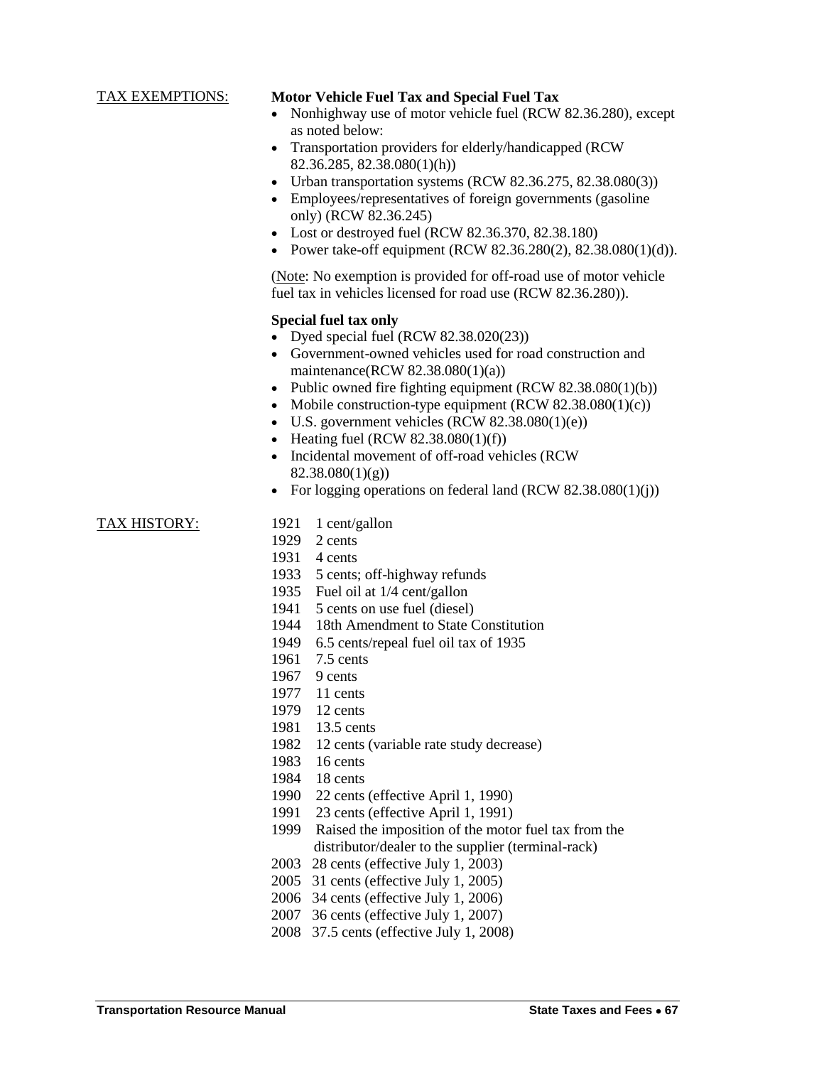#### TAX EXEMPTIONS: **Motor Vehicle Fuel Tax and Special Fuel Tax**

- Nonhighway use of motor vehicle fuel (RCW 82.36.280), except as noted below:
- Transportation providers for elderly/handicapped (RCW 82.36.285, 82.38.080(1)(h))
- Urban transportation systems (RCW  $82.36.275$ ,  $82.38.080(3)$ )
- Employees/representatives of foreign governments (gasoline only) (RCW 82.36.245)
- Lost or destroyed fuel (RCW 82.36.370, 82.38.180)
- Power take-off equipment (RCW  $82.36.280(2)$ ,  $82.38.080(1)(d)$ ).

(Note: No exemption is provided for off-road use of motor vehicle fuel tax in vehicles licensed for road use (RCW 82.36.280)).

#### **Special fuel tax only**

- Dyed special fuel (RCW 82.38.020(23))
- Government-owned vehicles used for road construction and maintenance(RCW 82.38.080(1)(a))
- Public owned fire fighting equipment  $(RCW 82.38.080(1)(b))$
- Mobile construction-type equipment  $(RCW 82.38.080(1)(c))$
- $\bullet$  U.S. government vehicles (RCW 82.38.080(1)(e))
- Heating fuel (RCW  $82.38.080(1)(f)$ )
- Incidental movement of off-road vehicles (RCW 82.38.080(1)(g))
- For logging operations on federal land  $(RCW 82.38.080(1)(i))$

#### TAX HISTORY: 1921 1 cent/gallon

- 
- 1929 2 cents
- 1931 4 cents
- 1933 5 cents; off-highway refunds
- 1935 Fuel oil at 1/4 cent/gallon
- 1941 5 cents on use fuel (diesel)
- 1944 18th Amendment to State Constitution
- 1949 6.5 cents/repeal fuel oil tax of 1935
- 1961 7.5 cents
- 1967 9 cents
- 1977 11 cents
- 1979 12 cents
- 1981 13.5 cents
- 1982 12 cents (variable rate study decrease)
- 1983 16 cents
- 1984 18 cents
- 1990 22 cents (effective April 1, 1990)
- 1991 23 cents (effective April 1, 1991)
- 1999 Raised the imposition of the motor fuel tax from the distributor/dealer to the supplier (terminal-rack)
- 2003 28 cents (effective July 1, 2003)
- 2005 31 cents (effective July 1, 2005)
- 2006 34 cents (effective July 1, 2006)
- 2007 36 cents (effective July 1, 2007)
- 2008 37.5 cents (effective July 1, 2008)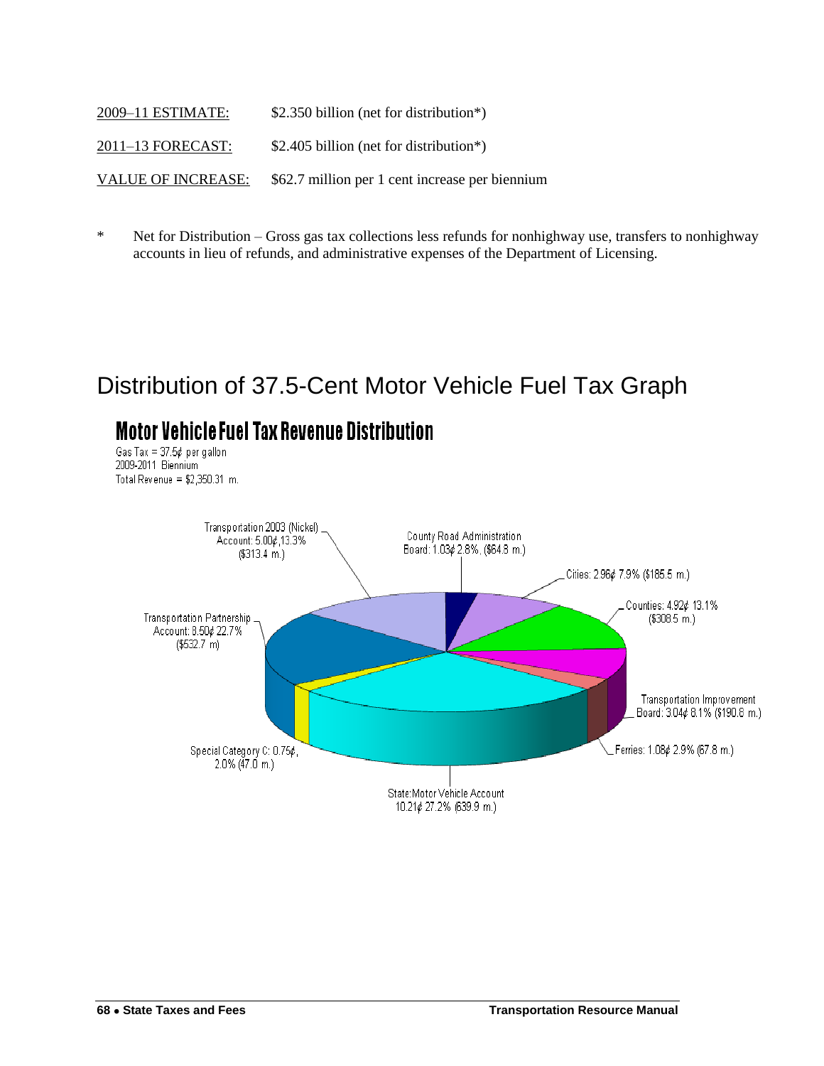| 2009-11 ESTIMATE:         | \$2.350 billion (net for distribution*)         |
|---------------------------|-------------------------------------------------|
| 2011-13 FORECAST:         | \$2.405 billion (net for distribution*)         |
| <b>VALUE OF INCREASE:</b> | \$62.7 million per 1 cent increase per biennium |

\* Net for Distribution – Gross gas tax collections less refunds for nonhighway use, transfers to nonhighway accounts in lieu of refunds, and administrative expenses of the Department of Licensing.

# Distribution of 37.5-Cent Motor Vehicle Fuel Tax Graph

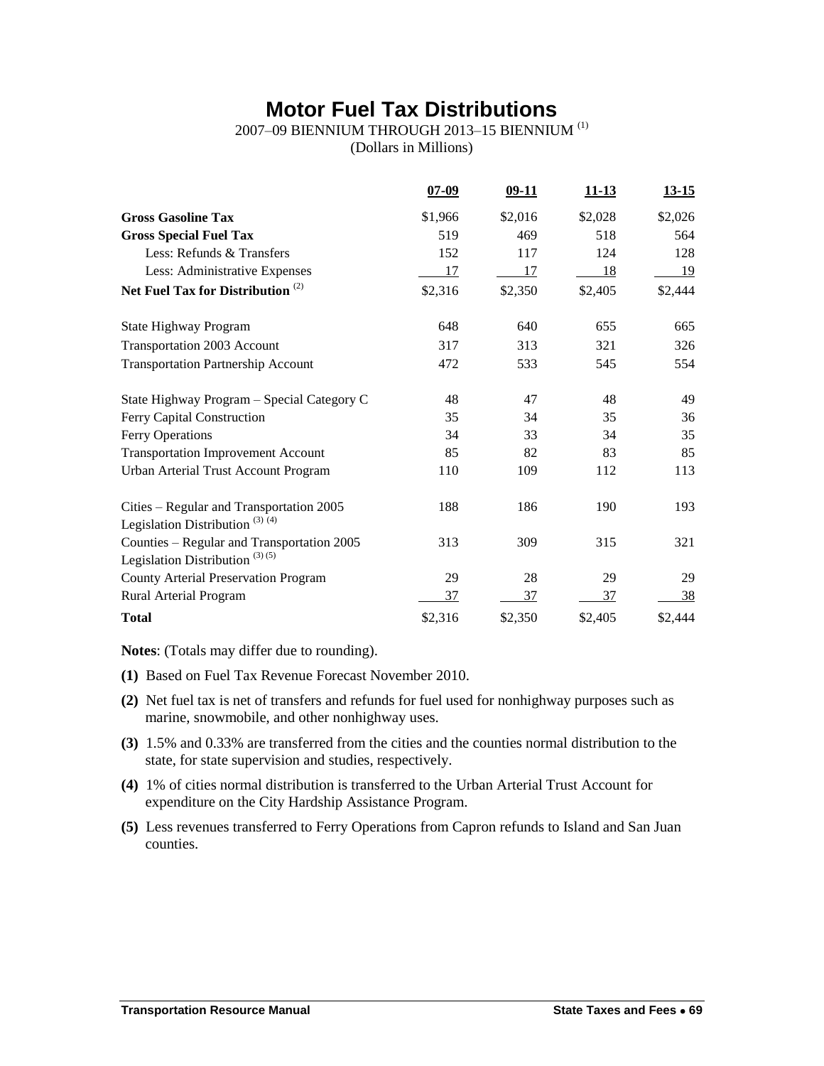## **Motor Fuel Tax Distributions**

## 2007–09 BIENNIUM THROUGH 2013–15 BIENNIUM (1)

(Dollars in Millions)

|                                                                                        | $07 - 09$ | $09-11$ | $11 - 13$ | $13 - 15$ |
|----------------------------------------------------------------------------------------|-----------|---------|-----------|-----------|
| <b>Gross Gasoline Tax</b>                                                              | \$1,966   | \$2,016 | \$2,028   | \$2,026   |
| <b>Gross Special Fuel Tax</b>                                                          | 519       | 469     | 518       | 564       |
| Less: Refunds & Transfers                                                              | 152       | 117     | 124       | 128       |
| Less: Administrative Expenses                                                          | 17        | 17      | 18        | 19        |
| Net Fuel Tax for Distribution <sup>(2)</sup>                                           | \$2,316   | \$2,350 | \$2,405   | \$2,444   |
| State Highway Program                                                                  | 648       | 640     | 655       | 665       |
| Transportation 2003 Account                                                            | 317       | 313     | 321       | 326       |
| <b>Transportation Partnership Account</b>                                              | 472       | 533     | 545       | 554       |
| State Highway Program - Special Category C                                             | 48        | 47      | 48        | 49        |
| Ferry Capital Construction                                                             | 35        | 34      | 35        | 36        |
| Ferry Operations                                                                       | 34        | 33      | 34        | 35        |
| <b>Transportation Improvement Account</b>                                              | 85        | 82      | 83        | 85        |
| <b>Urban Arterial Trust Account Program</b>                                            | 110       | 109     | 112       | 113       |
| Cities - Regular and Transportation 2005<br>Legislation Distribution <sup>(3)(4)</sup> | 188       | 186     | 190       | 193       |
| Counties - Regular and Transportation 2005<br>Legislation Distribution $(3)(5)$        | 313       | 309     | 315       | 321       |
| <b>County Arterial Preservation Program</b>                                            | 29        | 28      | 29        | 29        |
| Rural Arterial Program                                                                 | 37        | 37      | 37        | 38        |
| <b>Total</b>                                                                           | \$2,316   | \$2,350 | \$2,405   | \$2,444   |

**Notes**: (Totals may differ due to rounding).

- **(1)** Based on Fuel Tax Revenue Forecast November 2010.
- **(2)** Net fuel tax is net of transfers and refunds for fuel used for nonhighway purposes such as marine, snowmobile, and other nonhighway uses.
- **(3)** 1.5% and 0.33% are transferred from the cities and the counties normal distribution to the state, for state supervision and studies, respectively.
- **(4)** 1% of cities normal distribution is transferred to the Urban Arterial Trust Account for expenditure on the City Hardship Assistance Program.
- **(5)** Less revenues transferred to Ferry Operations from Capron refunds to Island and San Juan counties.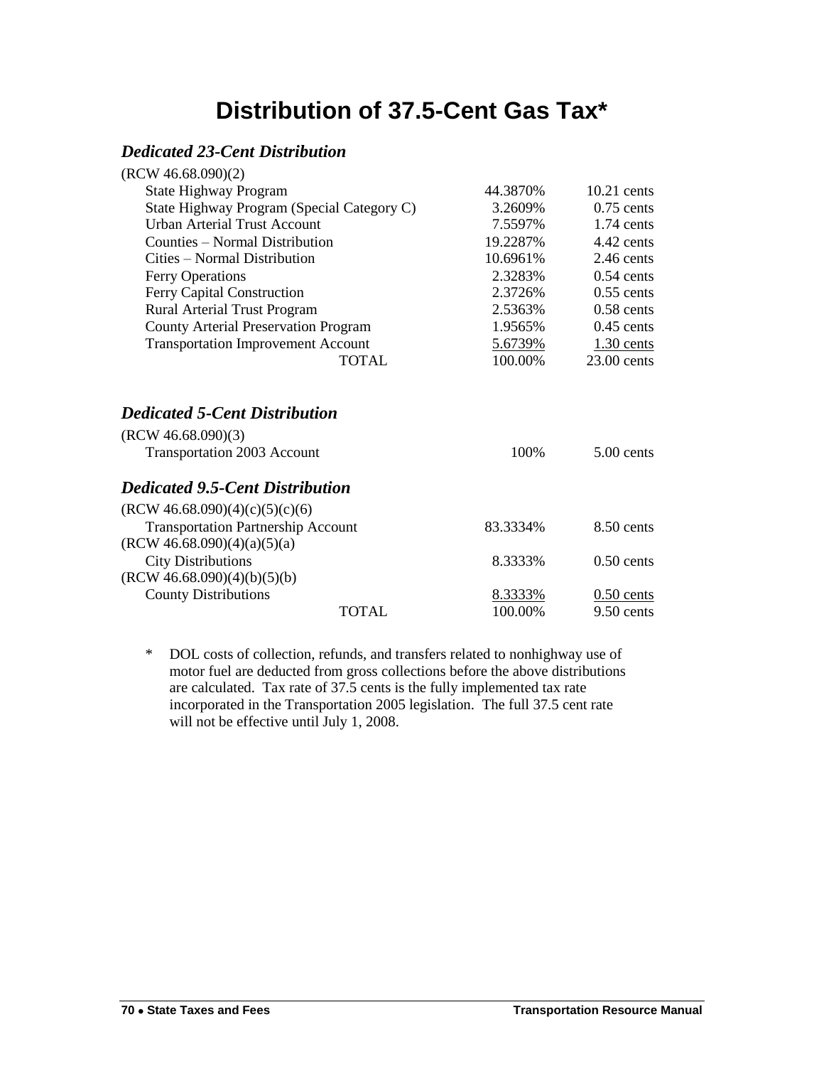# **Distribution of 37.5-Cent Gas Tax\***

### *Dedicated 23-Cent Distribution*

| (RCW 46.68.090)(2)                                                                        |          |               |
|-------------------------------------------------------------------------------------------|----------|---------------|
| <b>State Highway Program</b>                                                              | 44.3870% | $10.21$ cents |
| State Highway Program (Special Category C)                                                | 3.2609%  | $0.75$ cents  |
| Urban Arterial Trust Account                                                              | 7.5597%  | $1.74$ cents  |
| Counties – Normal Distribution                                                            | 19.2287% | $4.42$ cents  |
| Cities – Normal Distribution                                                              | 10.6961% | $2.46$ cents  |
| Ferry Operations                                                                          | 2.3283%  | $0.54$ cents  |
| Ferry Capital Construction                                                                | 2.3726%  | $0.55$ cents  |
| Rural Arterial Trust Program                                                              | 2.5363%  | $0.58$ cents  |
| <b>County Arterial Preservation Program</b>                                               | 1.9565%  | $0.45$ cents  |
| <b>Transportation Improvement Account</b>                                                 | 5.6739%  | $1.30$ cents  |
| <b>TOTAL</b>                                                                              | 100.00%  | $23.00$ cents |
| <b>Dedicated 5-Cent Distribution</b><br>(RCW 46.68.090)(3)<br>Transportation 2003 Account | 100%     | $5.00$ cents  |
| <b>Dedicated 9.5-Cent Distribution</b>                                                    |          |               |
| (RCW 46.68.090)(4)(c)(5)(c)(6)                                                            |          |               |
| <b>Transportation Partnership Account</b>                                                 | 83.3334% | $8.50$ cents  |
| (RCW 46.68.090)(4)(a)(5)(a)<br><b>City Distributions</b>                                  | 8.3333%  | $0.50$ cents  |
| (RCW 46.68.090)(4)(b)(5)(b)<br><b>County Distributions</b>                                |          |               |
|                                                                                           | 8.3333%  | $0.50$ cents  |

\* DOL costs of collection, refunds, and transfers related to nonhighway use of motor fuel are deducted from gross collections before the above distributions are calculated. Tax rate of 37.5 cents is the fully implemented tax rate incorporated in the Transportation 2005 legislation. The full 37.5 cent rate will not be effective until July 1, 2008.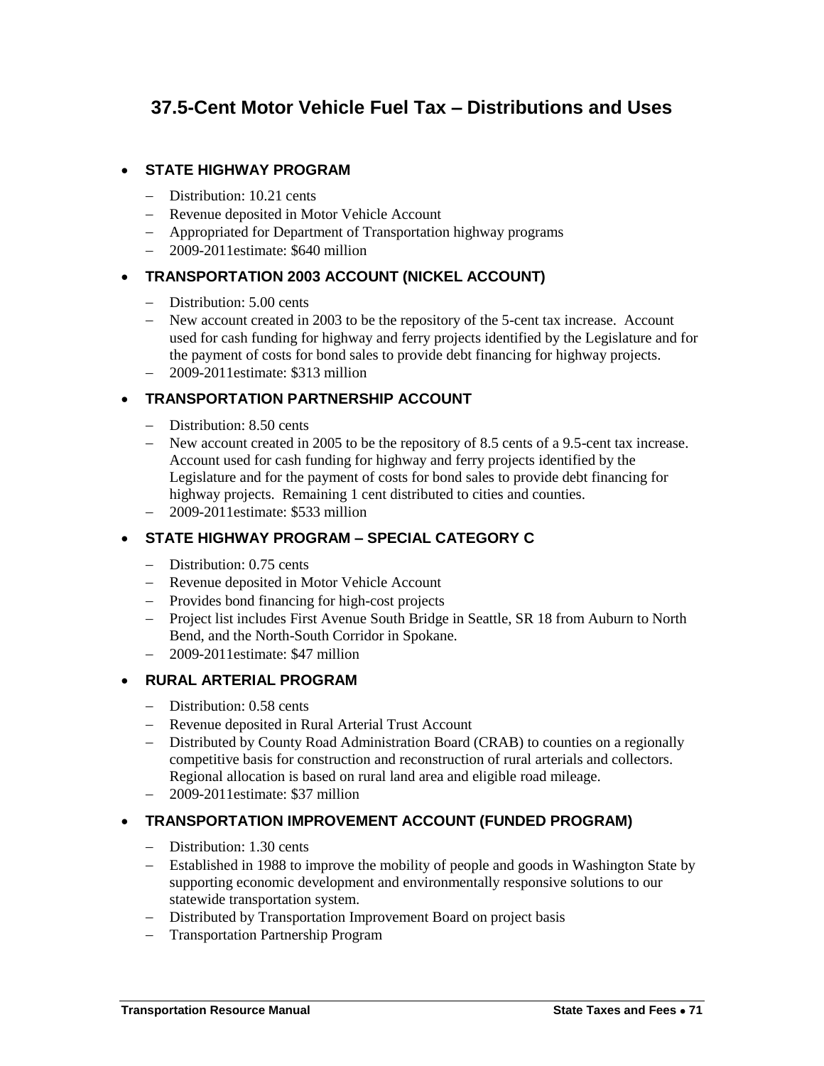## **37.5-Cent Motor Vehicle Fuel Tax – Distributions and Uses**

#### **STATE HIGHWAY PROGRAM**

- Distribution: 10.21 cents
- Revenue deposited in Motor Vehicle Account
- Appropriated for Department of Transportation highway programs
- 2009-2011estimate: \$640 million

#### **TRANSPORTATION 2003 ACCOUNT (NICKEL ACCOUNT)**

- Distribution: 5.00 cents
- New account created in 2003 to be the repository of the 5-cent tax increase. Account used for cash funding for highway and ferry projects identified by the Legislature and for the payment of costs for bond sales to provide debt financing for highway projects.
- 2009-2011estimate: \$313 million

#### **TRANSPORTATION PARTNERSHIP ACCOUNT**

- Distribution: 8.50 cents
- New account created in 2005 to be the repository of 8.5 cents of a 9.5-cent tax increase. Account used for cash funding for highway and ferry projects identified by the Legislature and for the payment of costs for bond sales to provide debt financing for highway projects. Remaining 1 cent distributed to cities and counties.
- 2009-2011estimate: \$533 million

#### **STATE HIGHWAY PROGRAM – SPECIAL CATEGORY C**

- Distribution: 0.75 cents
- Revenue deposited in Motor Vehicle Account
- Provides bond financing for high-cost projects
- Project list includes First Avenue South Bridge in Seattle, SR 18 from Auburn to North Bend, and the North-South Corridor in Spokane.
- 2009-2011estimate: \$47 million

#### **RURAL ARTERIAL PROGRAM**

- Distribution: 0.58 cents
- Revenue deposited in Rural Arterial Trust Account
- Distributed by County Road Administration Board (CRAB) to counties on a regionally competitive basis for construction and reconstruction of rural arterials and collectors. Regional allocation is based on rural land area and eligible road mileage.
- 2009-2011estimate: \$37 million

#### **TRANSPORTATION IMPROVEMENT ACCOUNT (FUNDED PROGRAM)**

- Distribution: 1.30 cents
- Established in 1988 to improve the mobility of people and goods in Washington State by supporting economic development and environmentally responsive solutions to our statewide transportation system.
- Distributed by Transportation Improvement Board on project basis
- Transportation Partnership Program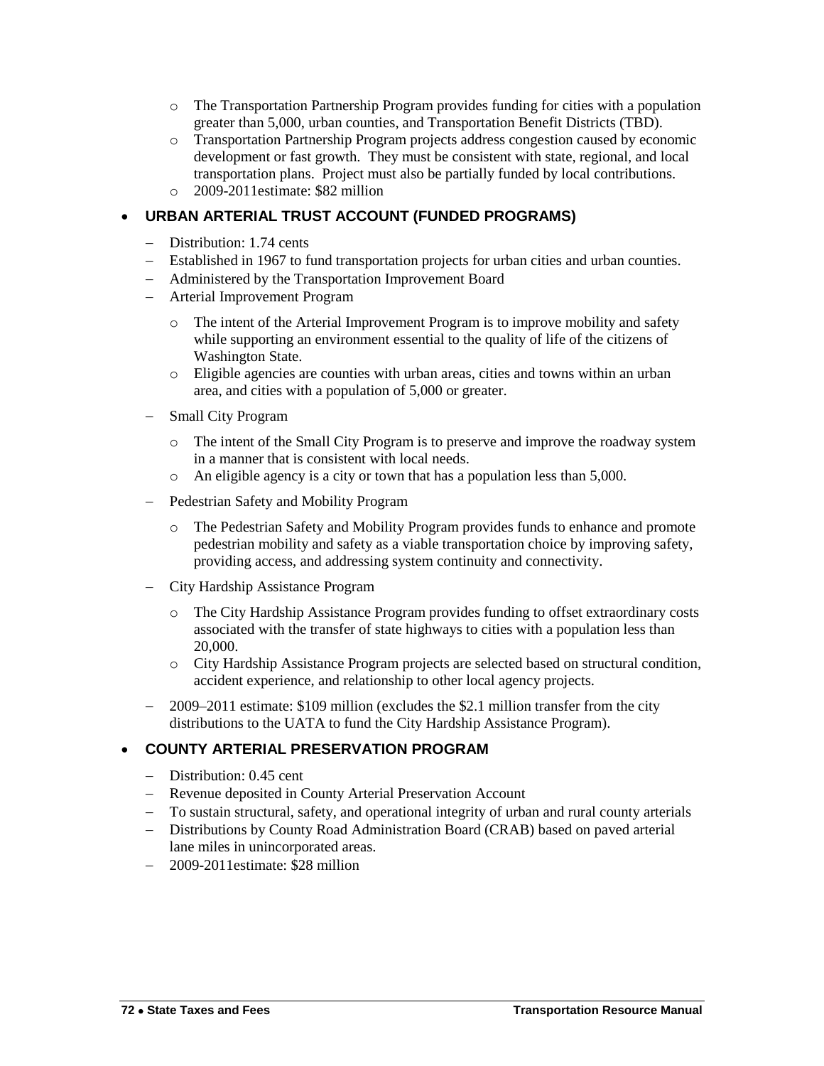- o The Transportation Partnership Program provides funding for cities with a population greater than 5,000, urban counties, and Transportation Benefit Districts (TBD).
- o Transportation Partnership Program projects address congestion caused by economic development or fast growth. They must be consistent with state, regional, and local transportation plans. Project must also be partially funded by local contributions.
- o 2009-2011estimate: \$82 million

#### **URBAN ARTERIAL TRUST ACCOUNT (FUNDED PROGRAMS)**

- Distribution: 1.74 cents
- Established in 1967 to fund transportation projects for urban cities and urban counties.
- Administered by the Transportation Improvement Board
- Arterial Improvement Program
	- o The intent of the Arterial Improvement Program is to improve mobility and safety while supporting an environment essential to the quality of life of the citizens of Washington State.
	- o Eligible agencies are counties with urban areas, cities and towns within an urban area, and cities with a population of 5,000 or greater.
- Small City Program
	- o The intent of the Small City Program is to preserve and improve the roadway system in a manner that is consistent with local needs.
	- o An eligible agency is a city or town that has a population less than 5,000.
- Pedestrian Safety and Mobility Program
	- o The Pedestrian Safety and Mobility Program provides funds to enhance and promote pedestrian mobility and safety as a viable transportation choice by improving safety, providing access, and addressing system continuity and connectivity.
- City Hardship Assistance Program
	- o The City Hardship Assistance Program provides funding to offset extraordinary costs associated with the transfer of state highways to cities with a population less than 20,000.
	- o City Hardship Assistance Program projects are selected based on structural condition, accident experience, and relationship to other local agency projects.
- 2009–2011 estimate: \$109 million (excludes the \$2.1 million transfer from the city distributions to the UATA to fund the City Hardship Assistance Program).

#### **COUNTY ARTERIAL PRESERVATION PROGRAM**

- Distribution: 0.45 cent
- Revenue deposited in County Arterial Preservation Account
- To sustain structural, safety, and operational integrity of urban and rural county arterials
- Distributions by County Road Administration Board (CRAB) based on paved arterial lane miles in unincorporated areas.
- 2009-2011estimate: \$28 million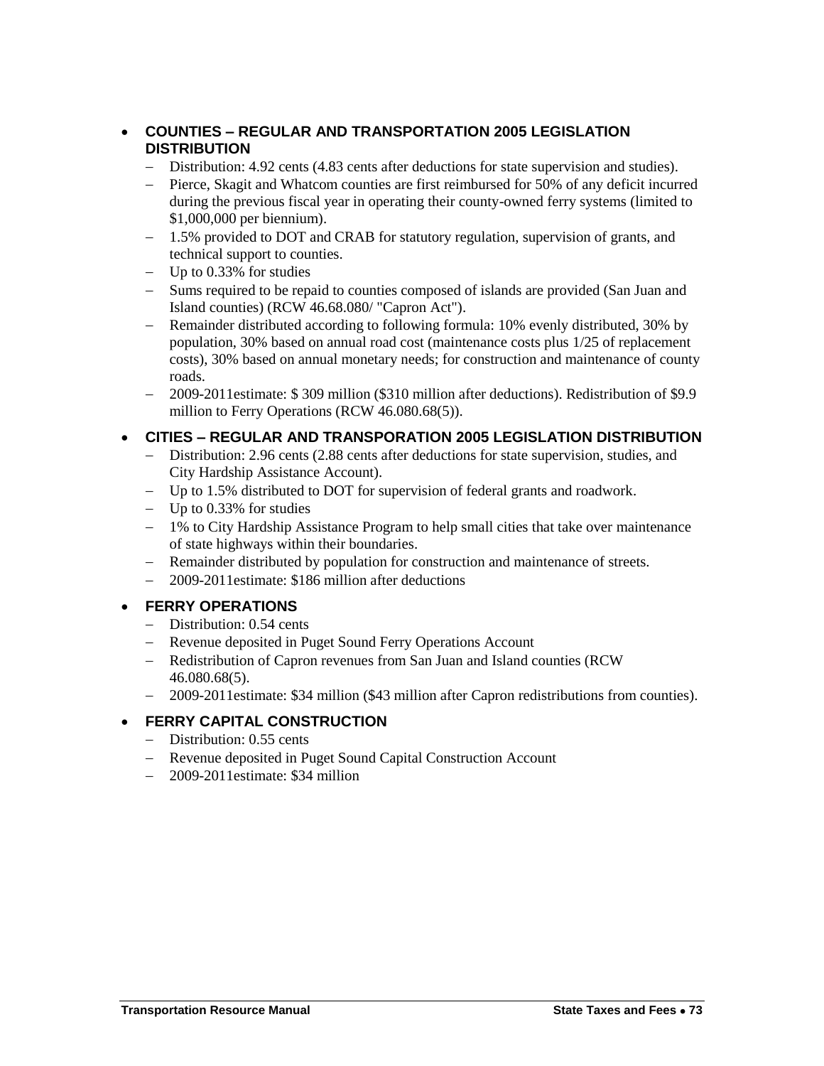#### **COUNTIES – REGULAR AND TRANSPORTATION 2005 LEGISLATION DISTRIBUTION**

- Distribution: 4.92 cents (4.83 cents after deductions for state supervision and studies).
- Pierce, Skagit and Whatcom counties are first reimbursed for 50% of any deficit incurred during the previous fiscal year in operating their county-owned ferry systems (limited to \$1,000,000 per biennium).
- 1.5% provided to DOT and CRAB for statutory regulation, supervision of grants, and technical support to counties.
- $-$  Up to 0.33% for studies
- Sums required to be repaid to counties composed of islands are provided (San Juan and Island counties) (RCW 46.68.080/ "Capron Act").
- Remainder distributed according to following formula: 10% evenly distributed, 30% by population, 30% based on annual road cost (maintenance costs plus 1/25 of replacement costs), 30% based on annual monetary needs; for construction and maintenance of county roads.
- 2009-2011estimate: \$ 309 million (\$310 million after deductions). Redistribution of \$9.9 million to Ferry Operations (RCW 46.080.68(5)).

#### **CITIES – REGULAR AND TRANSPORATION 2005 LEGISLATION DISTRIBUTION**

- Distribution: 2.96 cents (2.88 cents after deductions for state supervision, studies, and City Hardship Assistance Account).
- Up to 1.5% distributed to DOT for supervision of federal grants and roadwork.
- $-$  Up to 0.33% for studies
- 1% to City Hardship Assistance Program to help small cities that take over maintenance of state highways within their boundaries.
- Remainder distributed by population for construction and maintenance of streets.
- 2009-2011estimate: \$186 million after deductions

#### **FERRY OPERATIONS**

- Distribution: 0.54 cents
- Revenue deposited in Puget Sound Ferry Operations Account
- Redistribution of Capron revenues from San Juan and Island counties (RCW) 46.080.68(5).
- 2009-2011estimate: \$34 million (\$43 million after Capron redistributions from counties).

#### **FERRY CAPITAL CONSTRUCTION**

- Distribution: 0.55 cents
- Revenue deposited in Puget Sound Capital Construction Account
- 2009-2011 estimate: \$34 million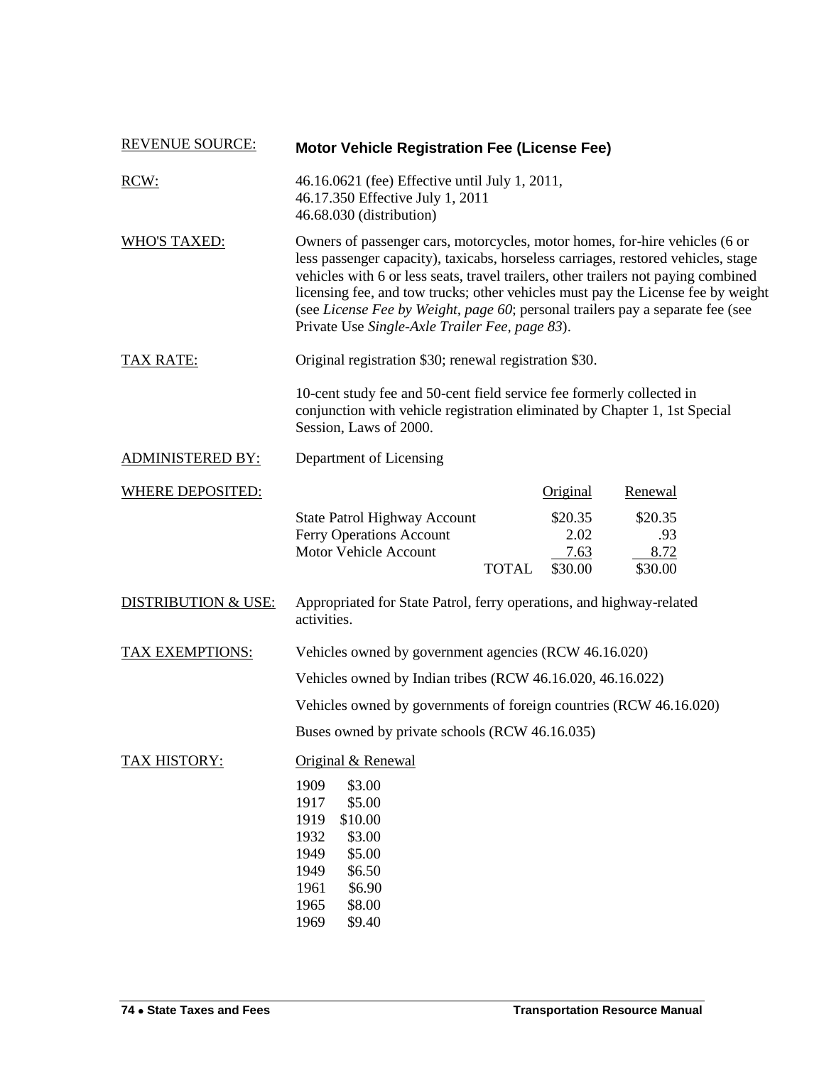| <b>REVENUE SOURCE:</b>         | <b>Motor Vehicle Registration Fee (License Fee)</b>                                                                                                                                                                                                                                                                                                                                                                                                                            |
|--------------------------------|--------------------------------------------------------------------------------------------------------------------------------------------------------------------------------------------------------------------------------------------------------------------------------------------------------------------------------------------------------------------------------------------------------------------------------------------------------------------------------|
| RCW:                           | 46.16.0621 (fee) Effective until July 1, 2011,<br>46.17.350 Effective July 1, 2011<br>46.68.030 (distribution)                                                                                                                                                                                                                                                                                                                                                                 |
| <b>WHO'S TAXED:</b>            | Owners of passenger cars, motorcycles, motor homes, for-hire vehicles (6 or<br>less passenger capacity), taxicabs, horseless carriages, restored vehicles, stage<br>vehicles with 6 or less seats, travel trailers, other trailers not paying combined<br>licensing fee, and tow trucks; other vehicles must pay the License fee by weight<br>(see License Fee by Weight, page 60; personal trailers pay a separate fee (see<br>Private Use Single-Axle Trailer Fee, page 83). |
| <b>TAX RATE:</b>               | Original registration \$30; renewal registration \$30.                                                                                                                                                                                                                                                                                                                                                                                                                         |
|                                | 10-cent study fee and 50-cent field service fee formerly collected in<br>conjunction with vehicle registration eliminated by Chapter 1, 1st Special<br>Session, Laws of 2000.                                                                                                                                                                                                                                                                                                  |
| <b>ADMINISTERED BY:</b>        | Department of Licensing                                                                                                                                                                                                                                                                                                                                                                                                                                                        |
| <b>WHERE DEPOSITED:</b>        | Renewal<br><b>Original</b>                                                                                                                                                                                                                                                                                                                                                                                                                                                     |
|                                | <b>State Patrol Highway Account</b><br>\$20.35<br>\$20.35<br>Ferry Operations Account<br>2.02<br>.93<br>8.72<br>Motor Vehicle Account<br>7.63<br>\$30.00<br>\$30.00<br><b>TOTAL</b>                                                                                                                                                                                                                                                                                            |
| <b>DISTRIBUTION &amp; USE:</b> | Appropriated for State Patrol, ferry operations, and highway-related<br>activities.                                                                                                                                                                                                                                                                                                                                                                                            |
| <b>TAX EXEMPTIONS:</b>         | Vehicles owned by government agencies (RCW 46.16.020)                                                                                                                                                                                                                                                                                                                                                                                                                          |
|                                | Vehicles owned by Indian tribes (RCW 46.16.020, 46.16.022)                                                                                                                                                                                                                                                                                                                                                                                                                     |
|                                | Vehicles owned by governments of foreign countries (RCW 46.16.020)                                                                                                                                                                                                                                                                                                                                                                                                             |
|                                | Buses owned by private schools (RCW 46.16.035)                                                                                                                                                                                                                                                                                                                                                                                                                                 |
| TAX HISTORY:                   | Original & Renewal<br>1909<br>\$3.00<br>\$5.00<br>1917<br>\$10.00<br>1919<br>1932<br>\$3.00<br>\$5.00<br>1949<br>\$6.50<br>1949<br>\$6.90<br>1961<br>\$8.00<br>1965<br>\$9.40<br>1969                                                                                                                                                                                                                                                                                          |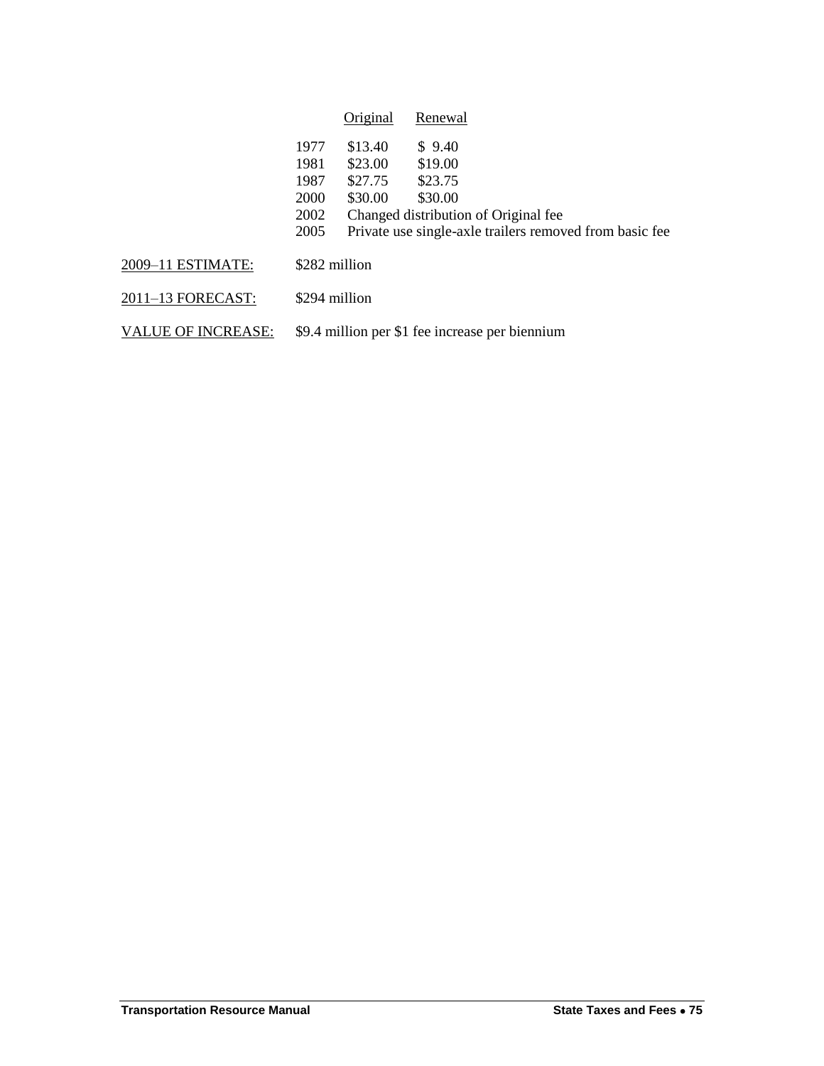|                           |                                              | Original                                 | Renewal                                                                                                                                    |
|---------------------------|----------------------------------------------|------------------------------------------|--------------------------------------------------------------------------------------------------------------------------------------------|
|                           | 1977<br>1981<br>1987<br>2000<br>2002<br>2005 | \$13.40<br>\$23.00<br>\$27.75<br>\$30.00 | \$9.40<br>\$19.00<br>\$23.75<br>\$30.00<br>Changed distribution of Original fee<br>Private use single-axle trailers removed from basic fee |
| 2009-11 ESTIMATE:         |                                              | \$282 million                            |                                                                                                                                            |
| 2011-13 FORECAST:         |                                              | \$294 million                            |                                                                                                                                            |
| <b>VALUE OF INCREASE:</b> |                                              |                                          | \$9.4 million per \$1 fee increase per biennium                                                                                            |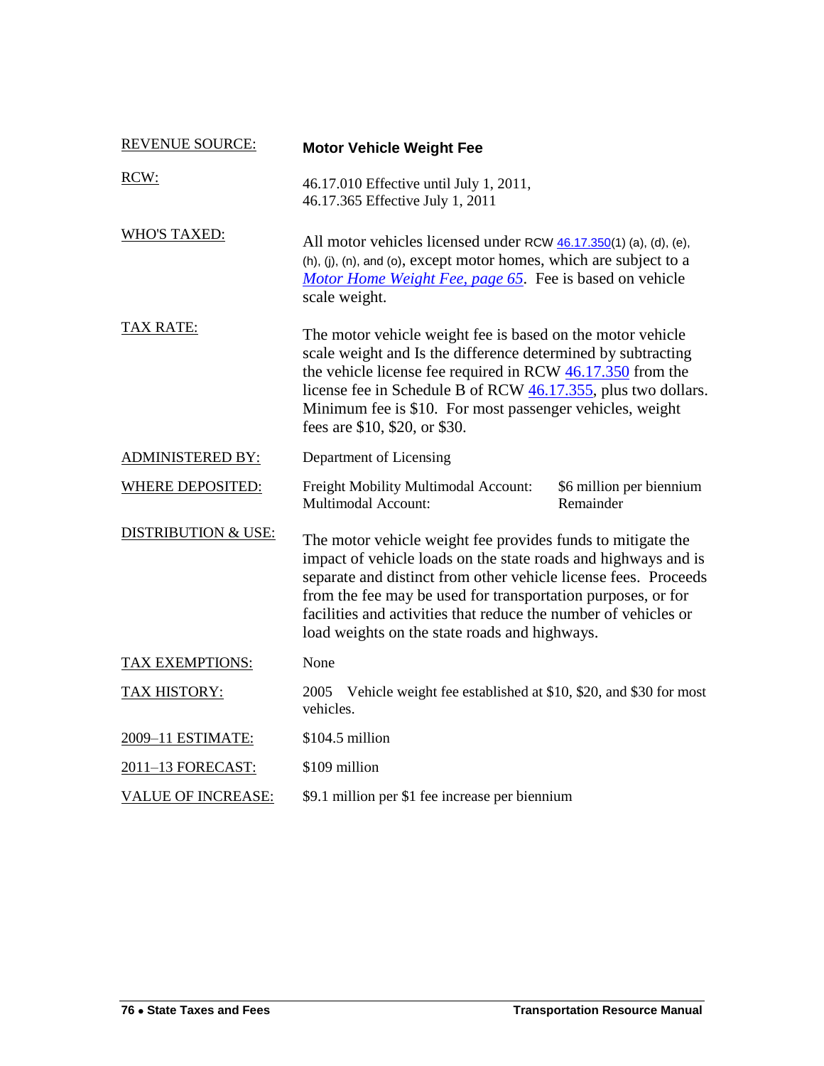| <b>REVENUE SOURCE:</b>         | <b>Motor Vehicle Weight Fee</b>                                                                                                                                                                                                                                                                                                                                                      |                                       |
|--------------------------------|--------------------------------------------------------------------------------------------------------------------------------------------------------------------------------------------------------------------------------------------------------------------------------------------------------------------------------------------------------------------------------------|---------------------------------------|
| RCW:                           | 46.17.010 Effective until July 1, 2011,<br>46.17.365 Effective July 1, 2011                                                                                                                                                                                                                                                                                                          |                                       |
| <b>WHO'S TAXED:</b>            | All motor vehicles licensed under RCW 46.17.350(1) (a), (d), (e),<br>(h), (j), (n), and (o), except motor homes, which are subject to a<br>Motor Home Weight Fee, page 65. Fee is based on vehicle<br>scale weight.                                                                                                                                                                  |                                       |
| <b>TAX RATE:</b>               | The motor vehicle weight fee is based on the motor vehicle<br>scale weight and Is the difference determined by subtracting<br>the vehicle license fee required in RCW $46.17.350$ from the<br>license fee in Schedule B of RCW 46.17.355, plus two dollars.<br>Minimum fee is \$10. For most passenger vehicles, weight<br>fees are \$10, \$20, or \$30.                             |                                       |
| <b>ADMINISTERED BY:</b>        | Department of Licensing                                                                                                                                                                                                                                                                                                                                                              |                                       |
| <b>WHERE DEPOSITED:</b>        | Freight Mobility Multimodal Account:<br>Multimodal Account:                                                                                                                                                                                                                                                                                                                          | \$6 million per biennium<br>Remainder |
| <b>DISTRIBUTION &amp; USE:</b> | The motor vehicle weight fee provides funds to mitigate the<br>impact of vehicle loads on the state roads and highways and is<br>separate and distinct from other vehicle license fees. Proceeds<br>from the fee may be used for transportation purposes, or for<br>facilities and activities that reduce the number of vehicles or<br>load weights on the state roads and highways. |                                       |
| TAX EXEMPTIONS:                | None                                                                                                                                                                                                                                                                                                                                                                                 |                                       |
| <b>TAX HISTORY:</b>            | Vehicle weight fee established at \$10, \$20, and \$30 for most<br>2005<br>vehicles.                                                                                                                                                                                                                                                                                                 |                                       |
| 2009-11 ESTIMATE:              | \$104.5 million                                                                                                                                                                                                                                                                                                                                                                      |                                       |
| 2011-13 FORECAST:              | \$109 million                                                                                                                                                                                                                                                                                                                                                                        |                                       |
| <b>VALUE OF INCREASE:</b>      | \$9.1 million per \$1 fee increase per biennium                                                                                                                                                                                                                                                                                                                                      |                                       |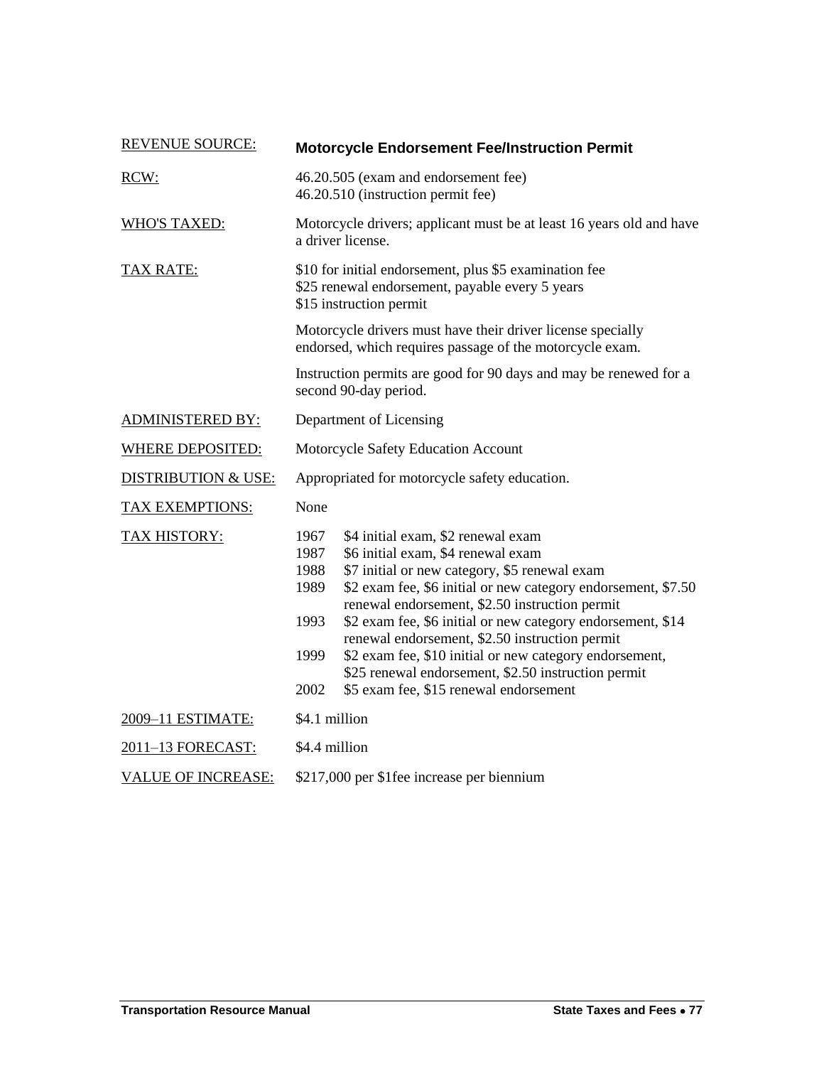| <b>REVENUE SOURCE:</b>         | <b>Motorcycle Endorsement Fee/Instruction Permit</b>                                                                                                                                                                                                                                                                                                                                                                                                                                                                                                                              |  |  |
|--------------------------------|-----------------------------------------------------------------------------------------------------------------------------------------------------------------------------------------------------------------------------------------------------------------------------------------------------------------------------------------------------------------------------------------------------------------------------------------------------------------------------------------------------------------------------------------------------------------------------------|--|--|
| RCW:                           | 46.20.505 (exam and endorsement fee)<br>46.20.510 (instruction permit fee)                                                                                                                                                                                                                                                                                                                                                                                                                                                                                                        |  |  |
| <b>WHO'S TAXED:</b>            | Motorcycle drivers; applicant must be at least 16 years old and have<br>a driver license.                                                                                                                                                                                                                                                                                                                                                                                                                                                                                         |  |  |
| <b>TAX RATE:</b>               | \$10 for initial endorsement, plus \$5 examination fee<br>\$25 renewal endorsement, payable every 5 years<br>\$15 instruction permit                                                                                                                                                                                                                                                                                                                                                                                                                                              |  |  |
|                                | Motorcycle drivers must have their driver license specially<br>endorsed, which requires passage of the motorcycle exam.                                                                                                                                                                                                                                                                                                                                                                                                                                                           |  |  |
|                                | Instruction permits are good for 90 days and may be renewed for a<br>second 90-day period.                                                                                                                                                                                                                                                                                                                                                                                                                                                                                        |  |  |
| <b>ADMINISTERED BY:</b>        | Department of Licensing                                                                                                                                                                                                                                                                                                                                                                                                                                                                                                                                                           |  |  |
| <b>WHERE DEPOSITED:</b>        | Motorcycle Safety Education Account                                                                                                                                                                                                                                                                                                                                                                                                                                                                                                                                               |  |  |
| <b>DISTRIBUTION &amp; USE:</b> | Appropriated for motorcycle safety education.                                                                                                                                                                                                                                                                                                                                                                                                                                                                                                                                     |  |  |
| <b>TAX EXEMPTIONS:</b>         | None                                                                                                                                                                                                                                                                                                                                                                                                                                                                                                                                                                              |  |  |
| <b>TAX HISTORY:</b>            | 1967<br>\$4 initial exam, \$2 renewal exam<br>\$6 initial exam, \$4 renewal exam<br>1987<br>\$7 initial or new category, \$5 renewal exam<br>1988<br>\$2 exam fee, \$6 initial or new category endorsement, \$7.50<br>1989<br>renewal endorsement, \$2.50 instruction permit<br>1993<br>\$2 exam fee, \$6 initial or new category endorsement, \$14<br>renewal endorsement, \$2.50 instruction permit<br>\$2 exam fee, \$10 initial or new category endorsement,<br>1999<br>\$25 renewal endorsement, \$2.50 instruction permit<br>2002<br>\$5 exam fee, \$15 renewal endorsement |  |  |
| 2009-11 ESTIMATE:              | \$4.1 million                                                                                                                                                                                                                                                                                                                                                                                                                                                                                                                                                                     |  |  |
| 2011-13 FORECAST:              | \$4.4 million                                                                                                                                                                                                                                                                                                                                                                                                                                                                                                                                                                     |  |  |
| <b>VALUE OF INCREASE:</b>      | \$217,000 per \$1fee increase per biennium                                                                                                                                                                                                                                                                                                                                                                                                                                                                                                                                        |  |  |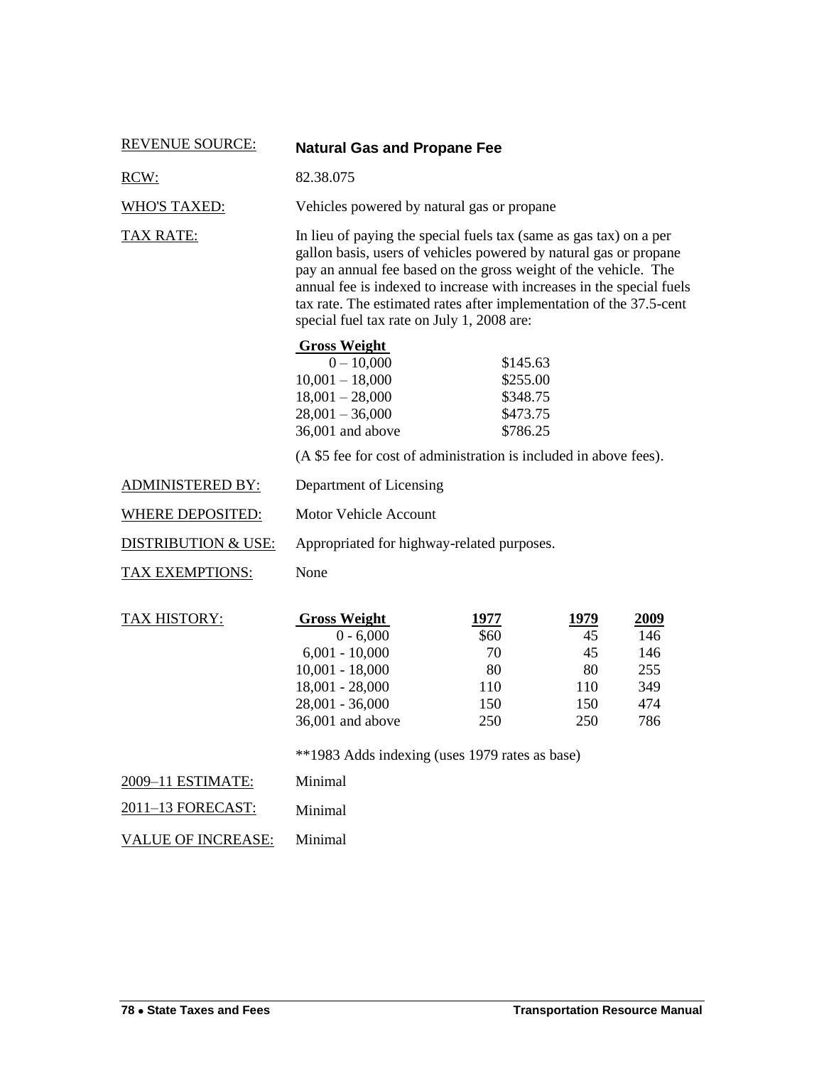| <b>REVENUE SOURCE:</b>         | <b>Natural Gas and Propane Fee</b>                                                                                                                                                                                                                                                                                                                                                                       |                                                          |                                             |                                                |
|--------------------------------|----------------------------------------------------------------------------------------------------------------------------------------------------------------------------------------------------------------------------------------------------------------------------------------------------------------------------------------------------------------------------------------------------------|----------------------------------------------------------|---------------------------------------------|------------------------------------------------|
| RCW:                           | 82.38.075                                                                                                                                                                                                                                                                                                                                                                                                |                                                          |                                             |                                                |
| <b>WHO'S TAXED:</b>            | Vehicles powered by natural gas or propane                                                                                                                                                                                                                                                                                                                                                               |                                                          |                                             |                                                |
| <b>TAX RATE:</b>               | In lieu of paying the special fuels tax (same as gas tax) on a per<br>gallon basis, users of vehicles powered by natural gas or propane<br>pay an annual fee based on the gross weight of the vehicle. The<br>annual fee is indexed to increase with increases in the special fuels<br>tax rate. The estimated rates after implementation of the 37.5-cent<br>special fuel tax rate on July 1, 2008 are: |                                                          |                                             |                                                |
|                                | <b>Gross Weight</b><br>$0 - 10,000$<br>$10,001 - 18,000$<br>$18,001 - 28,000$<br>$28,001 - 36,000$<br>36,001 and above<br>(A \$5 fee for cost of administration is included in above fees).                                                                                                                                                                                                              | \$145.63<br>\$255.00<br>\$348.75<br>\$473.75<br>\$786.25 |                                             |                                                |
| <b>ADMINISTERED BY:</b>        | Department of Licensing                                                                                                                                                                                                                                                                                                                                                                                  |                                                          |                                             |                                                |
|                                |                                                                                                                                                                                                                                                                                                                                                                                                          |                                                          |                                             |                                                |
| <b>WHERE DEPOSITED:</b>        | <b>Motor Vehicle Account</b>                                                                                                                                                                                                                                                                                                                                                                             |                                                          |                                             |                                                |
| <b>DISTRIBUTION &amp; USE:</b> | Appropriated for highway-related purposes.                                                                                                                                                                                                                                                                                                                                                               |                                                          |                                             |                                                |
| <b>TAX EXEMPTIONS:</b>         | None                                                                                                                                                                                                                                                                                                                                                                                                     |                                                          |                                             |                                                |
| TAX HISTORY:                   | <b>Gross Weight</b><br>$0 - 6,000$<br>$6,001 - 10,000$<br>$10,001 - 18,000$<br>$18,001 - 28,000$<br>$28,001 - 36,000$<br>36,001 and above                                                                                                                                                                                                                                                                | 1977<br>\$60<br>70<br>80<br>110<br>150<br>250            | 1979<br>45<br>45<br>80<br>110<br>150<br>250 | 2009<br>146<br>146<br>255<br>349<br>474<br>786 |
|                                | **1983 Adds indexing (uses 1979 rates as base)                                                                                                                                                                                                                                                                                                                                                           |                                                          |                                             |                                                |
| 2009-11 ESTIMATE:              | Minimal                                                                                                                                                                                                                                                                                                                                                                                                  |                                                          |                                             |                                                |
| 2011-13 FORECAST:              | Minimal                                                                                                                                                                                                                                                                                                                                                                                                  |                                                          |                                             |                                                |
| <b>VALUE OF INCREASE:</b>      | Minimal                                                                                                                                                                                                                                                                                                                                                                                                  |                                                          |                                             |                                                |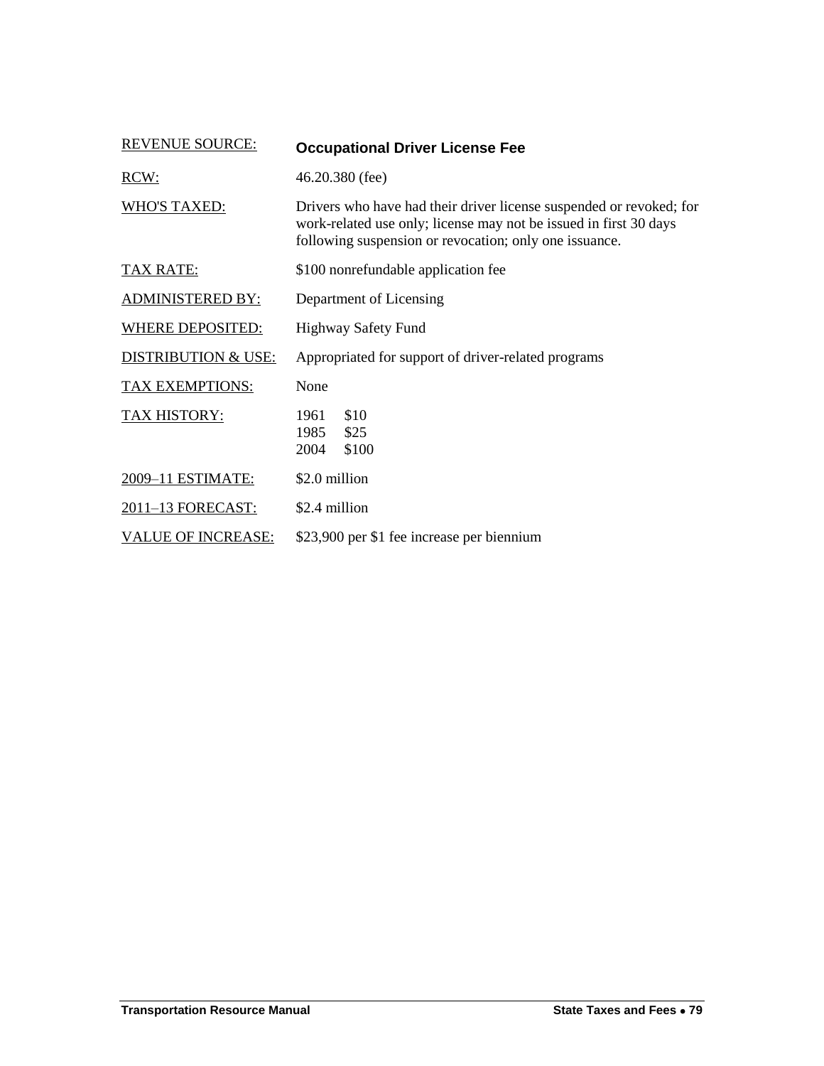| <b>REVENUE SOURCE:</b>         | <b>Occupational Driver License Fee</b>                                                                                                                                                             |  |
|--------------------------------|----------------------------------------------------------------------------------------------------------------------------------------------------------------------------------------------------|--|
| RCW:                           | 46.20.380 (fee)                                                                                                                                                                                    |  |
| <b>WHO'S TAXED:</b>            | Drivers who have had their driver license suspended or revoked; for<br>work-related use only; license may not be issued in first 30 days<br>following suspension or revocation; only one issuance. |  |
| <b>TAX RATE:</b>               | \$100 nonrefundable application fee                                                                                                                                                                |  |
| <b>ADMINISTERED BY:</b>        | Department of Licensing                                                                                                                                                                            |  |
| WHERE DEPOSITED:               | Highway Safety Fund                                                                                                                                                                                |  |
| <b>DISTRIBUTION &amp; USE:</b> | Appropriated for support of driver-related programs                                                                                                                                                |  |
| <b>TAX EXEMPTIONS:</b>         | None                                                                                                                                                                                               |  |
| TAX HISTORY:                   | \$10<br>1961<br>\$25<br>1985<br>\$100<br>2004                                                                                                                                                      |  |
| 2009-11 ESTIMATE:              | \$2.0 million                                                                                                                                                                                      |  |
| 2011-13 FORECAST:              | \$2.4 million                                                                                                                                                                                      |  |
| <b>VALUE OF INCREASE:</b>      | \$23,900 per \$1 fee increase per biennium                                                                                                                                                         |  |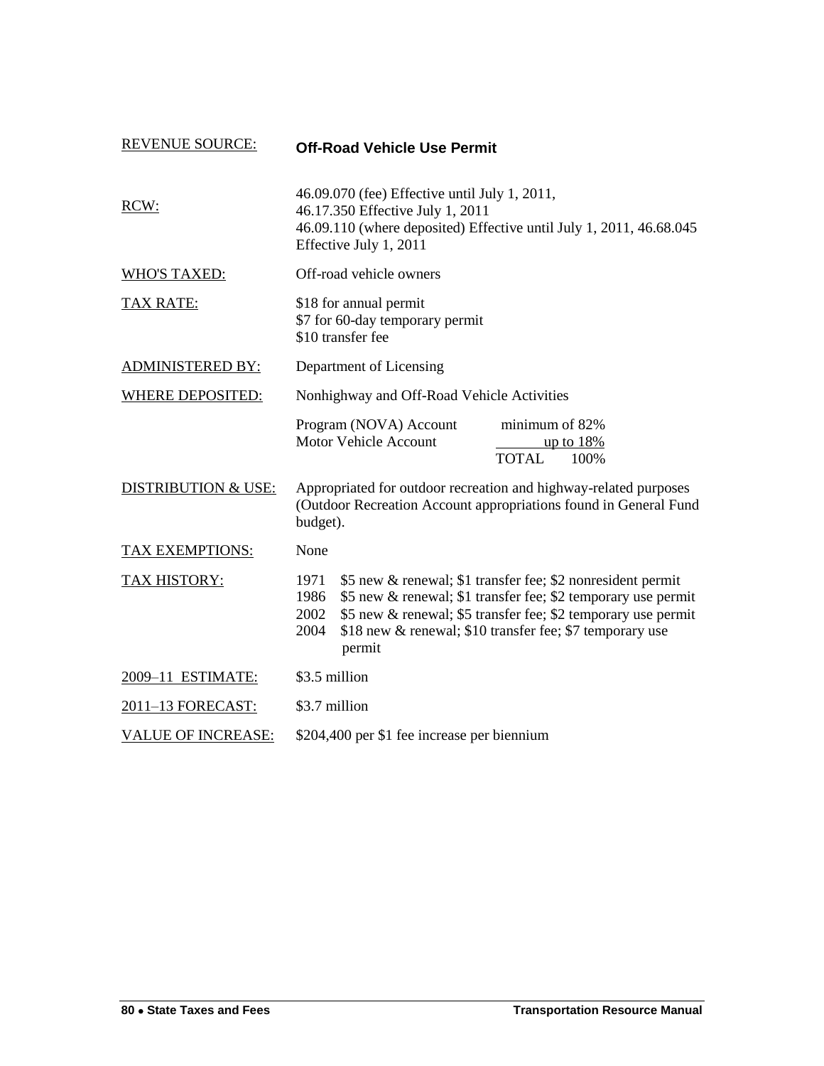| <b>REVENUE SOURCE:</b>         | <b>Off-Road Vehicle Use Permit</b>                                                                                                                                                                                                                                                                  |
|--------------------------------|-----------------------------------------------------------------------------------------------------------------------------------------------------------------------------------------------------------------------------------------------------------------------------------------------------|
| RCW:                           | 46.09.070 (fee) Effective until July 1, 2011,<br>46.17.350 Effective July 1, 2011<br>46.09.110 (where deposited) Effective until July 1, 2011, 46.68.045<br>Effective July 1, 2011                                                                                                                  |
| <b>WHO'S TAXED:</b>            | Off-road vehicle owners                                                                                                                                                                                                                                                                             |
| <b>TAX RATE:</b>               | \$18 for annual permit<br>\$7 for 60-day temporary permit<br>\$10 transfer fee                                                                                                                                                                                                                      |
| <b>ADMINISTERED BY:</b>        | Department of Licensing                                                                                                                                                                                                                                                                             |
| <b>WHERE DEPOSITED:</b>        | Nonhighway and Off-Road Vehicle Activities                                                                                                                                                                                                                                                          |
|                                | Program (NOVA) Account<br>minimum of 82%<br><b>Motor Vehicle Account</b><br>up to $18\%$<br><b>TOTAL</b><br>100%                                                                                                                                                                                    |
| <b>DISTRIBUTION &amp; USE:</b> | Appropriated for outdoor recreation and highway-related purposes<br>(Outdoor Recreation Account appropriations found in General Fund<br>budget).                                                                                                                                                    |
| TAX EXEMPTIONS:                | None                                                                                                                                                                                                                                                                                                |
| TAX HISTORY:                   | 1971<br>\$5 new & renewal; \$1 transfer fee; \$2 nonresident permit<br>\$5 new & renewal; \$1 transfer fee; \$2 temporary use permit<br>1986<br>\$5 new & renewal; \$5 transfer fee; \$2 temporary use permit<br>2002<br>\$18 new & renewal; \$10 transfer fee; \$7 temporary use<br>2004<br>permit |
| 2009-11 ESTIMATE:              | \$3.5 million                                                                                                                                                                                                                                                                                       |
| 2011-13 FORECAST:              | \$3.7 million                                                                                                                                                                                                                                                                                       |
| <b>VALUE OF INCREASE:</b>      | \$204,400 per \$1 fee increase per biennium                                                                                                                                                                                                                                                         |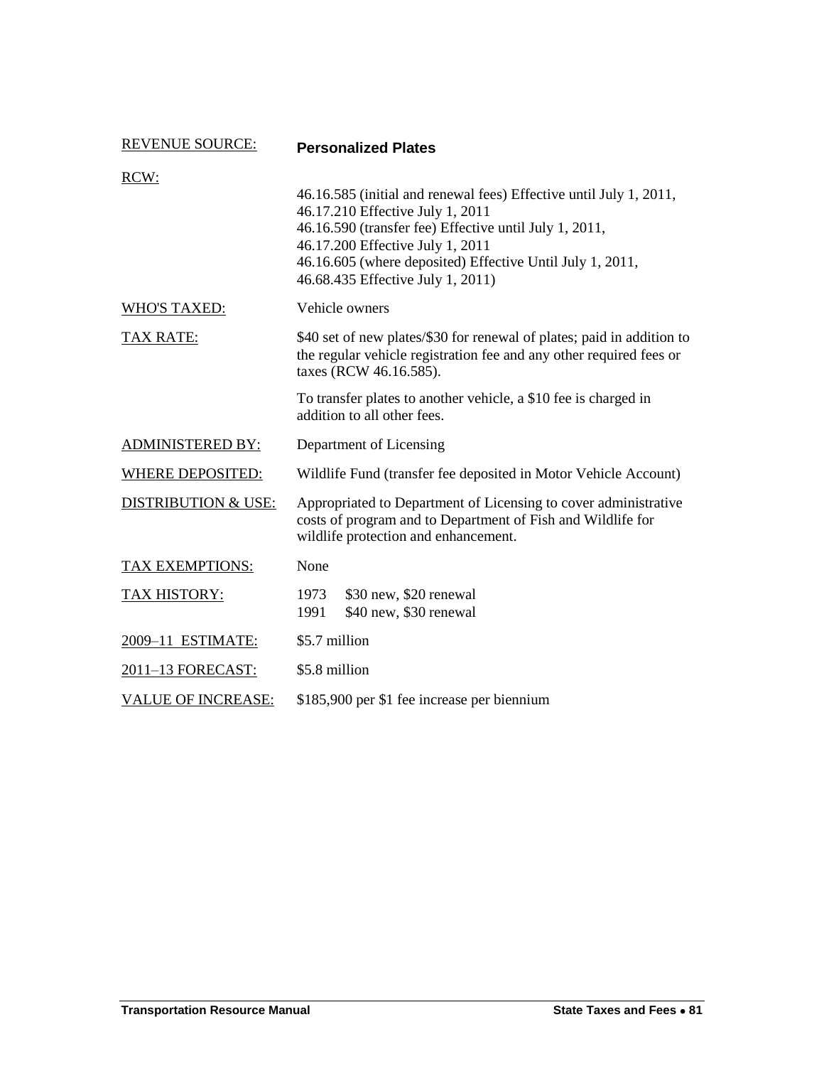| <b>REVENUE SOURCE:</b>         | <b>Personalized Plates</b>                                                                                                                                                                                                                                                                             |  |
|--------------------------------|--------------------------------------------------------------------------------------------------------------------------------------------------------------------------------------------------------------------------------------------------------------------------------------------------------|--|
| RCW:                           |                                                                                                                                                                                                                                                                                                        |  |
|                                | 46.16.585 (initial and renewal fees) Effective until July 1, 2011,<br>46.17.210 Effective July 1, 2011<br>46.16.590 (transfer fee) Effective until July 1, 2011,<br>46.17.200 Effective July 1, 2011<br>46.16.605 (where deposited) Effective Until July 1, 2011,<br>46.68.435 Effective July 1, 2011) |  |
| <b>WHO'S TAXED:</b>            | Vehicle owners                                                                                                                                                                                                                                                                                         |  |
| <b>TAX RATE:</b>               | \$40 set of new plates/\$30 for renewal of plates; paid in addition to<br>the regular vehicle registration fee and any other required fees or<br>taxes (RCW 46.16.585).                                                                                                                                |  |
|                                | To transfer plates to another vehicle, a \$10 fee is charged in<br>addition to all other fees.                                                                                                                                                                                                         |  |
| <b>ADMINISTERED BY:</b>        | Department of Licensing                                                                                                                                                                                                                                                                                |  |
| <b>WHERE DEPOSITED:</b>        | Wildlife Fund (transfer fee deposited in Motor Vehicle Account)                                                                                                                                                                                                                                        |  |
| <b>DISTRIBUTION &amp; USE:</b> | Appropriated to Department of Licensing to cover administrative<br>costs of program and to Department of Fish and Wildlife for<br>wildlife protection and enhancement.                                                                                                                                 |  |
| <b>TAX EXEMPTIONS:</b>         | None                                                                                                                                                                                                                                                                                                   |  |
| <b>TAX HISTORY:</b>            | 1973<br>\$30 new, \$20 renewal<br>1991<br>\$40 new, \$30 renewal                                                                                                                                                                                                                                       |  |
| 2009-11 ESTIMATE:              | \$5.7 million                                                                                                                                                                                                                                                                                          |  |
| 2011-13 FORECAST:              | \$5.8 million                                                                                                                                                                                                                                                                                          |  |
| <b>VALUE OF INCREASE:</b>      | \$185,900 per \$1 fee increase per biennium                                                                                                                                                                                                                                                            |  |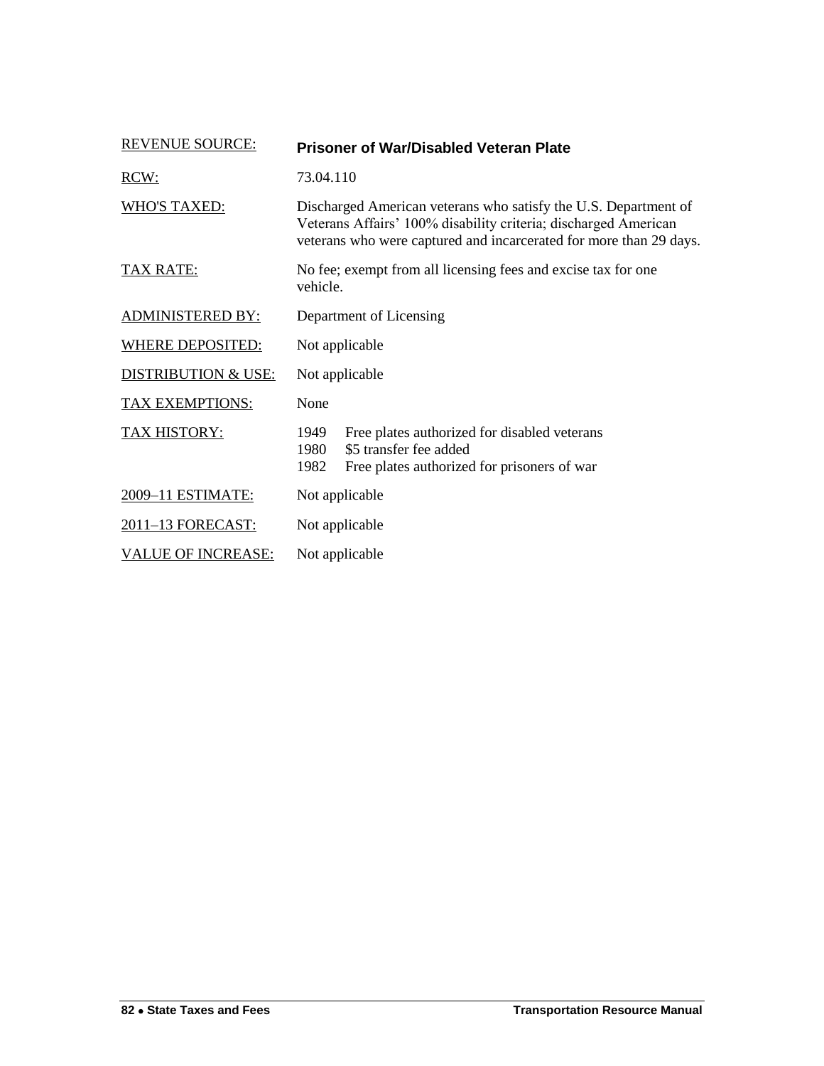| <b>REVENUE SOURCE:</b>         | <b>Prisoner of War/Disabled Veteran Plate</b>                                                                                                                                                            |  |
|--------------------------------|----------------------------------------------------------------------------------------------------------------------------------------------------------------------------------------------------------|--|
| RCW:                           | 73.04.110                                                                                                                                                                                                |  |
| <b>WHO'S TAXED:</b>            | Discharged American veterans who satisfy the U.S. Department of<br>Veterans Affairs' 100% disability criteria; discharged American<br>veterans who were captured and incarcerated for more than 29 days. |  |
| <b>TAX RATE:</b>               | No fee; exempt from all licensing fees and excise tax for one<br>vehicle.                                                                                                                                |  |
| <b>ADMINISTERED BY:</b>        | Department of Licensing                                                                                                                                                                                  |  |
| <b>WHERE DEPOSITED:</b>        | Not applicable                                                                                                                                                                                           |  |
| <b>DISTRIBUTION &amp; USE:</b> | Not applicable                                                                                                                                                                                           |  |
| <b>TAX EXEMPTIONS:</b>         | None                                                                                                                                                                                                     |  |
| TAX HISTORY:                   | 1949<br>Free plates authorized for disabled veterans<br>\$5 transfer fee added<br>1980<br>1982<br>Free plates authorized for prisoners of war                                                            |  |
| 2009-11 ESTIMATE:              | Not applicable                                                                                                                                                                                           |  |
| 2011-13 FORECAST:              | Not applicable                                                                                                                                                                                           |  |
| <b>VALUE OF INCREASE:</b>      | Not applicable                                                                                                                                                                                           |  |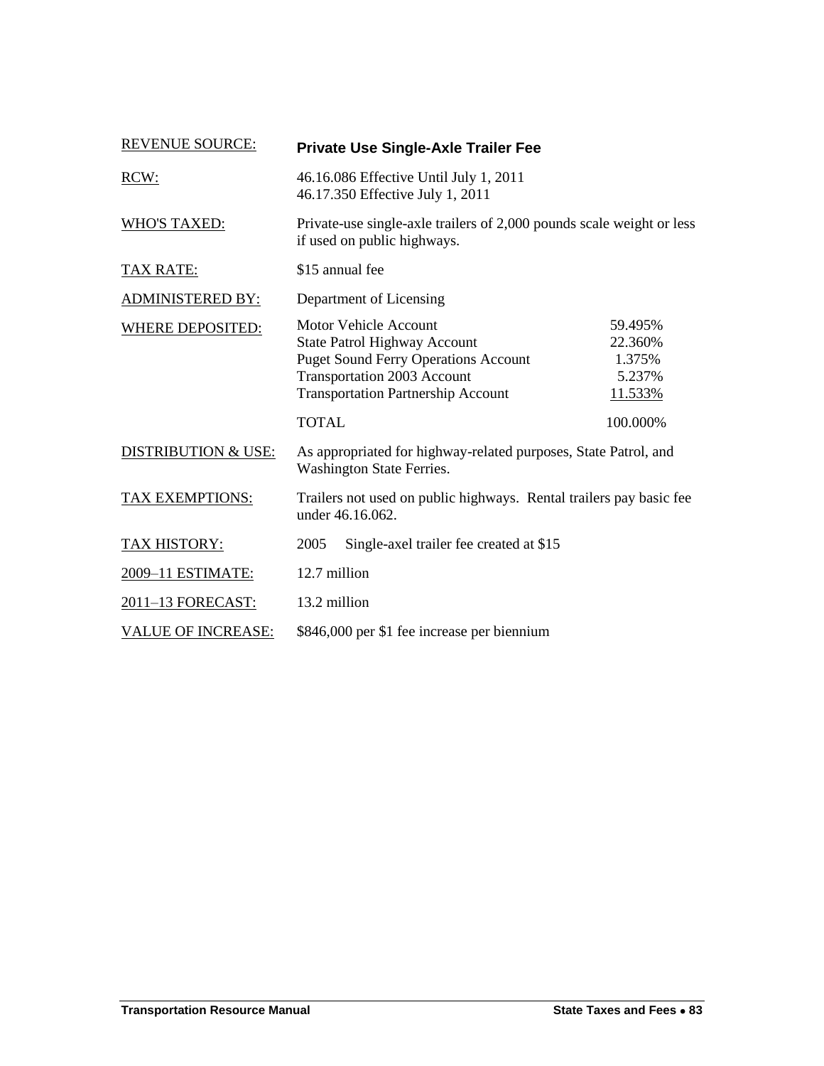| <b>REVENUE SOURCE:</b>         |                                                                                                      | <b>Private Use Single-Axle Trailer Fee</b>                                                                                                                                                            |                                                   |
|--------------------------------|------------------------------------------------------------------------------------------------------|-------------------------------------------------------------------------------------------------------------------------------------------------------------------------------------------------------|---------------------------------------------------|
| RCW:                           | 46.16.086 Effective Until July 1, 2011<br>46.17.350 Effective July 1, 2011                           |                                                                                                                                                                                                       |                                                   |
| <b>WHO'S TAXED:</b>            | Private-use single-axle trailers of 2,000 pounds scale weight or less<br>if used on public highways. |                                                                                                                                                                                                       |                                                   |
| TAX RATE:                      | \$15 annual fee                                                                                      |                                                                                                                                                                                                       |                                                   |
| <b>ADMINISTERED BY:</b>        | Department of Licensing                                                                              |                                                                                                                                                                                                       |                                                   |
| <b>WHERE DEPOSITED:</b>        |                                                                                                      | <b>Motor Vehicle Account</b><br><b>State Patrol Highway Account</b><br><b>Puget Sound Ferry Operations Account</b><br><b>Transportation 2003 Account</b><br><b>Transportation Partnership Account</b> | 59.495%<br>22.360%<br>1.375%<br>5.237%<br>11.533% |
|                                | <b>TOTAL</b>                                                                                         |                                                                                                                                                                                                       | 100.000%                                          |
| <b>DISTRIBUTION &amp; USE:</b> | As appropriated for highway-related purposes, State Patrol, and<br>Washington State Ferries.         |                                                                                                                                                                                                       |                                                   |
| TAX EXEMPTIONS:                | Trailers not used on public highways. Rental trailers pay basic fee<br>under 46.16.062.              |                                                                                                                                                                                                       |                                                   |
| TAX HISTORY:                   | 2005                                                                                                 | Single-axel trailer fee created at \$15                                                                                                                                                               |                                                   |
| 2009-11 ESTIMATE:              | 12.7 million                                                                                         |                                                                                                                                                                                                       |                                                   |
| 2011-13 FORECAST:              | 13.2 million                                                                                         |                                                                                                                                                                                                       |                                                   |
| <b>VALUE OF INCREASE:</b>      |                                                                                                      | \$846,000 per \$1 fee increase per biennium                                                                                                                                                           |                                                   |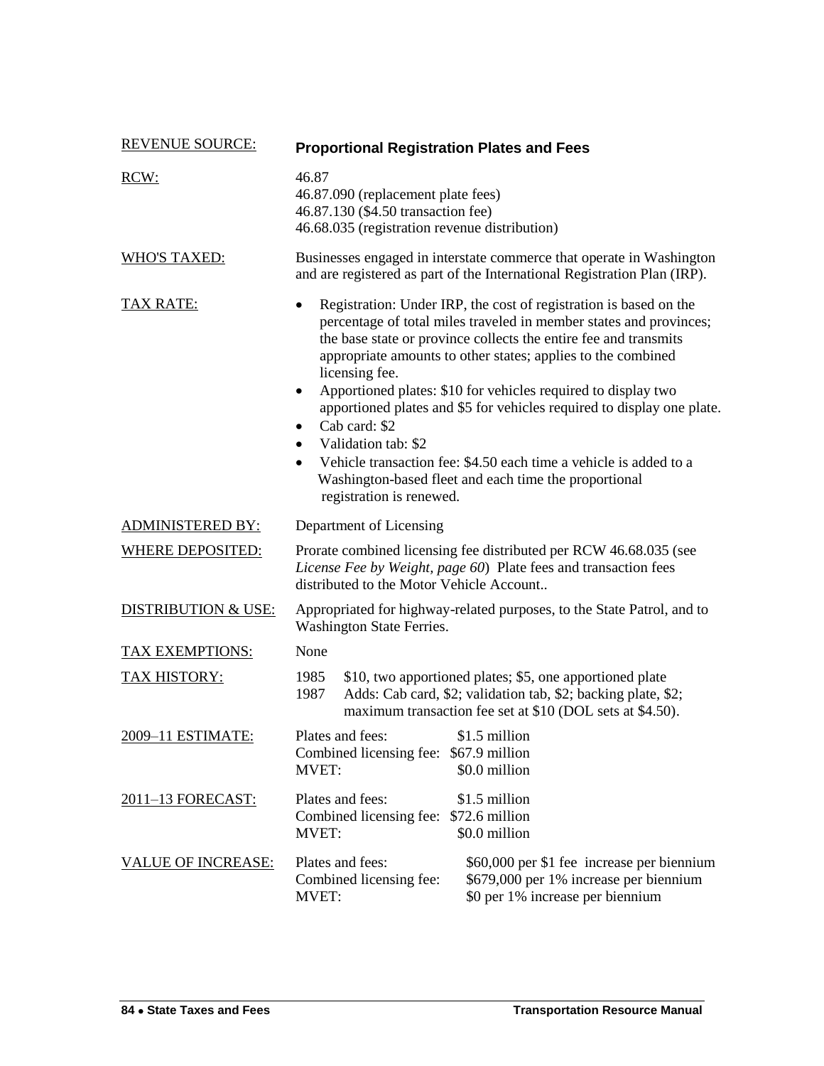| <b>REVENUE SOURCE:</b>         | <b>Proportional Registration Plates and Fees</b>                                                                                                                                                                                                                                                                                                                                                                                                                                                                                                                                                                                                                        |  |
|--------------------------------|-------------------------------------------------------------------------------------------------------------------------------------------------------------------------------------------------------------------------------------------------------------------------------------------------------------------------------------------------------------------------------------------------------------------------------------------------------------------------------------------------------------------------------------------------------------------------------------------------------------------------------------------------------------------------|--|
| RCW:                           | 46.87<br>46.87.090 (replacement plate fees)<br>46.87.130 (\$4.50 transaction fee)<br>46.68.035 (registration revenue distribution)                                                                                                                                                                                                                                                                                                                                                                                                                                                                                                                                      |  |
| <b>WHO'S TAXED:</b>            | Businesses engaged in interstate commerce that operate in Washington<br>and are registered as part of the International Registration Plan (IRP).                                                                                                                                                                                                                                                                                                                                                                                                                                                                                                                        |  |
| <b>TAX RATE:</b>               | Registration: Under IRP, the cost of registration is based on the<br>$\bullet$<br>percentage of total miles traveled in member states and provinces;<br>the base state or province collects the entire fee and transmits<br>appropriate amounts to other states; applies to the combined<br>licensing fee.<br>Apportioned plates: \$10 for vehicles required to display two<br>$\bullet$<br>apportioned plates and \$5 for vehicles required to display one plate.<br>Cab card: \$2<br>$\bullet$<br>Validation tab: \$2<br>$\bullet$<br>Vehicle transaction fee: \$4.50 each time a vehicle is added to a<br>٠<br>Washington-based fleet and each time the proportional |  |
| <b>ADMINISTERED BY:</b>        | registration is renewed.<br>Department of Licensing                                                                                                                                                                                                                                                                                                                                                                                                                                                                                                                                                                                                                     |  |
| <b>WHERE DEPOSITED:</b>        | Prorate combined licensing fee distributed per RCW 46.68.035 (see<br>License Fee by Weight, page 60) Plate fees and transaction fees<br>distributed to the Motor Vehicle Account                                                                                                                                                                                                                                                                                                                                                                                                                                                                                        |  |
| <b>DISTRIBUTION &amp; USE:</b> | Appropriated for highway-related purposes, to the State Patrol, and to<br>Washington State Ferries.                                                                                                                                                                                                                                                                                                                                                                                                                                                                                                                                                                     |  |
| <b>TAX EXEMPTIONS:</b>         | None                                                                                                                                                                                                                                                                                                                                                                                                                                                                                                                                                                                                                                                                    |  |
| <b>TAX HISTORY:</b>            | 1985<br>\$10, two apportioned plates; \$5, one apportioned plate<br>Adds: Cab card, \$2; validation tab, \$2; backing plate, \$2;<br>1987<br>maximum transaction fee set at \$10 (DOL sets at \$4.50).                                                                                                                                                                                                                                                                                                                                                                                                                                                                  |  |
| 2009-11 ESTIMATE:              | Plates and fees:<br>\$1.5 million<br>Combined licensing fee: \$67.9 million<br>\$0.0 million<br><b>MVET:</b>                                                                                                                                                                                                                                                                                                                                                                                                                                                                                                                                                            |  |
| <u>2011–13 FORECAST:</u>       | \$1.5 million<br>Plates and fees:<br>Combined licensing fee: \$72.6 million<br>\$0.0 million<br><b>MVET:</b>                                                                                                                                                                                                                                                                                                                                                                                                                                                                                                                                                            |  |
| <b>VALUE OF INCREASE:</b>      | Plates and fees:<br>\$60,000 per \$1 fee increase per biennium<br>Combined licensing fee:<br>\$679,000 per 1% increase per biennium<br>\$0 per 1% increase per biennium<br><b>MVET:</b>                                                                                                                                                                                                                                                                                                                                                                                                                                                                                 |  |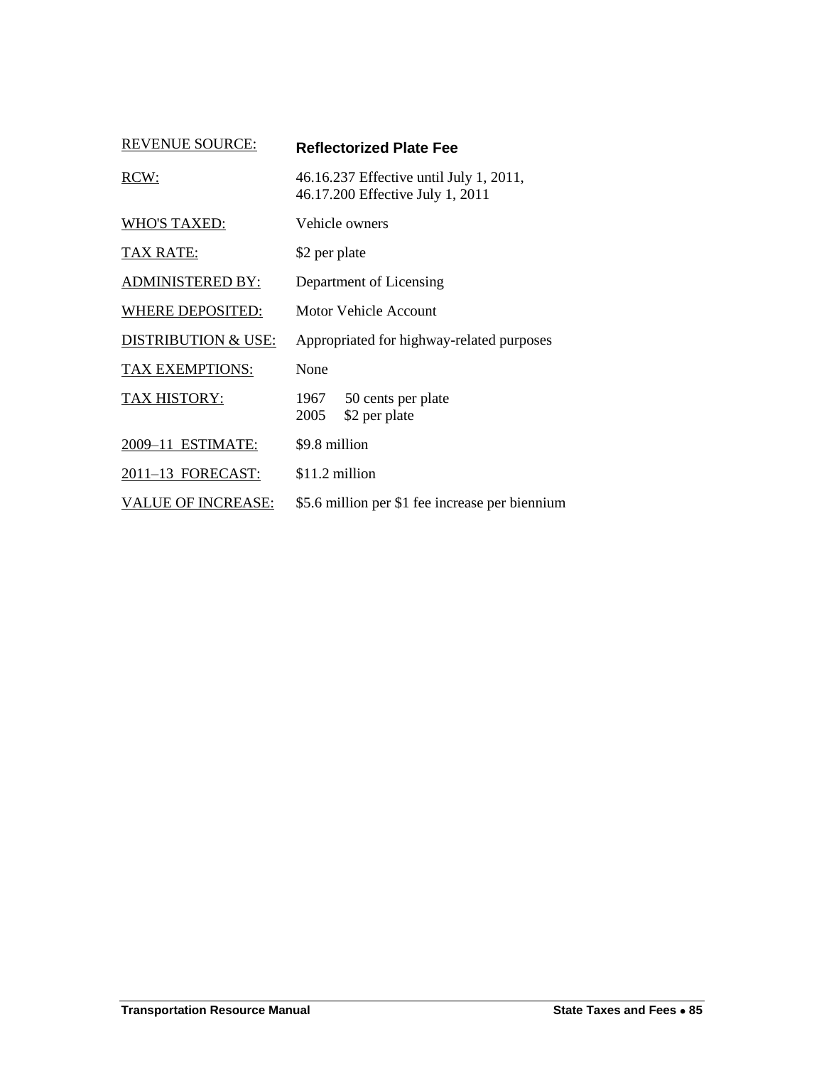| <b>REVENUE SOURCE:</b>         | <b>Reflectorized Plate Fee</b>                                              |  |
|--------------------------------|-----------------------------------------------------------------------------|--|
| RCW:                           | 46.16.237 Effective until July 1, 2011,<br>46.17.200 Effective July 1, 2011 |  |
| <b>WHO'S TAXED:</b>            | Vehicle owners                                                              |  |
| <b>TAX RATE:</b>               | \$2 per plate                                                               |  |
| <b>ADMINISTERED BY:</b>        | Department of Licensing                                                     |  |
| WHERE DEPOSITED:               | Motor Vehicle Account                                                       |  |
| <b>DISTRIBUTION &amp; USE:</b> | Appropriated for highway-related purposes                                   |  |
| TAX EXEMPTIONS:                | None                                                                        |  |
| <b>TAX HISTORY:</b>            | 1967<br>50 cents per plate<br>2005<br>\$2 per plate                         |  |
| 2009-11 ESTIMATE:              | \$9.8 million                                                               |  |
| 2011-13 FORECAST:              | \$11.2 million                                                              |  |
| <b>VALUE OF INCREASE:</b>      | \$5.6 million per \$1 fee increase per biennium                             |  |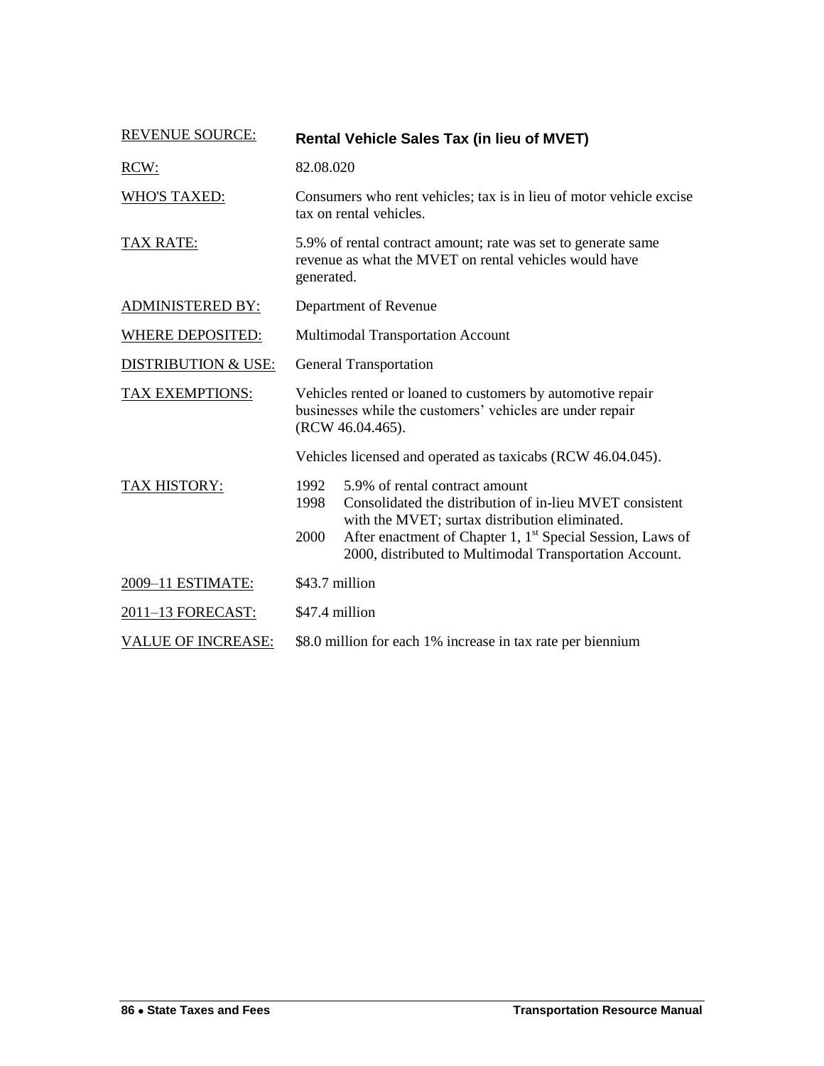| <b>REVENUE SOURCE:</b>         | <b>Rental Vehicle Sales Tax (in lieu of MVET)</b>                                                                                                                                                                                                                                                         |  |
|--------------------------------|-----------------------------------------------------------------------------------------------------------------------------------------------------------------------------------------------------------------------------------------------------------------------------------------------------------|--|
| RCW:                           | 82.08.020                                                                                                                                                                                                                                                                                                 |  |
| <b>WHO'S TAXED:</b>            | Consumers who rent vehicles; tax is in lieu of motor vehicle excise<br>tax on rental vehicles.                                                                                                                                                                                                            |  |
| <b>TAX RATE:</b>               | 5.9% of rental contract amount; rate was set to generate same<br>revenue as what the MVET on rental vehicles would have<br>generated.                                                                                                                                                                     |  |
| <b>ADMINISTERED BY:</b>        | Department of Revenue                                                                                                                                                                                                                                                                                     |  |
| <b>WHERE DEPOSITED:</b>        | Multimodal Transportation Account                                                                                                                                                                                                                                                                         |  |
| <b>DISTRIBUTION &amp; USE:</b> | <b>General Transportation</b>                                                                                                                                                                                                                                                                             |  |
| <b>TAX EXEMPTIONS:</b>         | Vehicles rented or loaned to customers by automotive repair<br>businesses while the customers' vehicles are under repair<br>(RCW 46.04.465).                                                                                                                                                              |  |
|                                | Vehicles licensed and operated as taxicabs (RCW 46.04.045).                                                                                                                                                                                                                                               |  |
| <b>TAX HISTORY:</b>            | 1992<br>5.9% of rental contract amount<br>Consolidated the distribution of in-lieu MVET consistent<br>1998<br>with the MVET; surtax distribution eliminated.<br>After enactment of Chapter 1, 1 <sup>st</sup> Special Session, Laws of<br>2000<br>2000, distributed to Multimodal Transportation Account. |  |
| 2009-11 ESTIMATE:              | \$43.7 million                                                                                                                                                                                                                                                                                            |  |
| 2011-13 FORECAST:              | \$47.4 million                                                                                                                                                                                                                                                                                            |  |
| <b>VALUE OF INCREASE:</b>      | \$8.0 million for each 1% increase in tax rate per biennium                                                                                                                                                                                                                                               |  |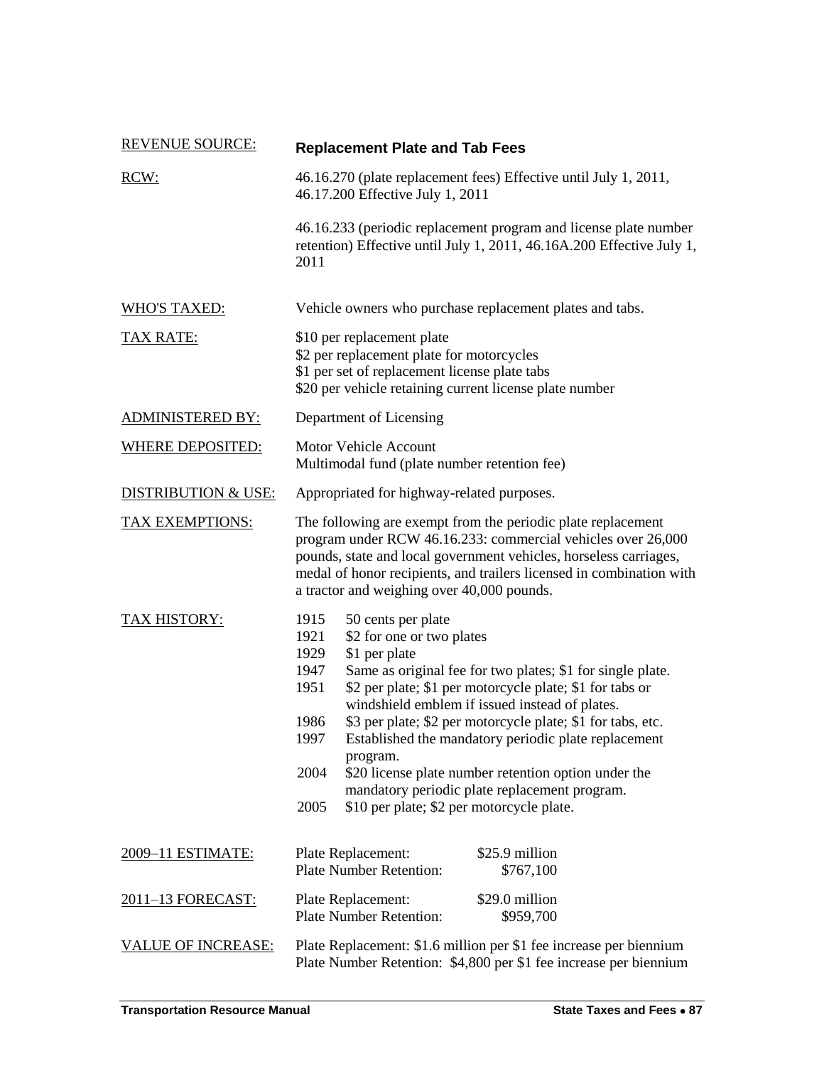| <b>REVENUE SOURCE:</b>         | <b>Replacement Plate and Tab Fees</b>                                                                                                                                                                                                                                                                                                                                                                                                                                                                                                                                                                         |  |
|--------------------------------|---------------------------------------------------------------------------------------------------------------------------------------------------------------------------------------------------------------------------------------------------------------------------------------------------------------------------------------------------------------------------------------------------------------------------------------------------------------------------------------------------------------------------------------------------------------------------------------------------------------|--|
| RCW:                           | 46.16.270 (plate replacement fees) Effective until July 1, 2011,<br>46.17.200 Effective July 1, 2011                                                                                                                                                                                                                                                                                                                                                                                                                                                                                                          |  |
|                                | 46.16.233 (periodic replacement program and license plate number<br>retention) Effective until July 1, 2011, 46.16A.200 Effective July 1,<br>2011                                                                                                                                                                                                                                                                                                                                                                                                                                                             |  |
| <b>WHO'S TAXED:</b>            | Vehicle owners who purchase replacement plates and tabs.                                                                                                                                                                                                                                                                                                                                                                                                                                                                                                                                                      |  |
| <b>TAX RATE:</b>               | \$10 per replacement plate<br>\$2 per replacement plate for motorcycles<br>\$1 per set of replacement license plate tabs<br>\$20 per vehicle retaining current license plate number                                                                                                                                                                                                                                                                                                                                                                                                                           |  |
| <b>ADMINISTERED BY:</b>        | Department of Licensing                                                                                                                                                                                                                                                                                                                                                                                                                                                                                                                                                                                       |  |
| <b>WHERE DEPOSITED:</b>        | <b>Motor Vehicle Account</b><br>Multimodal fund (plate number retention fee)                                                                                                                                                                                                                                                                                                                                                                                                                                                                                                                                  |  |
| <b>DISTRIBUTION &amp; USE:</b> | Appropriated for highway-related purposes.                                                                                                                                                                                                                                                                                                                                                                                                                                                                                                                                                                    |  |
| <b>TAX EXEMPTIONS:</b>         | The following are exempt from the periodic plate replacement<br>program under RCW 46.16.233: commercial vehicles over 26,000<br>pounds, state and local government vehicles, horseless carriages,<br>medal of honor recipients, and trailers licensed in combination with<br>a tractor and weighing over 40,000 pounds.                                                                                                                                                                                                                                                                                       |  |
| TAX HISTORY:                   | 1915<br>50 cents per plate<br>\$2 for one or two plates<br>1921<br>1929<br>\$1 per plate<br>1947<br>Same as original fee for two plates; \$1 for single plate.<br>1951<br>\$2 per plate; \$1 per motorcycle plate; \$1 for tabs or<br>windshield emblem if issued instead of plates.<br>\$3 per plate; \$2 per motorcycle plate; \$1 for tabs, etc.<br>1986<br>Established the mandatory periodic plate replacement<br>1997<br>program.<br>2004<br>\$20 license plate number retention option under the<br>mandatory periodic plate replacement program.<br>2005<br>\$10 per plate; \$2 per motorcycle plate. |  |
| 2009–11 ESTIMATE:              | \$25.9 million<br>Plate Replacement:<br><b>Plate Number Retention:</b><br>\$767,100                                                                                                                                                                                                                                                                                                                                                                                                                                                                                                                           |  |
| 2011-13 FORECAST:              | \$29.0 million<br>Plate Replacement:<br><b>Plate Number Retention:</b><br>\$959,700                                                                                                                                                                                                                                                                                                                                                                                                                                                                                                                           |  |
| <b>VALUE OF INCREASE:</b>      | Plate Replacement: \$1.6 million per \$1 fee increase per biennium<br>Plate Number Retention: \$4,800 per \$1 fee increase per biennium                                                                                                                                                                                                                                                                                                                                                                                                                                                                       |  |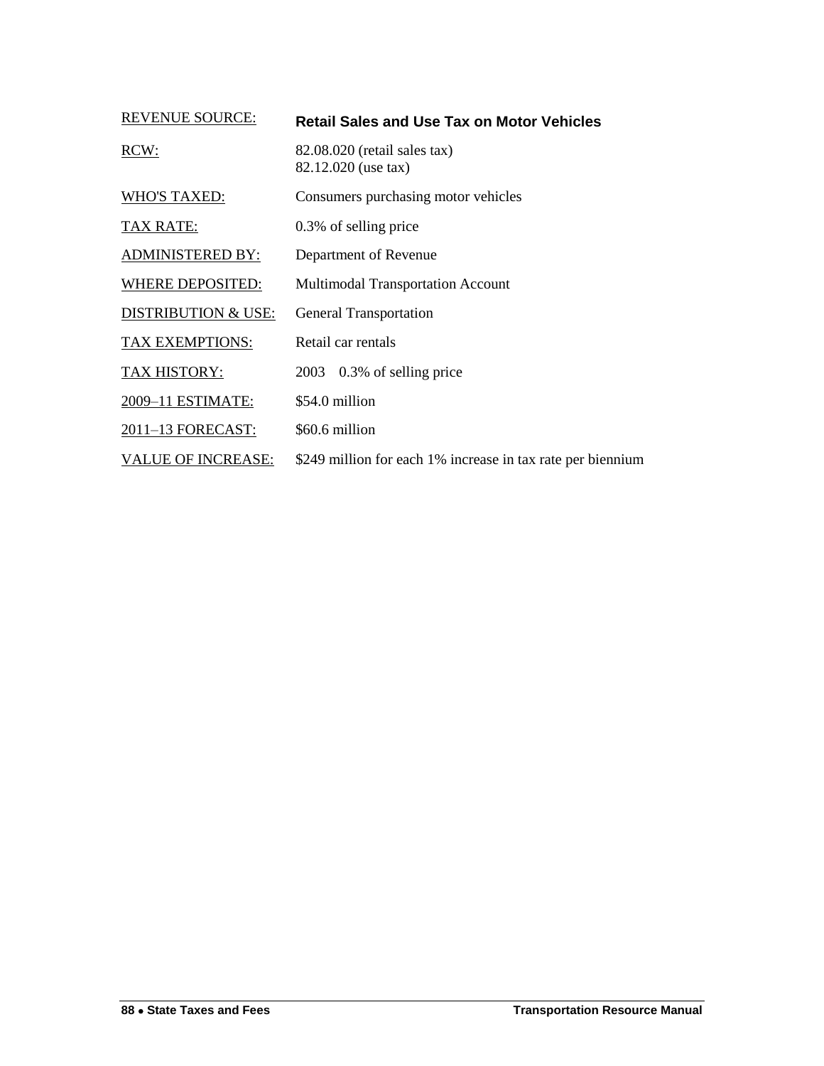| <b>REVENUE SOURCE:</b>         | <b>Retail Sales and Use Tax on Motor Vehicles</b>           |
|--------------------------------|-------------------------------------------------------------|
| RCW:                           | 82.08.020 (retail sales tax)<br>82.12.020 (use tax)         |
| <b>WHO'S TAXED:</b>            | Consumers purchasing motor vehicles                         |
| <b>TAX RATE:</b>               | 0.3% of selling price                                       |
| <b>ADMINISTERED BY:</b>        | Department of Revenue                                       |
| <b>WHERE DEPOSITED:</b>        | <b>Multimodal Transportation Account</b>                    |
| <b>DISTRIBUTION &amp; USE:</b> | <b>General Transportation</b>                               |
| TAX EXEMPTIONS:                | Retail car rentals                                          |
| TAX HISTORY:                   | 0.3% of selling price<br>2003                               |
| 2009-11 ESTIMATE:              | \$54.0 million                                              |
| 2011-13 FORECAST:              | \$60.6 million                                              |
| <b>VALUE OF INCREASE:</b>      | \$249 million for each 1% increase in tax rate per biennium |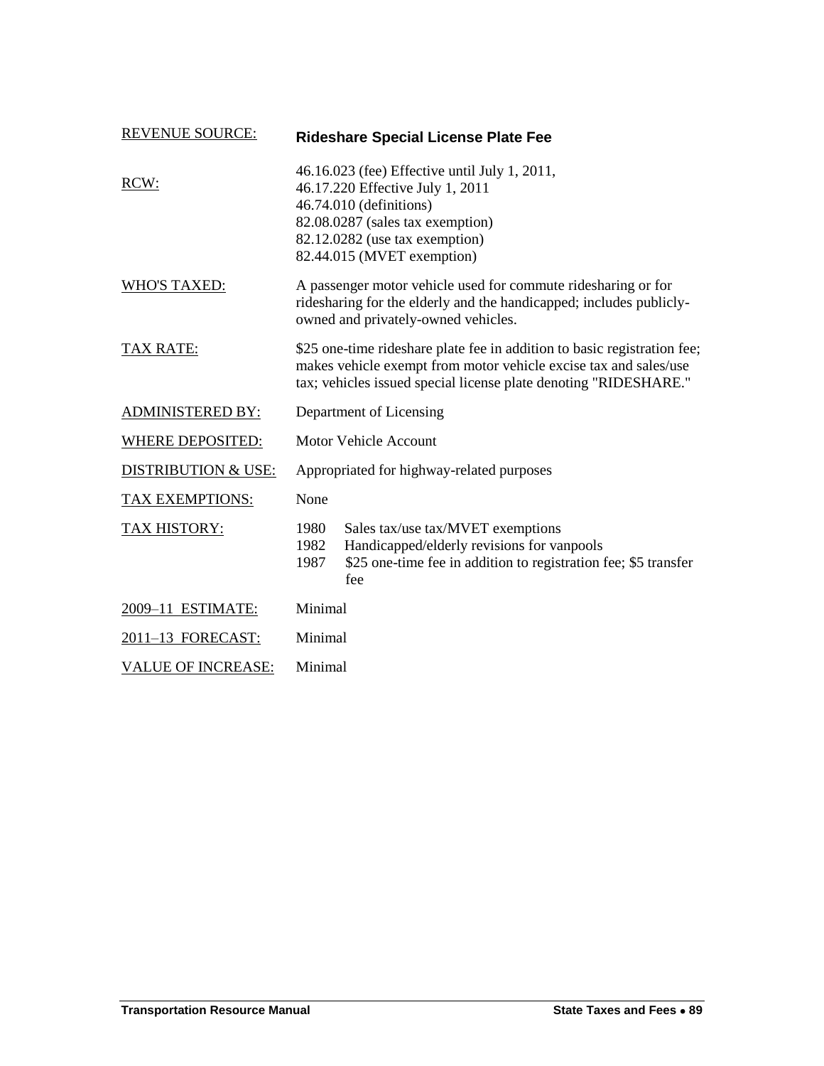| <b>REVENUE SOURCE:</b>         |                                                                                                                                                                                                                  | <b>Rideshare Special License Plate Fee</b>                                                                                                                |  |
|--------------------------------|------------------------------------------------------------------------------------------------------------------------------------------------------------------------------------------------------------------|-----------------------------------------------------------------------------------------------------------------------------------------------------------|--|
| RCW:                           | 46.16.023 (fee) Effective until July 1, 2011,<br>46.17.220 Effective July 1, 2011<br>46.74.010 (definitions)<br>82.08.0287 (sales tax exemption)<br>82.12.0282 (use tax exemption)<br>82.44.015 (MVET exemption) |                                                                                                                                                           |  |
| <b>WHO'S TAXED:</b>            | A passenger motor vehicle used for commute ridesharing or for<br>ridesharing for the elderly and the handicapped; includes publicly-<br>owned and privately-owned vehicles.                                      |                                                                                                                                                           |  |
| <b>TAX RATE:</b>               | \$25 one-time rideshare plate fee in addition to basic registration fee;<br>makes vehicle exempt from motor vehicle excise tax and sales/use<br>tax; vehicles issued special license plate denoting "RIDESHARE." |                                                                                                                                                           |  |
| <b>ADMINISTERED BY:</b>        | Department of Licensing                                                                                                                                                                                          |                                                                                                                                                           |  |
| <b>WHERE DEPOSITED:</b>        | <b>Motor Vehicle Account</b>                                                                                                                                                                                     |                                                                                                                                                           |  |
| <b>DISTRIBUTION &amp; USE:</b> |                                                                                                                                                                                                                  | Appropriated for highway-related purposes                                                                                                                 |  |
| TAX EXEMPTIONS:                | None                                                                                                                                                                                                             |                                                                                                                                                           |  |
| TAX HISTORY:                   | 1980<br>1982<br>1987                                                                                                                                                                                             | Sales tax/use tax/MVET exemptions<br>Handicapped/elderly revisions for vanpools<br>\$25 one-time fee in addition to registration fee; \$5 transfer<br>fee |  |
| 2009-11 ESTIMATE:              | Minimal                                                                                                                                                                                                          |                                                                                                                                                           |  |
| 2011-13 FORECAST:              |                                                                                                                                                                                                                  | Minimal                                                                                                                                                   |  |
| <b>VALUE OF INCREASE:</b>      | Minimal                                                                                                                                                                                                          |                                                                                                                                                           |  |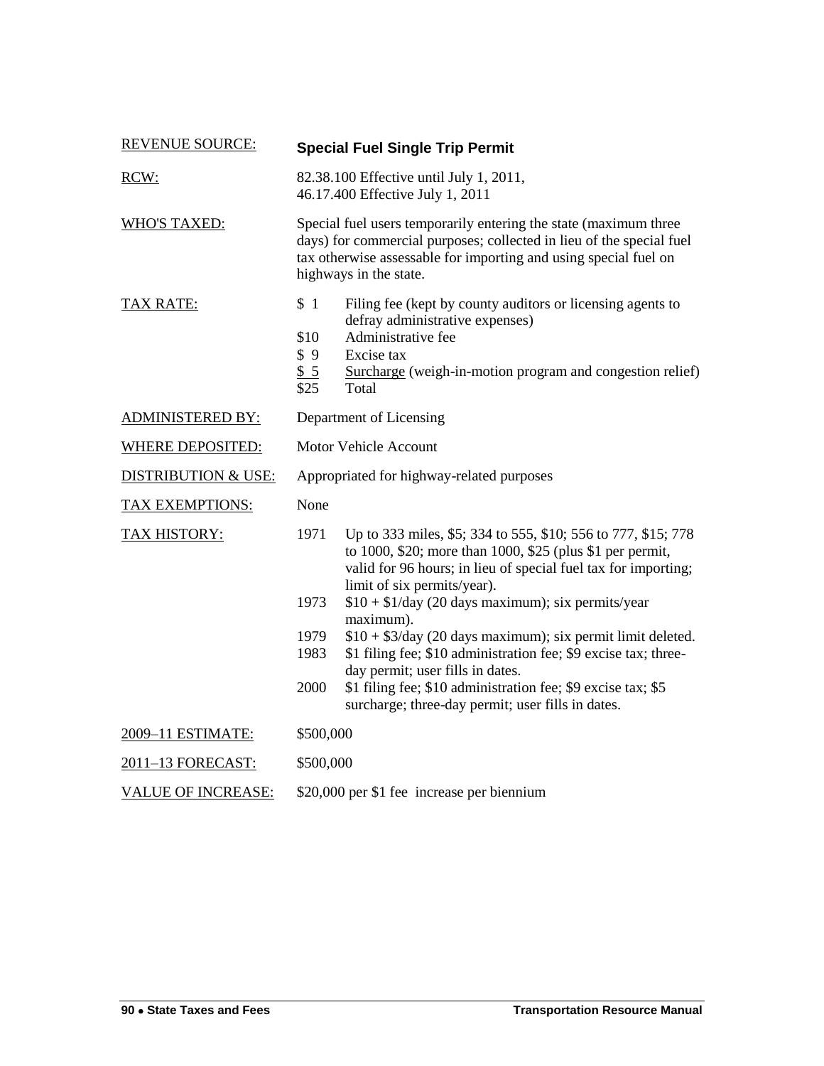| <b>REVENUE SOURCE:</b>         |                                                                                                                                                                                                                                        | <b>Special Fuel Single Trip Permit</b>                                                                                                                                                                                                                                                                                                                                                                                             |  |
|--------------------------------|----------------------------------------------------------------------------------------------------------------------------------------------------------------------------------------------------------------------------------------|------------------------------------------------------------------------------------------------------------------------------------------------------------------------------------------------------------------------------------------------------------------------------------------------------------------------------------------------------------------------------------------------------------------------------------|--|
| RCW:                           | 82.38.100 Effective until July 1, 2011,<br>46.17.400 Effective July 1, 2011                                                                                                                                                            |                                                                                                                                                                                                                                                                                                                                                                                                                                    |  |
| <b>WHO'S TAXED:</b>            | Special fuel users temporarily entering the state (maximum three<br>days) for commercial purposes; collected in lieu of the special fuel<br>tax otherwise assessable for importing and using special fuel on<br>highways in the state. |                                                                                                                                                                                                                                                                                                                                                                                                                                    |  |
| <b>TAX RATE:</b>               | \$1<br>\$10<br>\$9<br>\$5<br>\$25                                                                                                                                                                                                      | Filing fee (kept by county auditors or licensing agents to<br>defray administrative expenses)<br>Administrative fee<br>Excise tax<br>Surcharge (weigh-in-motion program and congestion relief)<br>Total                                                                                                                                                                                                                            |  |
| <b>ADMINISTERED BY:</b>        | Department of Licensing                                                                                                                                                                                                                |                                                                                                                                                                                                                                                                                                                                                                                                                                    |  |
| <b>WHERE DEPOSITED:</b>        | <b>Motor Vehicle Account</b>                                                                                                                                                                                                           |                                                                                                                                                                                                                                                                                                                                                                                                                                    |  |
| <b>DISTRIBUTION &amp; USE:</b> | Appropriated for highway-related purposes                                                                                                                                                                                              |                                                                                                                                                                                                                                                                                                                                                                                                                                    |  |
| <b>TAX EXEMPTIONS:</b>         | None                                                                                                                                                                                                                                   |                                                                                                                                                                                                                                                                                                                                                                                                                                    |  |
| TAX HISTORY:                   | 1971<br>1973<br>1979<br>1983                                                                                                                                                                                                           | Up to 333 miles, \$5; 334 to 555, \$10; 556 to 777, \$15; 778<br>to 1000, \$20; more than 1000, \$25 (plus \$1 per permit,<br>valid for 96 hours; in lieu of special fuel tax for importing;<br>limit of six permits/year).<br>$$10 + $1$ /day (20 days maximum); six permits/year<br>maximum).<br>$$10 + $3$ /day (20 days maximum); six permit limit deleted.<br>\$1 filing fee; \$10 administration fee; \$9 excise tax; three- |  |
|                                | 2000                                                                                                                                                                                                                                   | day permit; user fills in dates.<br>\$1 filing fee; \$10 administration fee; \$9 excise tax; \$5<br>surcharge; three-day permit; user fills in dates.                                                                                                                                                                                                                                                                              |  |
| 2009-11 ESTIMATE:              | \$500,000                                                                                                                                                                                                                              |                                                                                                                                                                                                                                                                                                                                                                                                                                    |  |
| 2011-13 FORECAST:              |                                                                                                                                                                                                                                        | \$500,000                                                                                                                                                                                                                                                                                                                                                                                                                          |  |
| <b>VALUE OF INCREASE:</b>      |                                                                                                                                                                                                                                        | \$20,000 per \$1 fee increase per biennium                                                                                                                                                                                                                                                                                                                                                                                         |  |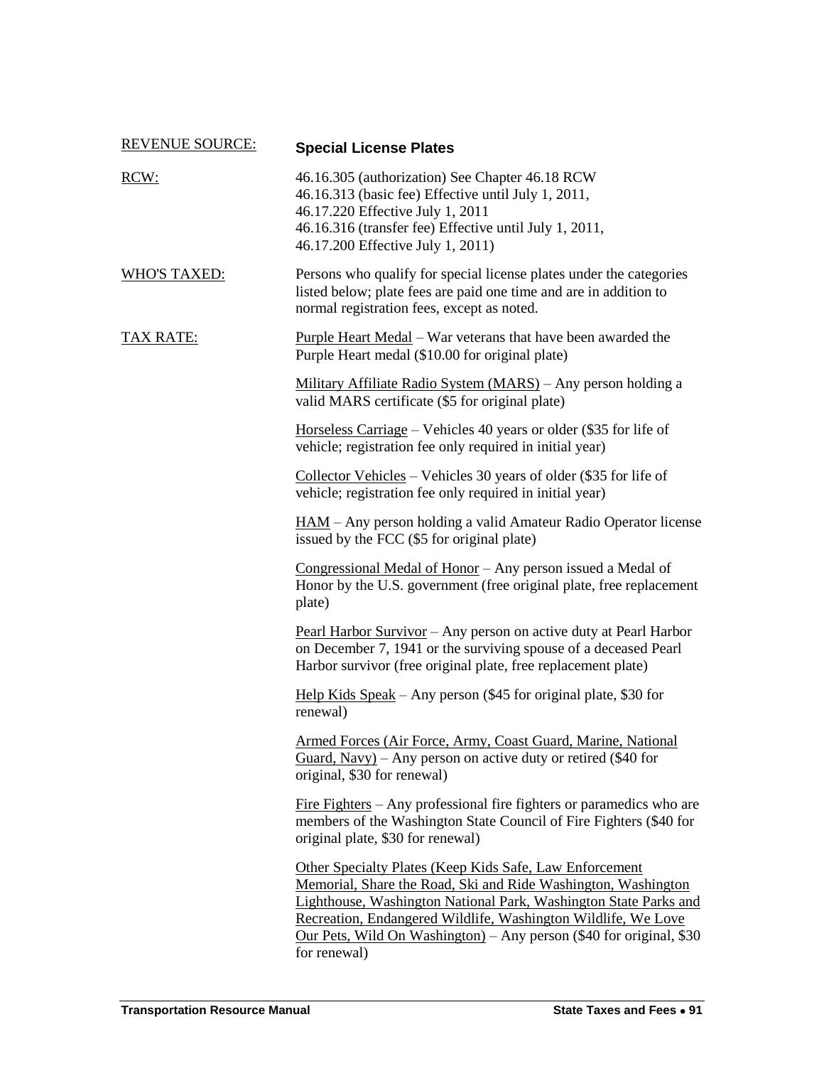| <b>REVENUE SOURCE:</b> | <b>Special License Plates</b>                                                                                                                                                                                                                                                                                                                                   |
|------------------------|-----------------------------------------------------------------------------------------------------------------------------------------------------------------------------------------------------------------------------------------------------------------------------------------------------------------------------------------------------------------|
| RCW:                   | 46.16.305 (authorization) See Chapter 46.18 RCW<br>46.16.313 (basic fee) Effective until July 1, 2011,<br>46.17.220 Effective July 1, 2011<br>46.16.316 (transfer fee) Effective until July 1, 2011,<br>46.17.200 Effective July 1, 2011)                                                                                                                       |
| <b>WHO'S TAXED:</b>    | Persons who qualify for special license plates under the categories<br>listed below; plate fees are paid one time and are in addition to<br>normal registration fees, except as noted.                                                                                                                                                                          |
| <b>TAX RATE:</b>       | <u>Purple Heart Medal</u> – War veterans that have been awarded the<br>Purple Heart medal (\$10.00 for original plate)                                                                                                                                                                                                                                          |
|                        | Military Affiliate Radio System (MARS) – Any person holding a<br>valid MARS certificate (\$5 for original plate)                                                                                                                                                                                                                                                |
|                        | Horseless Carriage – Vehicles 40 years or older $(\$35$ for life of<br>vehicle; registration fee only required in initial year)                                                                                                                                                                                                                                 |
|                        | Collector Vehicles – Vehicles 30 years of older $(\$35$ for life of<br>vehicle; registration fee only required in initial year)                                                                                                                                                                                                                                 |
|                        | <u>HAM</u> – Any person holding a valid Amateur Radio Operator license<br>issued by the FCC (\$5 for original plate)                                                                                                                                                                                                                                            |
|                        | Congressional Medal of Honor - Any person issued a Medal of<br>Honor by the U.S. government (free original plate, free replacement<br>plate)                                                                                                                                                                                                                    |
|                        | Pearl Harbor Survivor - Any person on active duty at Pearl Harbor<br>on December 7, 1941 or the surviving spouse of a deceased Pearl<br>Harbor survivor (free original plate, free replacement plate)                                                                                                                                                           |
|                        | Help Kids Speak – Any person (\$45 for original plate, \$30 for<br>renewal)                                                                                                                                                                                                                                                                                     |
|                        | Armed Forces (Air Force, Army, Coast Guard, Marine, National<br>Guard, Navy) – Any person on active duty or retired $(\$40$ for<br>original, \$30 for renewal)                                                                                                                                                                                                  |
|                        | Fire Fighters – Any professional fire fighters or paramedics who are<br>members of the Washington State Council of Fire Fighters (\$40 for<br>original plate, \$30 for renewal)                                                                                                                                                                                 |
|                        | <b>Other Specialty Plates (Keep Kids Safe, Law Enforcement</b><br>Memorial, Share the Road, Ski and Ride Washington, Washington<br>Lighthouse, Washington National Park, Washington State Parks and<br>Recreation, Endangered Wildlife, Washington Wildlife, We Love<br>Our Pets, Wild On Washington) – Any person $(\$40$ for original, $\$30$<br>for renewal) |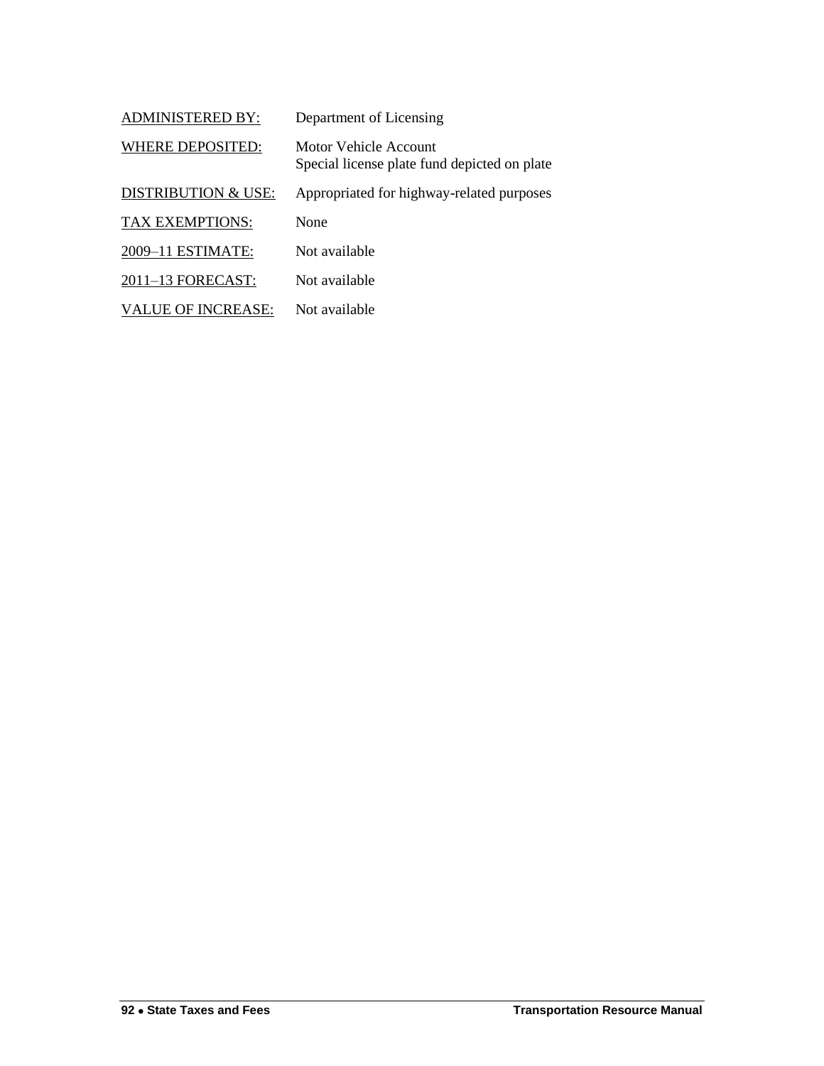| <b>ADMINISTERED BY:</b>        | Department of Licensing                                               |
|--------------------------------|-----------------------------------------------------------------------|
| <b>WHERE DEPOSITED:</b>        | Motor Vehicle Account<br>Special license plate fund depicted on plate |
| <b>DISTRIBUTION &amp; USE:</b> | Appropriated for highway-related purposes                             |
| <b>TAX EXEMPTIONS:</b>         | None                                                                  |
| 2009-11 ESTIMATE:              | Not available                                                         |
| 2011-13 FORECAST:              | Not available                                                         |
| <b>VALUE OF INCREASE:</b>      | Not available                                                         |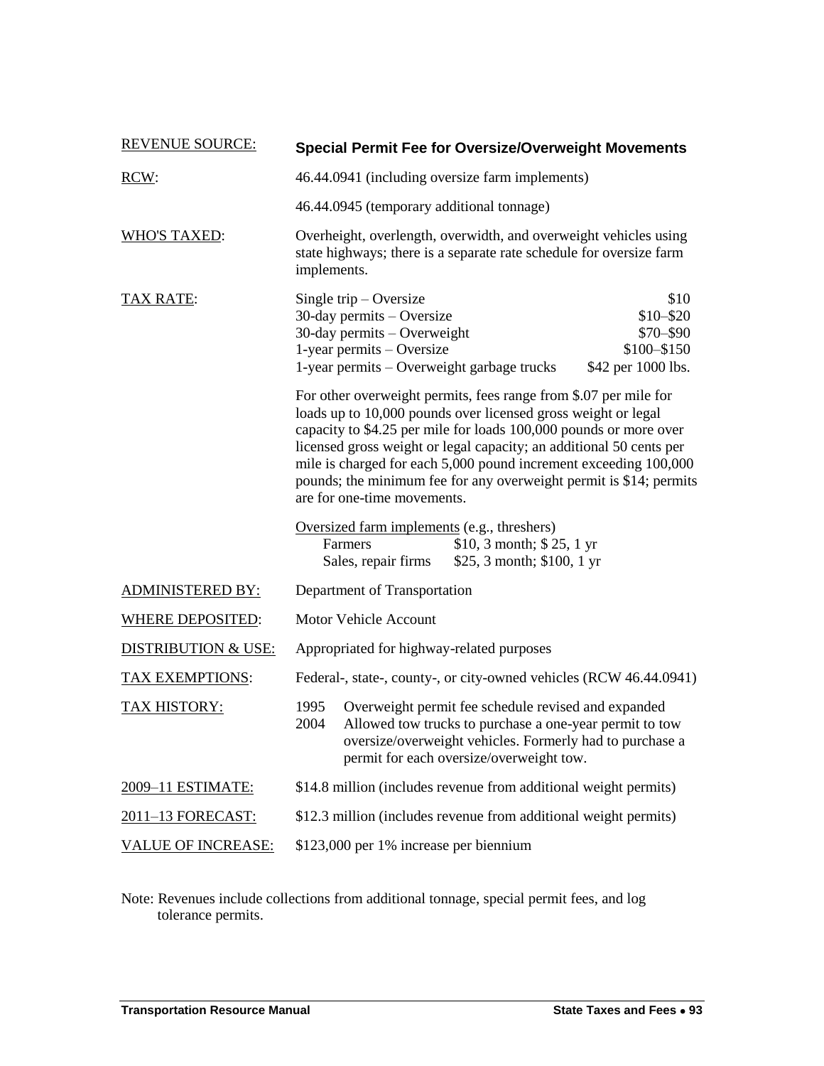| <b>REVENUE SOURCE:</b>         | <b>Special Permit Fee for Oversize/Overweight Movements</b>                                                                                                                                                                                                                                                                                                                                                                                            |
|--------------------------------|--------------------------------------------------------------------------------------------------------------------------------------------------------------------------------------------------------------------------------------------------------------------------------------------------------------------------------------------------------------------------------------------------------------------------------------------------------|
| RCW:                           | 46.44.0941 (including oversize farm implements)                                                                                                                                                                                                                                                                                                                                                                                                        |
|                                | 46.44.0945 (temporary additional tonnage)                                                                                                                                                                                                                                                                                                                                                                                                              |
| <b>WHO'S TAXED:</b>            | Overheight, overlength, overwidth, and overweight vehicles using<br>state highways; there is a separate rate schedule for oversize farm<br>implements.                                                                                                                                                                                                                                                                                                 |
| <b>TAX RATE:</b>               | \$10<br>Single trip $-$ Oversize<br>$$10 - $20$<br>$30$ -day permits – Oversize<br>30-day permits - Overweight<br>$$70 - $90$<br>1-year permits - Oversize<br>\$100-\$150<br>1-year permits – Overweight garbage trucks<br>\$42 per 1000 lbs.                                                                                                                                                                                                          |
|                                | For other overweight permits, fees range from \$.07 per mile for<br>loads up to 10,000 pounds over licensed gross weight or legal<br>capacity to \$4.25 per mile for loads 100,000 pounds or more over<br>licensed gross weight or legal capacity; an additional 50 cents per<br>mile is charged for each 5,000 pound increment exceeding 100,000<br>pounds; the minimum fee for any overweight permit is \$14; permits<br>are for one-time movements. |
|                                | Oversized farm implements (e.g., threshers)<br>\$10, 3 month; $$25, 1 yr$<br>Farmers<br>\$25, 3 month; \$100, 1 yr<br>Sales, repair firms                                                                                                                                                                                                                                                                                                              |
| <b>ADMINISTERED BY:</b>        | Department of Transportation                                                                                                                                                                                                                                                                                                                                                                                                                           |
| <b>WHERE DEPOSITED:</b>        | Motor Vehicle Account                                                                                                                                                                                                                                                                                                                                                                                                                                  |
| <b>DISTRIBUTION &amp; USE:</b> | Appropriated for highway-related purposes                                                                                                                                                                                                                                                                                                                                                                                                              |
| <b>TAX EXEMPTIONS:</b>         | Federal-, state-, county-, or city-owned vehicles (RCW 46.44.0941)                                                                                                                                                                                                                                                                                                                                                                                     |
| TAX HISTORY:                   | 1995<br>Overweight permit fee schedule revised and expanded<br>Allowed tow trucks to purchase a one-year permit to tow<br>2004<br>oversize/overweight vehicles. Formerly had to purchase a<br>permit for each oversize/overweight tow.                                                                                                                                                                                                                 |
| 2009-11 ESTIMATE:              | \$14.8 million (includes revenue from additional weight permits)                                                                                                                                                                                                                                                                                                                                                                                       |
| 2011-13 FORECAST:              | \$12.3 million (includes revenue from additional weight permits)                                                                                                                                                                                                                                                                                                                                                                                       |
| <b>VALUE OF INCREASE:</b>      | \$123,000 per 1% increase per biennium                                                                                                                                                                                                                                                                                                                                                                                                                 |

Note: Revenues include collections from additional tonnage, special permit fees, and log tolerance permits.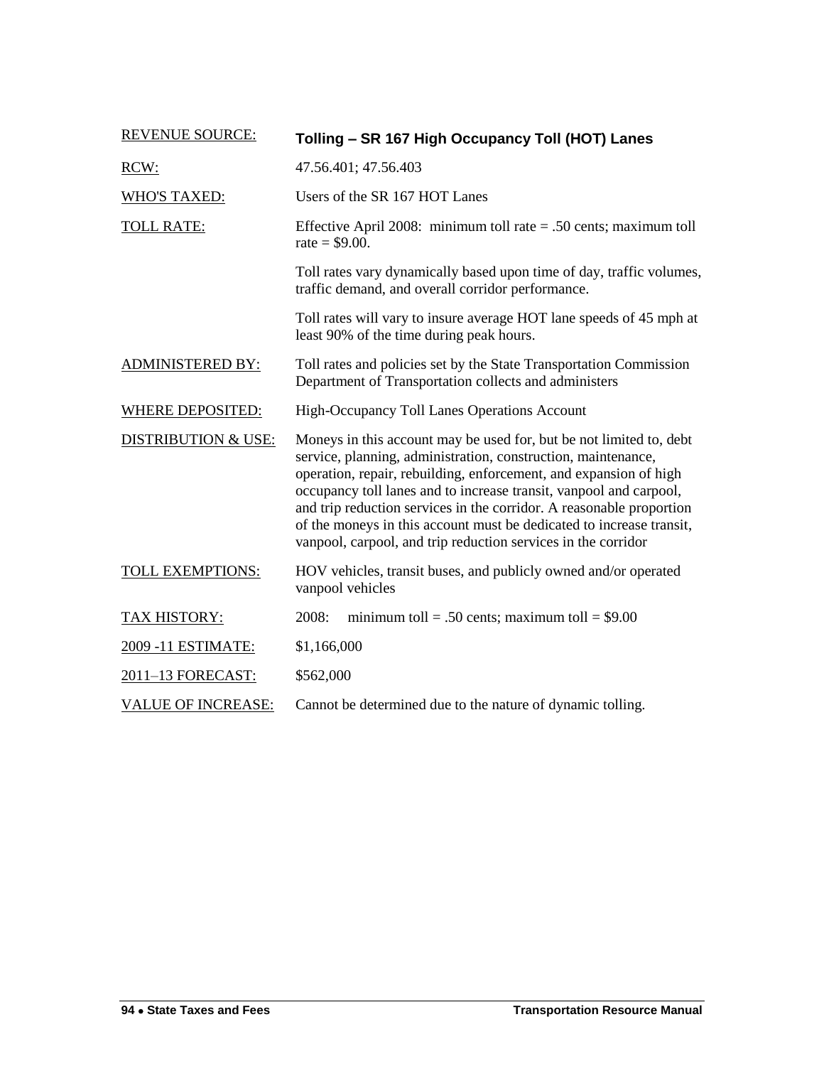| <b>REVENUE SOURCE:</b>         | Tolling - SR 167 High Occupancy Toll (HOT) Lanes                                                                                                                                                                                                                                                                                                                                                                                                                                                 |
|--------------------------------|--------------------------------------------------------------------------------------------------------------------------------------------------------------------------------------------------------------------------------------------------------------------------------------------------------------------------------------------------------------------------------------------------------------------------------------------------------------------------------------------------|
| RCW:                           | 47.56.401; 47.56.403                                                                                                                                                                                                                                                                                                                                                                                                                                                                             |
| <b>WHO'S TAXED:</b>            | Users of the SR 167 HOT Lanes                                                                                                                                                                                                                                                                                                                                                                                                                                                                    |
| <b>TOLL RATE:</b>              | Effective April 2008: minimum toll rate $= .50$ cents; maximum toll<br>rate = $$9.00$ .                                                                                                                                                                                                                                                                                                                                                                                                          |
|                                | Toll rates vary dynamically based upon time of day, traffic volumes,<br>traffic demand, and overall corridor performance.                                                                                                                                                                                                                                                                                                                                                                        |
|                                | Toll rates will vary to insure average HOT lane speeds of 45 mph at<br>least 90% of the time during peak hours.                                                                                                                                                                                                                                                                                                                                                                                  |
| <b>ADMINISTERED BY:</b>        | Toll rates and policies set by the State Transportation Commission<br>Department of Transportation collects and administers                                                                                                                                                                                                                                                                                                                                                                      |
| <b>WHERE DEPOSITED:</b>        | High-Occupancy Toll Lanes Operations Account                                                                                                                                                                                                                                                                                                                                                                                                                                                     |
| <b>DISTRIBUTION &amp; USE:</b> | Moneys in this account may be used for, but be not limited to, debt<br>service, planning, administration, construction, maintenance,<br>operation, repair, rebuilding, enforcement, and expansion of high<br>occupancy toll lanes and to increase transit, vanpool and carpool,<br>and trip reduction services in the corridor. A reasonable proportion<br>of the moneys in this account must be dedicated to increase transit,<br>vanpool, carpool, and trip reduction services in the corridor |
| <b>TOLL EXEMPTIONS:</b>        | HOV vehicles, transit buses, and publicly owned and/or operated<br>vanpool vehicles                                                                                                                                                                                                                                                                                                                                                                                                              |
| <b>TAX HISTORY:</b>            | 2008:<br>minimum toll = .50 cents; maximum toll = $$9.00$                                                                                                                                                                                                                                                                                                                                                                                                                                        |
| 2009 -11 ESTIMATE:             | \$1,166,000                                                                                                                                                                                                                                                                                                                                                                                                                                                                                      |
| 2011-13 FORECAST:              | \$562,000                                                                                                                                                                                                                                                                                                                                                                                                                                                                                        |
| <b>VALUE OF INCREASE:</b>      | Cannot be determined due to the nature of dynamic tolling.                                                                                                                                                                                                                                                                                                                                                                                                                                       |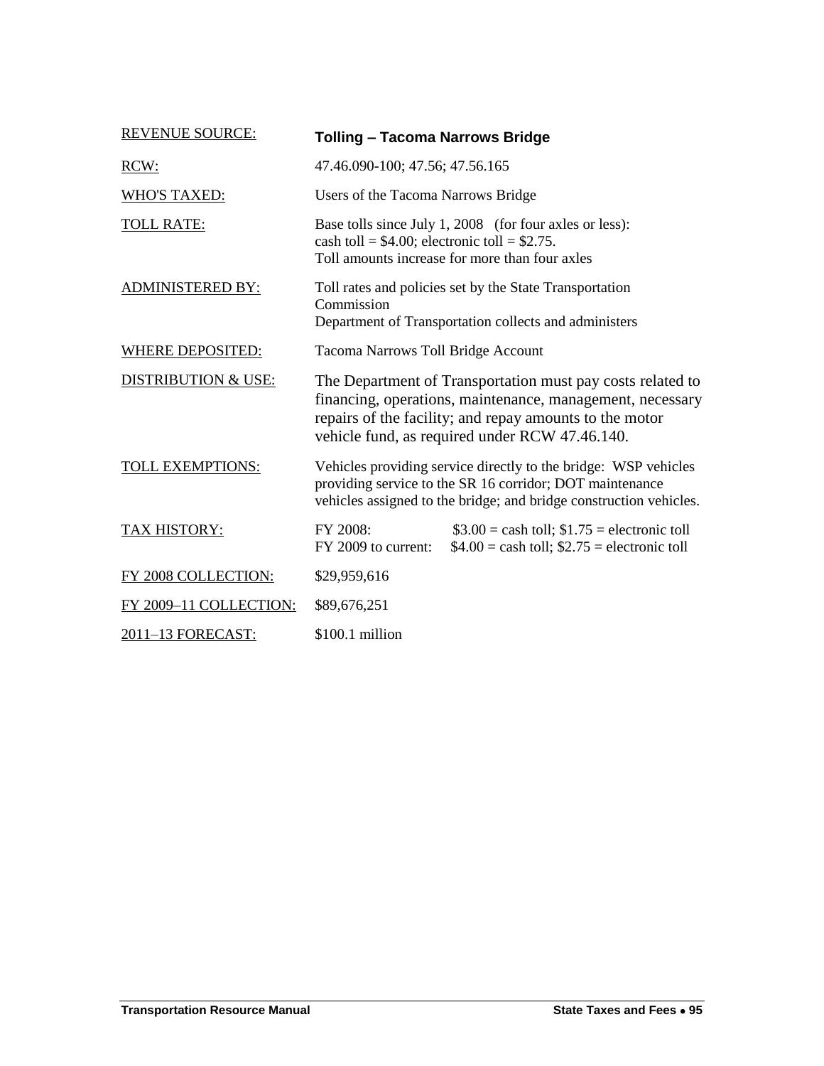| <b>REVENUE SOURCE:</b>         | <b>Tolling - Tacoma Narrows Bridge</b>                                                                                                                                                                                               |                                                                                                           |
|--------------------------------|--------------------------------------------------------------------------------------------------------------------------------------------------------------------------------------------------------------------------------------|-----------------------------------------------------------------------------------------------------------|
| RCW:                           | 47.46.090-100; 47.56; 47.56.165                                                                                                                                                                                                      |                                                                                                           |
| <b>WHO'S TAXED:</b>            | Users of the Tacoma Narrows Bridge                                                                                                                                                                                                   |                                                                                                           |
| <b>TOLL RATE:</b>              | cash toll = $$4.00$ ; electronic toll = $$2.75$ .                                                                                                                                                                                    | Base tolls since July 1, 2008 (for four axles or less):<br>Toll amounts increase for more than four axles |
| <b>ADMINISTERED BY:</b>        | Toll rates and policies set by the State Transportation<br>Commission<br>Department of Transportation collects and administers                                                                                                       |                                                                                                           |
| <b>WHERE DEPOSITED:</b>        | Tacoma Narrows Toll Bridge Account                                                                                                                                                                                                   |                                                                                                           |
| <b>DISTRIBUTION &amp; USE:</b> | The Department of Transportation must pay costs related to<br>financing, operations, maintenance, management, necessary<br>repairs of the facility; and repay amounts to the motor<br>vehicle fund, as required under RCW 47.46.140. |                                                                                                           |
| TOLL EXEMPTIONS:               | Vehicles providing service directly to the bridge: WSP vehicles<br>providing service to the SR 16 corridor; DOT maintenance<br>vehicles assigned to the bridge; and bridge construction vehicles.                                    |                                                                                                           |
| <b>TAX HISTORY:</b>            | FY 2008:<br>FY 2009 to current:                                                                                                                                                                                                      | $$3.00 =$ cash toll; $$1.75 =$ electronic toll<br>$$4.00 =$ cash toll; $$2.75 =$ electronic toll          |
| FY 2008 COLLECTION:            | \$29,959,616                                                                                                                                                                                                                         |                                                                                                           |
| FY 2009-11 COLLECTION:         | \$89,676,251                                                                                                                                                                                                                         |                                                                                                           |
| 2011-13 FORECAST:              | $$100.1$ million                                                                                                                                                                                                                     |                                                                                                           |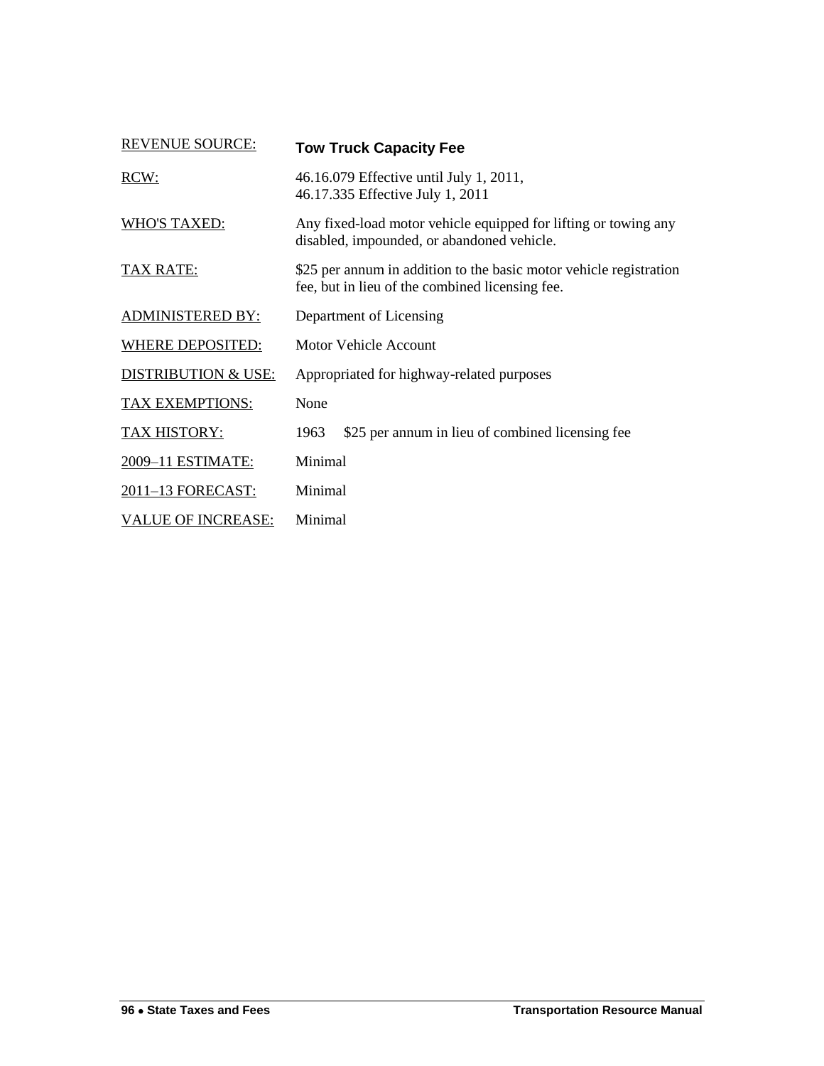| <b>REVENUE SOURCE:</b>         | <b>Tow Truck Capacity Fee</b>                                                                                         |
|--------------------------------|-----------------------------------------------------------------------------------------------------------------------|
| RCW:                           | 46.16.079 Effective until July 1, 2011,<br>46.17.335 Effective July 1, 2011                                           |
| <b>WHO'S TAXED:</b>            | Any fixed-load motor vehicle equipped for lifting or towing any<br>disabled, impounded, or abandoned vehicle.         |
| <b>TAX RATE:</b>               | \$25 per annum in addition to the basic motor vehicle registration<br>fee, but in lieu of the combined licensing fee. |
| <b>ADMINISTERED BY:</b>        | Department of Licensing                                                                                               |
| <b>WHERE DEPOSITED:</b>        | Motor Vehicle Account                                                                                                 |
| <b>DISTRIBUTION &amp; USE:</b> | Appropriated for highway-related purposes                                                                             |
| TAX EXEMPTIONS:                | None                                                                                                                  |
| TAX HISTORY:                   | \$25 per annum in lieu of combined licensing fee<br>1963                                                              |
| 2009-11 ESTIMATE:              | Minimal                                                                                                               |
| 2011-13 FORECAST:              | Minimal                                                                                                               |
| <b>VALUE OF INCREASE:</b>      | Minimal                                                                                                               |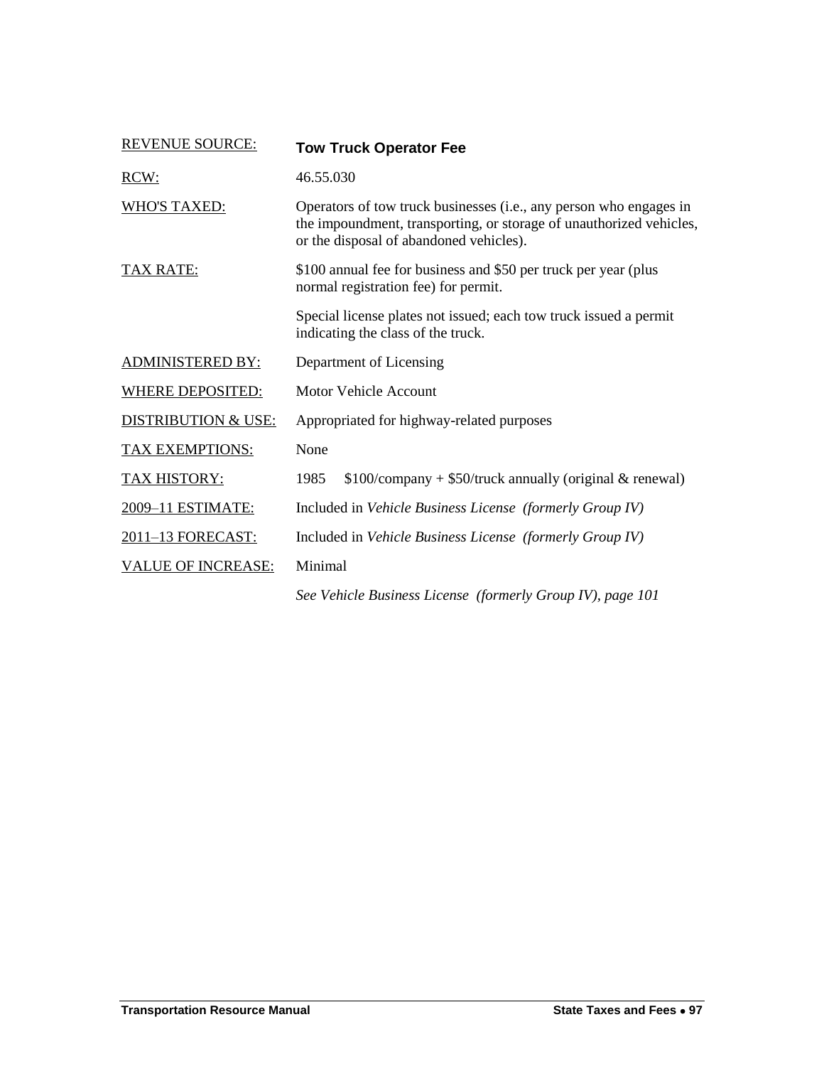| <b>REVENUE SOURCE:</b>         | <b>Tow Truck Operator Fee</b>                                                                                                                                                        |
|--------------------------------|--------------------------------------------------------------------------------------------------------------------------------------------------------------------------------------|
| RCW:                           | 46.55.030                                                                                                                                                                            |
| <b>WHO'S TAXED:</b>            | Operators of tow truck businesses (i.e., any person who engages in<br>the impoundment, transporting, or storage of unauthorized vehicles,<br>or the disposal of abandoned vehicles). |
| <b>TAX RATE:</b>               | \$100 annual fee for business and \$50 per truck per year (plus<br>normal registration fee) for permit.                                                                              |
|                                | Special license plates not issued; each tow truck issued a permit<br>indicating the class of the truck.                                                                              |
| <b>ADMINISTERED BY:</b>        | Department of Licensing                                                                                                                                                              |
| WHERE DEPOSITED:               | <b>Motor Vehicle Account</b>                                                                                                                                                         |
| <b>DISTRIBUTION &amp; USE:</b> | Appropriated for highway-related purposes                                                                                                                                            |
| <b>TAX EXEMPTIONS:</b>         | None                                                                                                                                                                                 |
| <b>TAX HISTORY:</b>            | 1985<br>$$100$ /company + \$50/truck annually (original & renewal)                                                                                                                   |
| 2009-11 ESTIMATE:              | Included in Vehicle Business License (formerly Group IV)                                                                                                                             |
| 2011-13 FORECAST:              | Included in Vehicle Business License (formerly Group IV)                                                                                                                             |
| <b>VALUE OF INCREASE:</b>      | Minimal                                                                                                                                                                              |
|                                | See Vehicle Business License (formerly Group IV), page 101                                                                                                                           |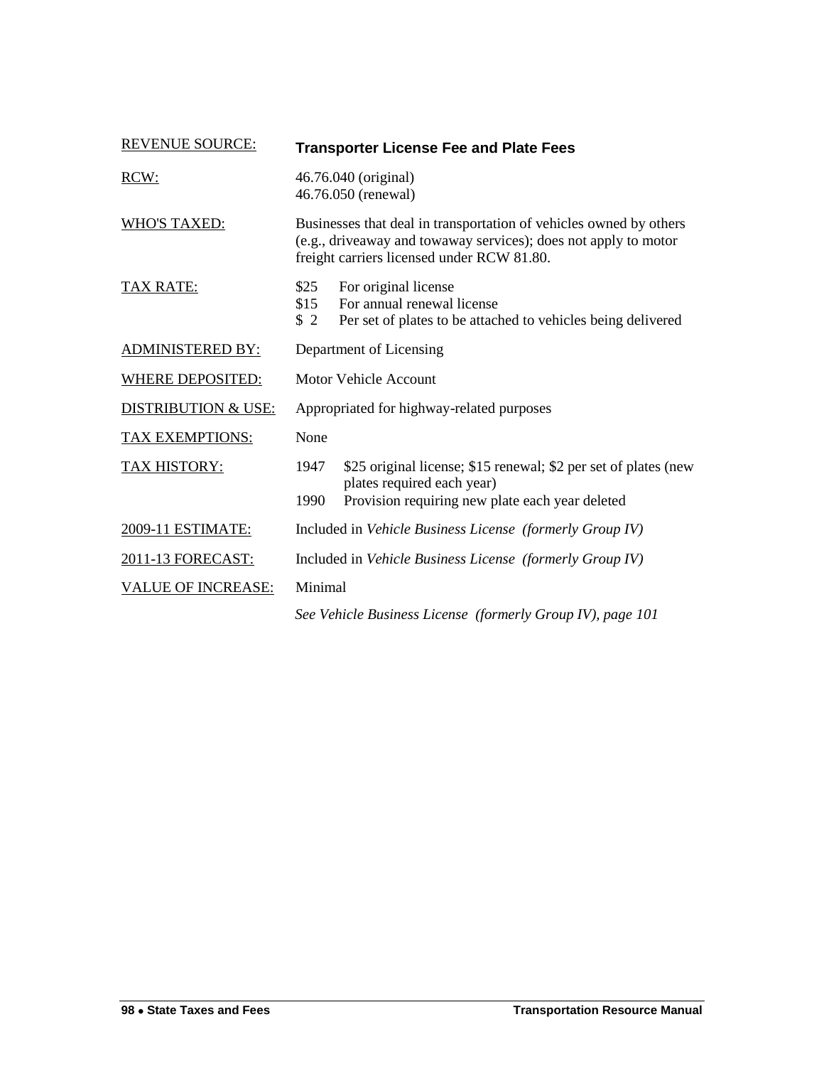| <b>REVENUE SOURCE:</b>         |                                           | <b>Transporter License Fee and Plate Fees</b>                                                                                                                                       |
|--------------------------------|-------------------------------------------|-------------------------------------------------------------------------------------------------------------------------------------------------------------------------------------|
| RCW:                           |                                           | 46.76.040 (original)<br>46.76.050 (renewal)                                                                                                                                         |
| <b>WHO'S TAXED:</b>            |                                           | Businesses that deal in transportation of vehicles owned by others<br>(e.g., driveaway and towaway services); does not apply to motor<br>freight carriers licensed under RCW 81.80. |
| <b>TAX RATE:</b>               | \$25<br>\$15<br>\$2                       | For original license<br>For annual renewal license<br>Per set of plates to be attached to vehicles being delivered                                                                  |
| <b>ADMINISTERED BY:</b>        |                                           | Department of Licensing                                                                                                                                                             |
| <b>WHERE DEPOSITED:</b>        |                                           | Motor Vehicle Account                                                                                                                                                               |
| <b>DISTRIBUTION &amp; USE:</b> | Appropriated for highway-related purposes |                                                                                                                                                                                     |
| <b>TAX EXEMPTIONS:</b>         | None                                      |                                                                                                                                                                                     |
| <b>TAX HISTORY:</b>            | 1947                                      | \$25 original license; \$15 renewal; \$2 per set of plates (new<br>plates required each year)                                                                                       |
|                                | 1990                                      | Provision requiring new plate each year deleted                                                                                                                                     |
| 2009-11 ESTIMATE:              |                                           | Included in Vehicle Business License (formerly Group IV)                                                                                                                            |
| 2011-13 FORECAST:              |                                           | Included in Vehicle Business License (formerly Group IV)                                                                                                                            |
| <b>VALUE OF INCREASE:</b>      | Minimal                                   |                                                                                                                                                                                     |
|                                |                                           | See Vehicle Business License (formerly Group IV), page 101                                                                                                                          |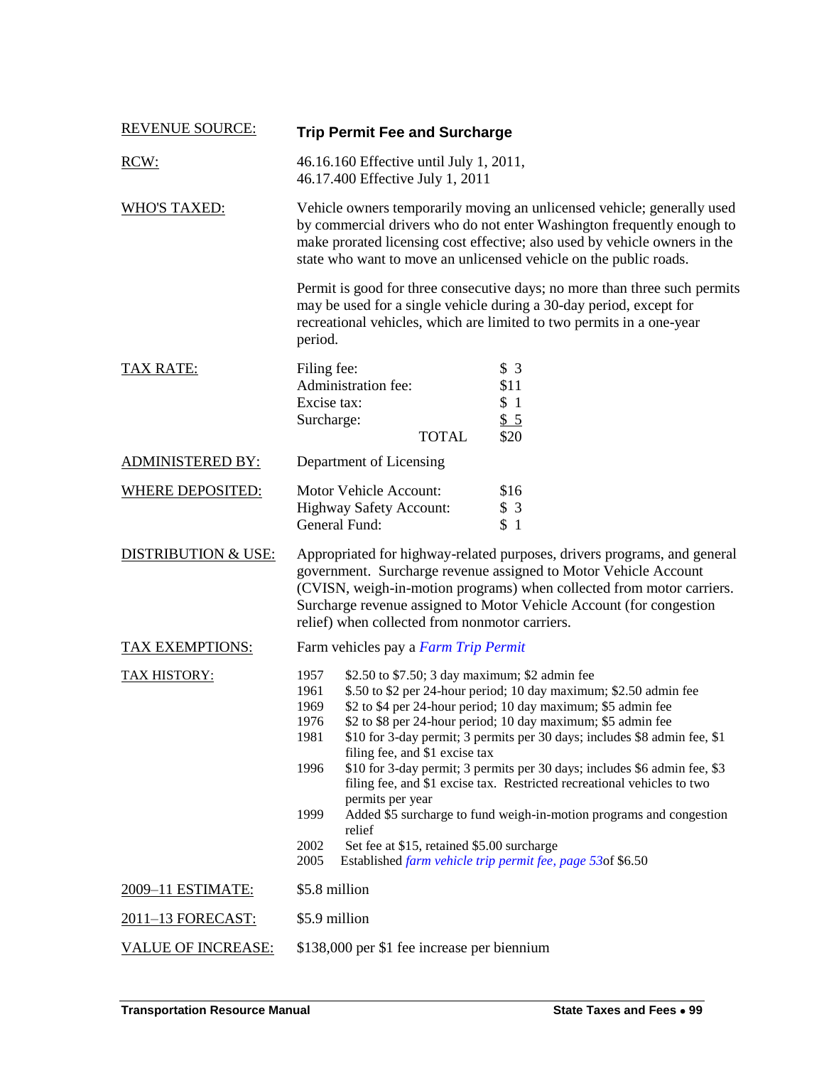| <b>REVENUE SOURCE:</b>         | <b>Trip Permit Fee and Surcharge</b>                                                                                                                                                                                                                                                                                                                                                                                                                                                                                                                                                                                                                                                                                                                                                                                |  |
|--------------------------------|---------------------------------------------------------------------------------------------------------------------------------------------------------------------------------------------------------------------------------------------------------------------------------------------------------------------------------------------------------------------------------------------------------------------------------------------------------------------------------------------------------------------------------------------------------------------------------------------------------------------------------------------------------------------------------------------------------------------------------------------------------------------------------------------------------------------|--|
| RCW:                           | 46.16.160 Effective until July 1, 2011,<br>46.17.400 Effective July 1, 2011                                                                                                                                                                                                                                                                                                                                                                                                                                                                                                                                                                                                                                                                                                                                         |  |
| <b>WHO'S TAXED:</b>            | Vehicle owners temporarily moving an unlicensed vehicle; generally used<br>by commercial drivers who do not enter Washington frequently enough to<br>make prorated licensing cost effective; also used by vehicle owners in the<br>state who want to move an unlicensed vehicle on the public roads.                                                                                                                                                                                                                                                                                                                                                                                                                                                                                                                |  |
|                                | Permit is good for three consecutive days; no more than three such permits<br>may be used for a single vehicle during a 30-day period, except for<br>recreational vehicles, which are limited to two permits in a one-year<br>period.                                                                                                                                                                                                                                                                                                                                                                                                                                                                                                                                                                               |  |
| TAX RATE:                      | Filing fee:<br>\$3<br>Administration fee:<br>\$11<br>Excise tax:<br>\$1<br>Surcharge:<br>\$5<br><b>TOTAL</b><br>\$20                                                                                                                                                                                                                                                                                                                                                                                                                                                                                                                                                                                                                                                                                                |  |
| <b>ADMINISTERED BY:</b>        | Department of Licensing                                                                                                                                                                                                                                                                                                                                                                                                                                                                                                                                                                                                                                                                                                                                                                                             |  |
| <b>WHERE DEPOSITED:</b>        | Motor Vehicle Account:<br>\$16<br>Highway Safety Account:<br>\$3<br>\$1<br>General Fund:                                                                                                                                                                                                                                                                                                                                                                                                                                                                                                                                                                                                                                                                                                                            |  |
| <b>DISTRIBUTION &amp; USE:</b> | Appropriated for highway-related purposes, drivers programs, and general<br>government. Surcharge revenue assigned to Motor Vehicle Account<br>(CVISN, weigh-in-motion programs) when collected from motor carriers.<br>Surcharge revenue assigned to Motor Vehicle Account (for congestion<br>relief) when collected from nonmotor carriers.                                                                                                                                                                                                                                                                                                                                                                                                                                                                       |  |
| <b>TAX EXEMPTIONS:</b>         | Farm vehicles pay a Farm Trip Permit                                                                                                                                                                                                                                                                                                                                                                                                                                                                                                                                                                                                                                                                                                                                                                                |  |
| <b>TAX HISTORY:</b>            | 1957<br>\$2.50 to \$7.50; 3 day maximum; \$2 admin fee<br>\$.50 to \$2 per 24-hour period; 10 day maximum; \$2.50 admin fee<br>1961<br>\$2 to \$4 per 24-hour period; 10 day maximum; \$5 admin fee<br>1969<br>\$2 to \$8 per 24-hour period; 10 day maximum; \$5 admin fee<br>1976<br>1981<br>\$10 for 3-day permit; 3 permits per 30 days; includes \$8 admin fee, \$1<br>filing fee, and \$1 excise tax<br>\$10 for 3-day permit; 3 permits per 30 days; includes \$6 admin fee, \$3<br>1996<br>filing fee, and \$1 excise tax. Restricted recreational vehicles to two<br>permits per year<br>Added \$5 surcharge to fund weigh-in-motion programs and congestion<br>1999<br>relief<br>2002<br>Set fee at \$15, retained \$5.00 surcharge<br>Established farm vehicle trip permit fee, page 53of \$6.50<br>2005 |  |
| 2009-11 ESTIMATE:              | \$5.8 million                                                                                                                                                                                                                                                                                                                                                                                                                                                                                                                                                                                                                                                                                                                                                                                                       |  |
| 2011-13 FORECAST:              | \$5.9 million                                                                                                                                                                                                                                                                                                                                                                                                                                                                                                                                                                                                                                                                                                                                                                                                       |  |
| <b>VALUE OF INCREASE:</b>      | \$138,000 per \$1 fee increase per biennium                                                                                                                                                                                                                                                                                                                                                                                                                                                                                                                                                                                                                                                                                                                                                                         |  |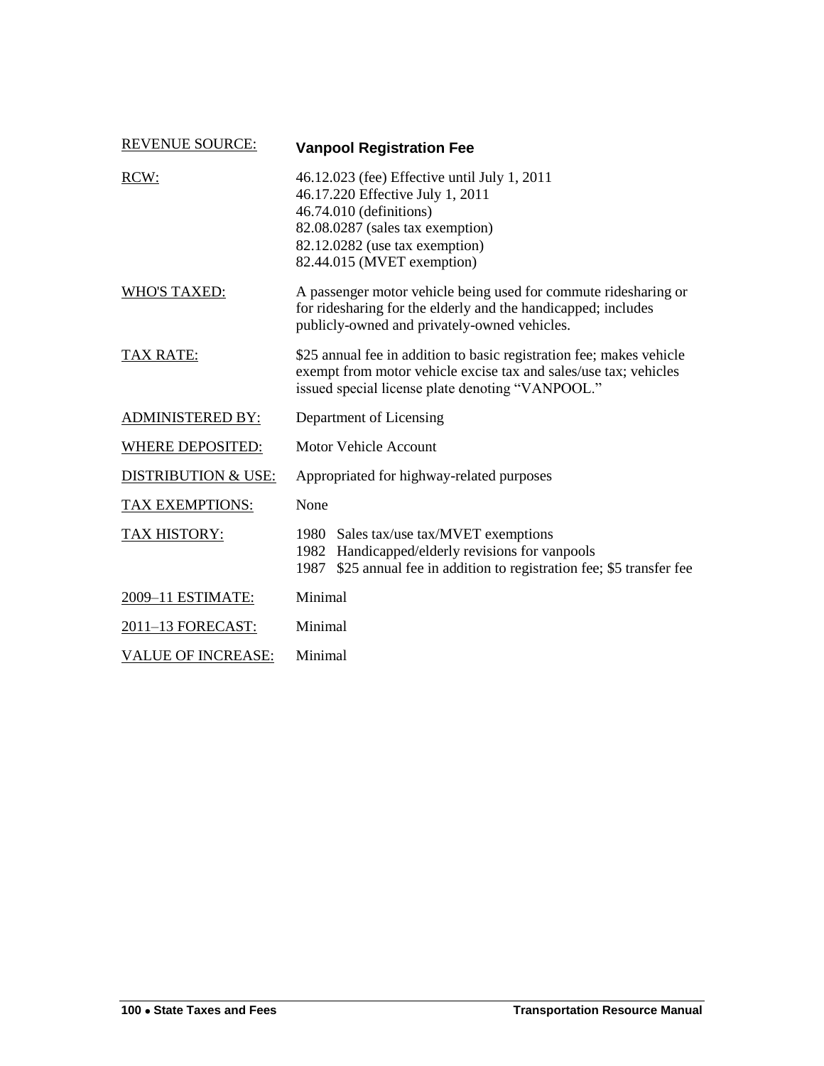| <b>REVENUE SOURCE:</b>    | <b>Vanpool Registration Fee</b>                                                                                                                                                                                 |  |
|---------------------------|-----------------------------------------------------------------------------------------------------------------------------------------------------------------------------------------------------------------|--|
| RCW:                      | 46.12.023 (fee) Effective until July 1, 2011<br>46.17.220 Effective July 1, 2011<br>46.74.010 (definitions)<br>82.08.0287 (sales tax exemption)<br>82.12.0282 (use tax exemption)<br>82.44.015 (MVET exemption) |  |
| WHO'S TAXED:              | A passenger motor vehicle being used for commute ridesharing or<br>for ridesharing for the elderly and the handicapped; includes<br>publicly-owned and privately-owned vehicles.                                |  |
| <b>TAX RATE:</b>          | \$25 annual fee in addition to basic registration fee; makes vehicle<br>exempt from motor vehicle excise tax and sales/use tax; vehicles<br>issued special license plate denoting "VANPOOL."                    |  |
| <b>ADMINISTERED BY:</b>   | Department of Licensing                                                                                                                                                                                         |  |
| <b>WHERE DEPOSITED:</b>   | <b>Motor Vehicle Account</b>                                                                                                                                                                                    |  |
| DISTRIBUTION & USE:       | Appropriated for highway-related purposes                                                                                                                                                                       |  |
| <b>TAX EXEMPTIONS:</b>    | None                                                                                                                                                                                                            |  |
| <b>TAX HISTORY:</b>       | 1980 Sales tax/use tax/MVET exemptions<br>1982 Handicapped/elderly revisions for vanpools<br>1987 \$25 annual fee in addition to registration fee; \$5 transfer fee                                             |  |
| 2009-11 ESTIMATE:         | Minimal                                                                                                                                                                                                         |  |
| 2011-13 FORECAST:         | Minimal                                                                                                                                                                                                         |  |
| <b>VALUE OF INCREASE:</b> | Minimal                                                                                                                                                                                                         |  |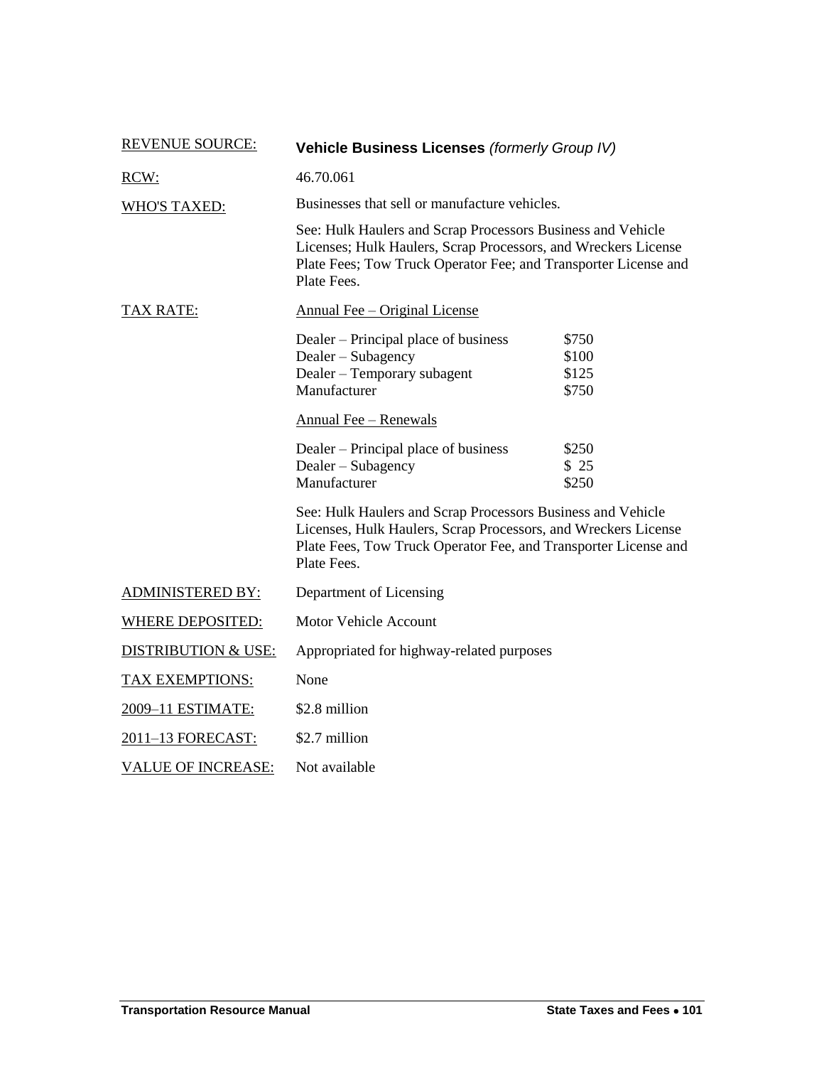| <b>REVENUE SOURCE:</b>         | <b>Vehicle Business Licenses (formerly Group IV)</b>                                                                                                                                                            |                                                                                                                                                                                                  |  |  |
|--------------------------------|-----------------------------------------------------------------------------------------------------------------------------------------------------------------------------------------------------------------|--------------------------------------------------------------------------------------------------------------------------------------------------------------------------------------------------|--|--|
| RCW:                           | 46.70.061                                                                                                                                                                                                       |                                                                                                                                                                                                  |  |  |
| <b>WHO'S TAXED:</b>            | Businesses that sell or manufacture vehicles.                                                                                                                                                                   |                                                                                                                                                                                                  |  |  |
|                                | See: Hulk Haulers and Scrap Processors Business and Vehicle<br>Licenses; Hulk Haulers, Scrap Processors, and Wreckers License<br>Plate Fees; Tow Truck Operator Fee; and Transporter License and<br>Plate Fees. |                                                                                                                                                                                                  |  |  |
| <u>TAX RATE:</u>               | <b>Annual Fee – Original License</b>                                                                                                                                                                            |                                                                                                                                                                                                  |  |  |
|                                | Dealer – Principal place of business<br>Dealer - Subagency<br>Dealer - Temporary subagent<br>Manufacturer                                                                                                       | \$750<br>\$100<br>\$125<br>\$750                                                                                                                                                                 |  |  |
|                                | <b>Annual Fee - Renewals</b>                                                                                                                                                                                    |                                                                                                                                                                                                  |  |  |
|                                | Dealer – Principal place of business<br>Dealer – Subagency<br>Manufacturer                                                                                                                                      | \$250<br>\$25<br>\$250                                                                                                                                                                           |  |  |
|                                | Plate Fees.                                                                                                                                                                                                     | See: Hulk Haulers and Scrap Processors Business and Vehicle<br>Licenses, Hulk Haulers, Scrap Processors, and Wreckers License<br>Plate Fees, Tow Truck Operator Fee, and Transporter License and |  |  |
| <b>ADMINISTERED BY:</b>        | Department of Licensing                                                                                                                                                                                         |                                                                                                                                                                                                  |  |  |
| <b>WHERE DEPOSITED:</b>        | Motor Vehicle Account                                                                                                                                                                                           |                                                                                                                                                                                                  |  |  |
| <b>DISTRIBUTION &amp; USE:</b> | Appropriated for highway-related purposes                                                                                                                                                                       |                                                                                                                                                                                                  |  |  |
| <b>TAX EXEMPTIONS:</b>         | None                                                                                                                                                                                                            |                                                                                                                                                                                                  |  |  |
| 2009-11 ESTIMATE:              | \$2.8 million                                                                                                                                                                                                   |                                                                                                                                                                                                  |  |  |
| 2011-13 FORECAST:              | \$2.7 million                                                                                                                                                                                                   |                                                                                                                                                                                                  |  |  |
| <b>VALUE OF INCREASE:</b>      | Not available                                                                                                                                                                                                   |                                                                                                                                                                                                  |  |  |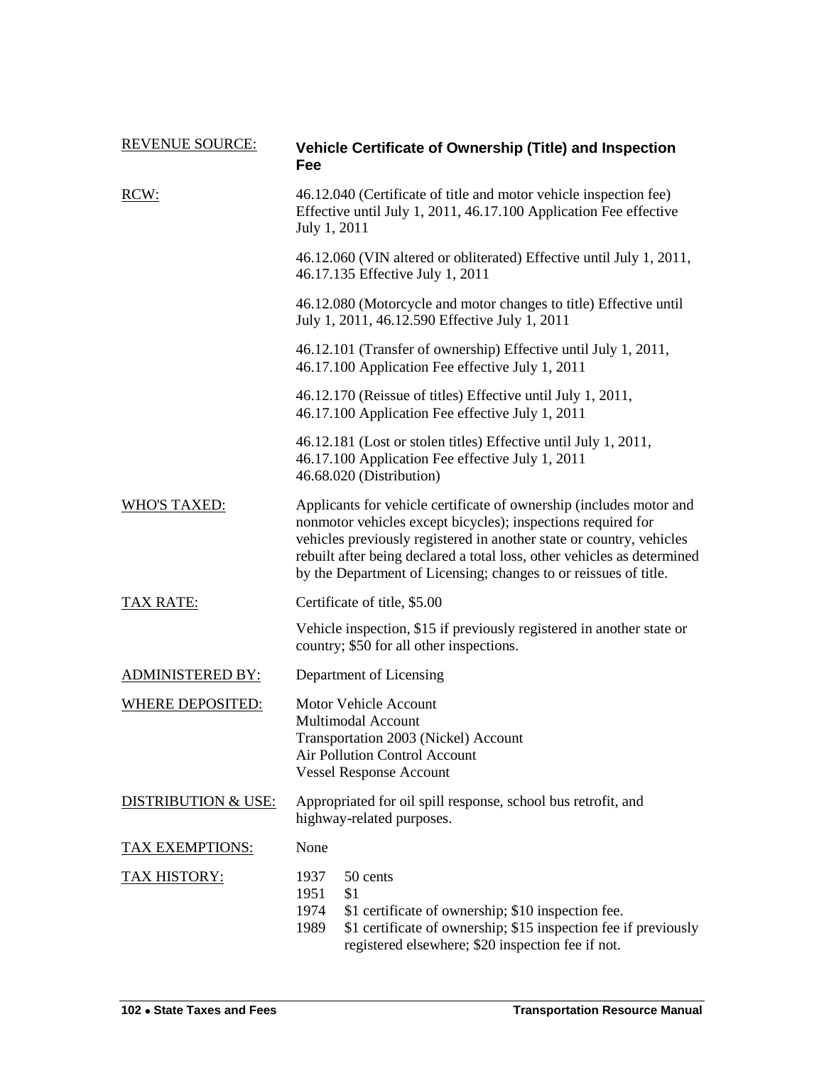| <b>REVENUE SOURCE:</b>         | Vehicle Certificate of Ownership (Title) and Inspection<br>Fee                                                                                                                                                                                                                                                                                             |  |  |  |  |
|--------------------------------|------------------------------------------------------------------------------------------------------------------------------------------------------------------------------------------------------------------------------------------------------------------------------------------------------------------------------------------------------------|--|--|--|--|
| RCW:                           | 46.12.040 (Certificate of title and motor vehicle inspection fee)<br>Effective until July 1, 2011, 46.17.100 Application Fee effective<br>July 1, 2011                                                                                                                                                                                                     |  |  |  |  |
|                                | 46.12.060 (VIN altered or obliterated) Effective until July 1, 2011,<br>46.17.135 Effective July 1, 2011                                                                                                                                                                                                                                                   |  |  |  |  |
|                                | 46.12.080 (Motorcycle and motor changes to title) Effective until<br>July 1, 2011, 46.12.590 Effective July 1, 2011                                                                                                                                                                                                                                        |  |  |  |  |
|                                | 46.12.101 (Transfer of ownership) Effective until July 1, 2011,<br>46.17.100 Application Fee effective July 1, 2011                                                                                                                                                                                                                                        |  |  |  |  |
|                                | 46.12.170 (Reissue of titles) Effective until July 1, 2011,<br>46.17.100 Application Fee effective July 1, 2011                                                                                                                                                                                                                                            |  |  |  |  |
|                                | 46.12.181 (Lost or stolen titles) Effective until July 1, 2011,<br>46.17.100 Application Fee effective July 1, 2011<br>46.68.020 (Distribution)                                                                                                                                                                                                            |  |  |  |  |
| <b>WHO'S TAXED:</b>            | Applicants for vehicle certificate of ownership (includes motor and<br>nonmotor vehicles except bicycles); inspections required for<br>vehicles previously registered in another state or country, vehicles<br>rebuilt after being declared a total loss, other vehicles as determined<br>by the Department of Licensing; changes to or reissues of title. |  |  |  |  |
| TAX RATE:                      | Certificate of title, \$5.00                                                                                                                                                                                                                                                                                                                               |  |  |  |  |
|                                | Vehicle inspection, \$15 if previously registered in another state or<br>country; \$50 for all other inspections.                                                                                                                                                                                                                                          |  |  |  |  |
| <b>ADMINISTERED BY:</b>        | Department of Licensing                                                                                                                                                                                                                                                                                                                                    |  |  |  |  |
| <b>WHERE DEPOSITED:</b>        | <b>Motor Vehicle Account</b><br>Multimodal Account<br>Transportation 2003 (Nickel) Account<br>Air Pollution Control Account<br><b>Vessel Response Account</b>                                                                                                                                                                                              |  |  |  |  |
| <b>DISTRIBUTION &amp; USE:</b> | Appropriated for oil spill response, school bus retrofit, and<br>highway-related purposes.                                                                                                                                                                                                                                                                 |  |  |  |  |
| TAX EXEMPTIONS:                | None                                                                                                                                                                                                                                                                                                                                                       |  |  |  |  |
| <u>TAX HISTORY:</u>            | 1937<br>50 cents<br>1951<br>\$1<br>1974<br>\$1 certificate of ownership; \$10 inspection fee.<br>1989<br>\$1 certificate of ownership; \$15 inspection fee if previously<br>registered elsewhere; \$20 inspection fee if not.                                                                                                                              |  |  |  |  |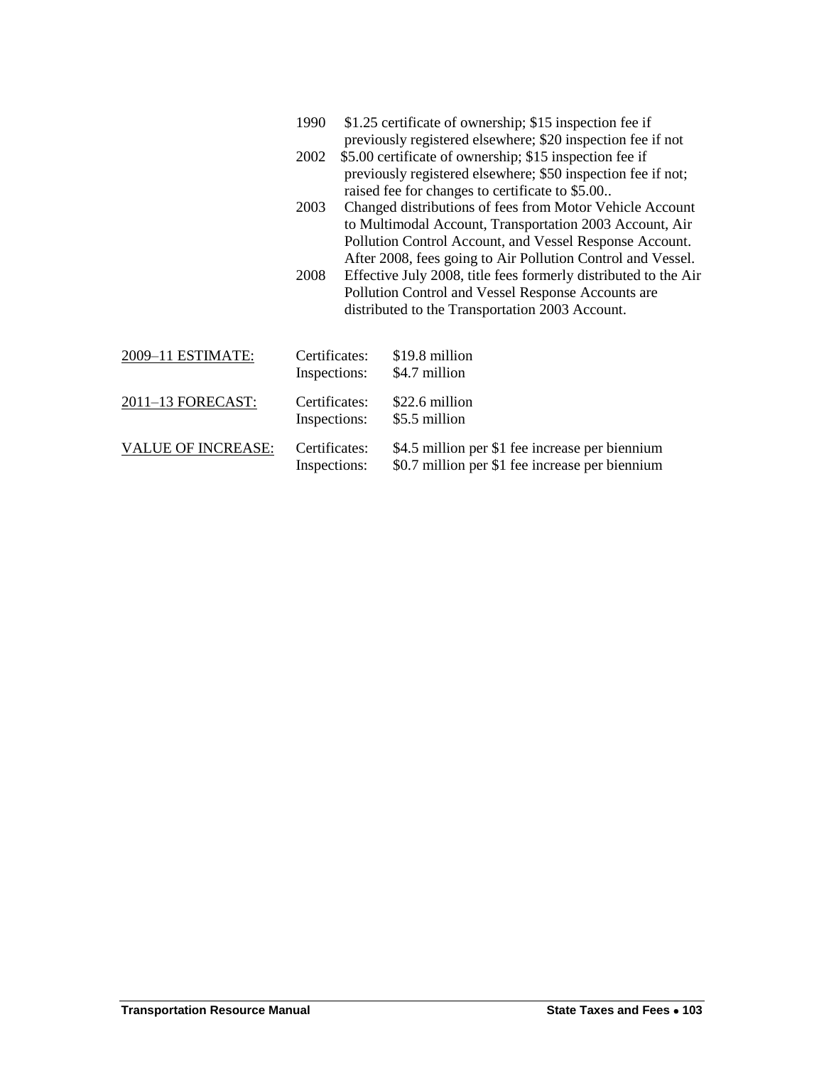|                           | 1990                          |                                                                                                                                                                                                                                                                                                                                                                                                                                                                              | \$1.25 certificate of ownership; \$15 inspection fee if<br>previously registered elsewhere; \$20 inspection fee if not  |
|---------------------------|-------------------------------|------------------------------------------------------------------------------------------------------------------------------------------------------------------------------------------------------------------------------------------------------------------------------------------------------------------------------------------------------------------------------------------------------------------------------------------------------------------------------|-------------------------------------------------------------------------------------------------------------------------|
|                           | 2002                          |                                                                                                                                                                                                                                                                                                                                                                                                                                                                              | \$5.00 certificate of ownership; \$15 inspection fee if<br>previously registered elsewhere; \$50 inspection fee if not; |
|                           | 2003                          | raised fee for changes to certificate to \$5.00<br>Changed distributions of fees from Motor Vehicle Account<br>to Multimodal Account, Transportation 2003 Account, Air<br>Pollution Control Account, and Vessel Response Account.<br>After 2008, fees going to Air Pollution Control and Vessel.<br>Effective July 2008, title fees formerly distributed to the Air<br>Pollution Control and Vessel Response Accounts are<br>distributed to the Transportation 2003 Account. |                                                                                                                         |
|                           | 2008                          |                                                                                                                                                                                                                                                                                                                                                                                                                                                                              |                                                                                                                         |
| 2009-11 ESTIMATE:         | Certificates:<br>Inspections: |                                                                                                                                                                                                                                                                                                                                                                                                                                                                              | \$19.8 million<br>\$4.7 million                                                                                         |
| 2011-13 FORECAST:         | Certificates:<br>Inspections: |                                                                                                                                                                                                                                                                                                                                                                                                                                                                              | \$22.6 million<br>\$5.5 million                                                                                         |
| <b>VALUE OF INCREASE:</b> | Certificates:<br>Inspections: |                                                                                                                                                                                                                                                                                                                                                                                                                                                                              | \$4.5 million per \$1 fee increase per biennium<br>\$0.7 million per \$1 fee increase per biennium                      |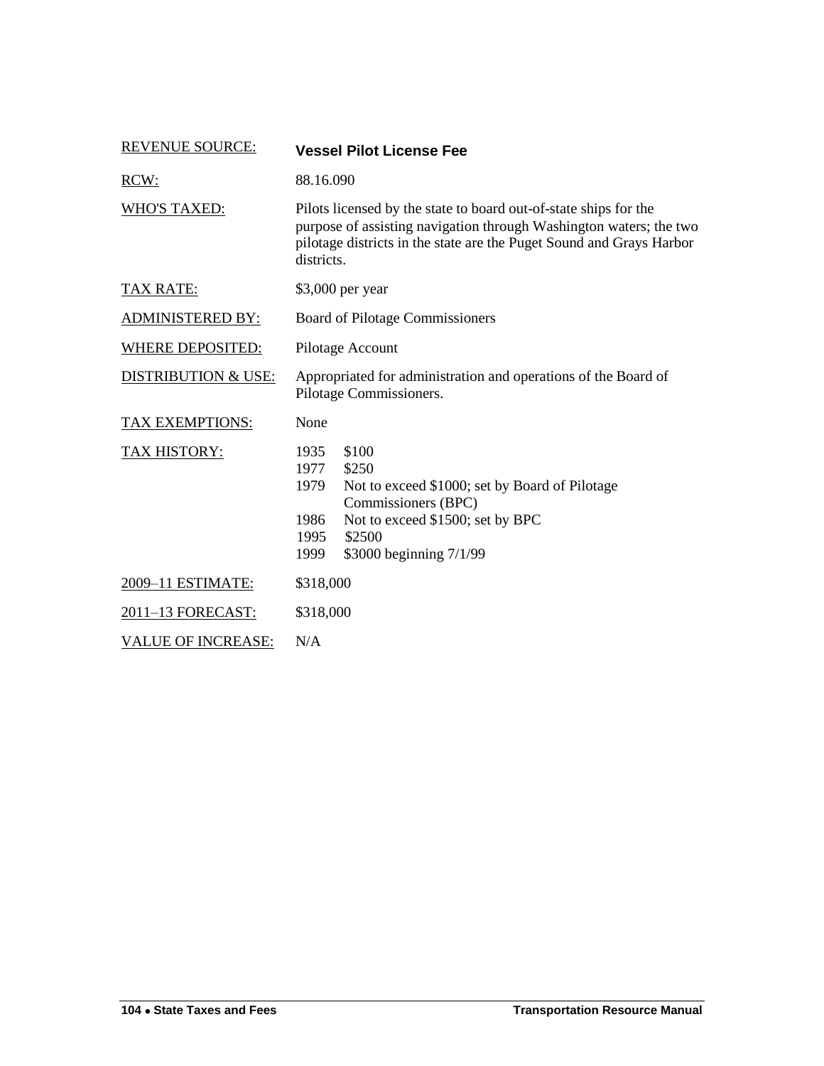| <b>REVENUE SOURCE:</b>    | <b>Vessel Pilot License Fee</b>                                                                                                                                                                                              |  |  |
|---------------------------|------------------------------------------------------------------------------------------------------------------------------------------------------------------------------------------------------------------------------|--|--|
| RCW:                      | 88.16.090                                                                                                                                                                                                                    |  |  |
| <b>WHO'S TAXED:</b>       | Pilots licensed by the state to board out-of-state ships for the<br>purpose of assisting navigation through Washington waters; the two<br>pilotage districts in the state are the Puget Sound and Grays Harbor<br>districts. |  |  |
| <b>TAX RATE:</b>          | \$3,000 per year                                                                                                                                                                                                             |  |  |
| <b>ADMINISTERED BY:</b>   | Board of Pilotage Commissioners                                                                                                                                                                                              |  |  |
| WHERE DEPOSITED:          | Pilotage Account                                                                                                                                                                                                             |  |  |
| DISTRIBUTION & USE:       | Appropriated for administration and operations of the Board of<br>Pilotage Commissioners.                                                                                                                                    |  |  |
| TAX EXEMPTIONS:           | None                                                                                                                                                                                                                         |  |  |
| TAX HISTORY:              | 1935<br>\$100<br>1977<br>\$250<br>1979<br>Not to exceed \$1000; set by Board of Pilotage<br>Commissioners (BPC)<br>Not to exceed \$1500; set by BPC<br>1986<br>\$2500<br>1995<br>\$3000 beginning 7/1/99<br>1999             |  |  |
| 2009-11 ESTIMATE:         | \$318,000                                                                                                                                                                                                                    |  |  |
| 2011-13 FORECAST:         | \$318,000                                                                                                                                                                                                                    |  |  |
| <b>VALUE OF INCREASE:</b> | N/A                                                                                                                                                                                                                          |  |  |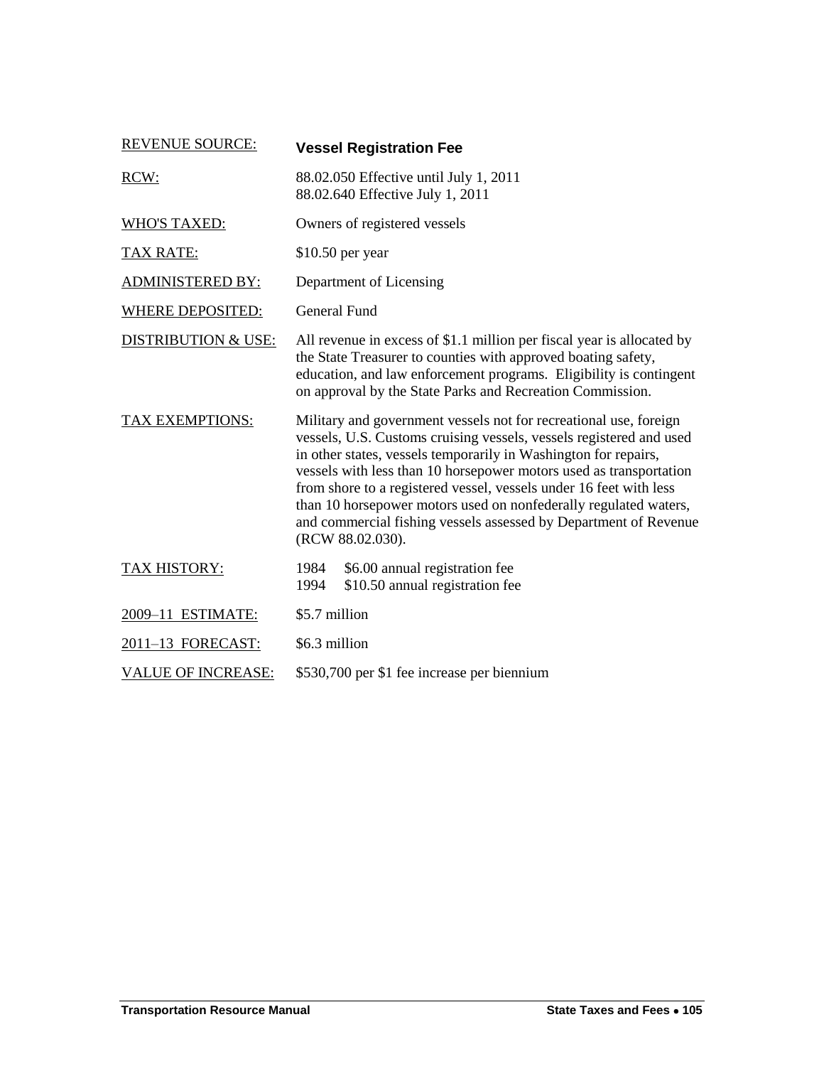| <b>REVENUE SOURCE:</b>         | <b>Vessel Registration Fee</b>                                                                                                                                                                                                                                                                                                                                                                                                                                                                                      |  |  |
|--------------------------------|---------------------------------------------------------------------------------------------------------------------------------------------------------------------------------------------------------------------------------------------------------------------------------------------------------------------------------------------------------------------------------------------------------------------------------------------------------------------------------------------------------------------|--|--|
| RCW:                           | 88.02.050 Effective until July 1, 2011<br>88.02.640 Effective July 1, 2011                                                                                                                                                                                                                                                                                                                                                                                                                                          |  |  |
| <b>WHO'S TAXED:</b>            | Owners of registered vessels                                                                                                                                                                                                                                                                                                                                                                                                                                                                                        |  |  |
| <b>TAX RATE:</b>               | $$10.50$ per year                                                                                                                                                                                                                                                                                                                                                                                                                                                                                                   |  |  |
| <b>ADMINISTERED BY:</b>        | Department of Licensing                                                                                                                                                                                                                                                                                                                                                                                                                                                                                             |  |  |
| <b>WHERE DEPOSITED:</b>        | General Fund                                                                                                                                                                                                                                                                                                                                                                                                                                                                                                        |  |  |
| <b>DISTRIBUTION &amp; USE:</b> | All revenue in excess of \$1.1 million per fiscal year is allocated by<br>the State Treasurer to counties with approved boating safety,<br>education, and law enforcement programs. Eligibility is contingent<br>on approval by the State Parks and Recreation Commission.                                                                                                                                                                                                                                          |  |  |
| TAX EXEMPTIONS:                | Military and government vessels not for recreational use, foreign<br>vessels, U.S. Customs cruising vessels, vessels registered and used<br>in other states, vessels temporarily in Washington for repairs,<br>vessels with less than 10 horsepower motors used as transportation<br>from shore to a registered vessel, vessels under 16 feet with less<br>than 10 horsepower motors used on nonfederally regulated waters,<br>and commercial fishing vessels assessed by Department of Revenue<br>(RCW 88.02.030). |  |  |
| TAX HISTORY:                   | 1984<br>\$6.00 annual registration fee<br>\$10.50 annual registration fee<br>1994                                                                                                                                                                                                                                                                                                                                                                                                                                   |  |  |
| 2009-11 ESTIMATE:              | \$5.7 million                                                                                                                                                                                                                                                                                                                                                                                                                                                                                                       |  |  |
| 2011-13 FORECAST:              | \$6.3 million                                                                                                                                                                                                                                                                                                                                                                                                                                                                                                       |  |  |
| <b>VALUE OF INCREASE:</b>      | \$530,700 per \$1 fee increase per biennium                                                                                                                                                                                                                                                                                                                                                                                                                                                                         |  |  |